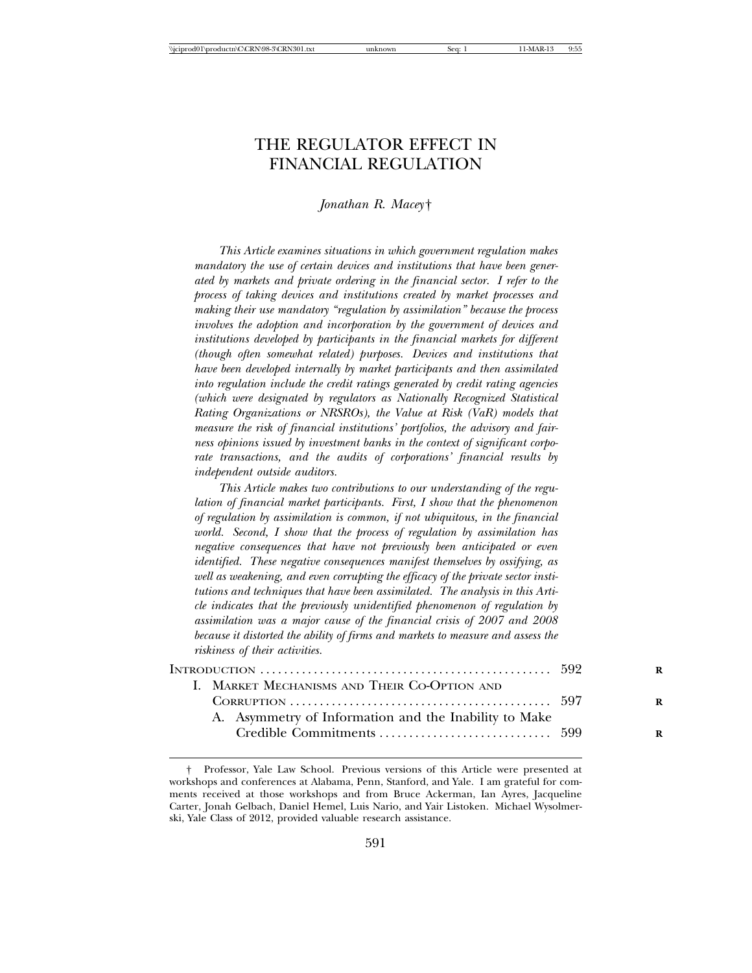# THE REGULATOR EFFECT IN FINANCIAL REGULATION

*Jonathan R. Macey*†

*This Article examines situations in which government regulation makes mandatory the use of certain devices and institutions that have been generated by markets and private ordering in the financial sector. I refer to the process of taking devices and institutions created by market processes and making their use mandatory "regulation by assimilation" because the process involves the adoption and incorporation by the government of devices and institutions developed by participants in the financial markets for different (though often somewhat related) purposes. Devices and institutions that have been developed internally by market participants and then assimilated into regulation include the credit ratings generated by credit rating agencies (which were designated by regulators as Nationally Recognized Statistical Rating Organizations or NRSROs), the Value at Risk (VaR) models that measure the risk of financial institutions' portfolios, the advisory and fairness opinions issued by investment banks in the context of significant corporate transactions, and the audits of corporations' financial results by independent outside auditors.*

*This Article makes two contributions to our understanding of the regulation of financial market participants. First, I show that the phenomenon of regulation by assimilation is common, if not ubiquitous, in the financial world. Second, I show that the process of regulation by assimilation has negative consequences that have not previously been anticipated or even identified. These negative consequences manifest themselves by ossifying, as well as weakening, and even corrupting the efficacy of the private sector institutions and techniques that have been assimilated. The analysis in this Article indicates that the previously unidentified phenomenon of regulation by assimilation was a major cause of the financial crisis of 2007 and 2008 because it distorted the ability of firms and markets to measure and assess the riskiness of their activities.*

| I. MARKET MECHANISMS AND THEIR CO-OPTION AND          |  |
|-------------------------------------------------------|--|
|                                                       |  |
| A. Asymmetry of Information and the Inability to Make |  |
|                                                       |  |
|                                                       |  |

<sup>†</sup> Professor, Yale Law School. Previous versions of this Article were presented at workshops and conferences at Alabama, Penn, Stanford, and Yale. I am grateful for comments received at those workshops and from Bruce Ackerman, Ian Ayres, Jacqueline Carter, Jonah Gelbach, Daniel Hemel, Luis Nario, and Yair Listoken. Michael Wysolmerski, Yale Class of 2012, provided valuable research assistance.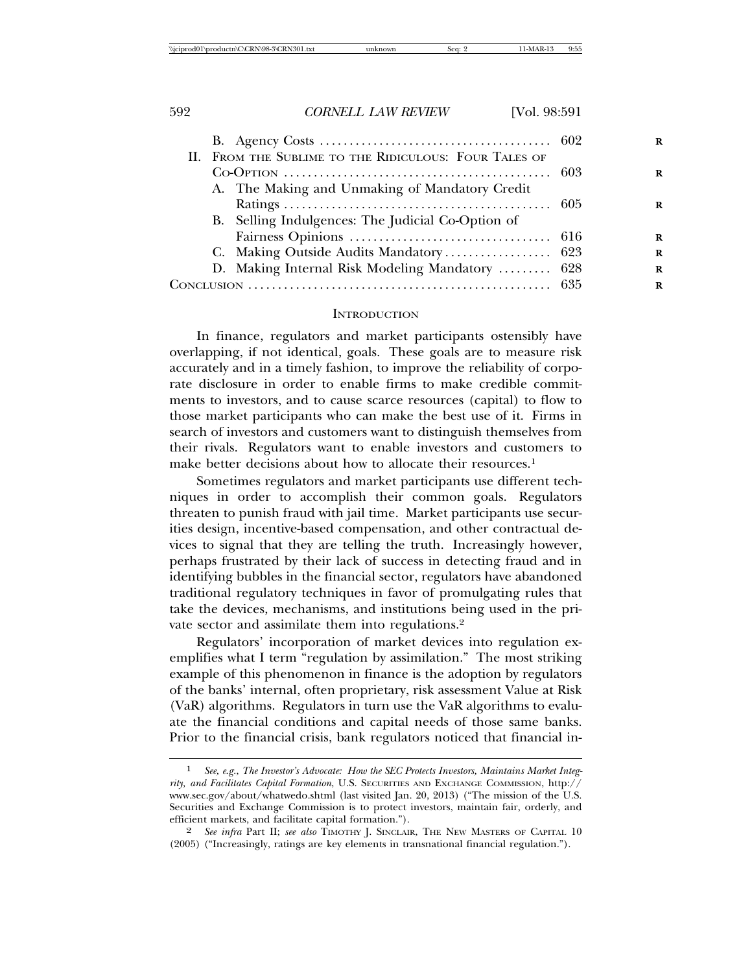| II. FROM THE SUBLIME TO THE RIDICULOUS: FOUR TALES OF |  |
|-------------------------------------------------------|--|
|                                                       |  |
| A. The Making and Unmaking of Mandatory Credit        |  |
|                                                       |  |
| B. Selling Indulgences: The Judicial Co-Option of     |  |
|                                                       |  |
|                                                       |  |
| D. Making Internal Risk Modeling Mandatory  628       |  |
|                                                       |  |

#### **INTRODUCTION**

In finance, regulators and market participants ostensibly have overlapping, if not identical, goals. These goals are to measure risk accurately and in a timely fashion, to improve the reliability of corporate disclosure in order to enable firms to make credible commitments to investors, and to cause scarce resources (capital) to flow to those market participants who can make the best use of it. Firms in search of investors and customers want to distinguish themselves from their rivals. Regulators want to enable investors and customers to make better decisions about how to allocate their resources.<sup>1</sup>

Sometimes regulators and market participants use different techniques in order to accomplish their common goals. Regulators threaten to punish fraud with jail time. Market participants use securities design, incentive-based compensation, and other contractual devices to signal that they are telling the truth. Increasingly however, perhaps frustrated by their lack of success in detecting fraud and in identifying bubbles in the financial sector, regulators have abandoned traditional regulatory techniques in favor of promulgating rules that take the devices, mechanisms, and institutions being used in the private sector and assimilate them into regulations.<sup>2</sup>

Regulators' incorporation of market devices into regulation exemplifies what I term "regulation by assimilation." The most striking example of this phenomenon in finance is the adoption by regulators of the banks' internal, often proprietary, risk assessment Value at Risk (VaR) algorithms. Regulators in turn use the VaR algorithms to evaluate the financial conditions and capital needs of those same banks. Prior to the financial crisis, bank regulators noticed that financial in-

<sup>1</sup> *See, e.g.*, *The Investor's Advocate: How the SEC Protects Investors, Maintains Market Integrity, and Facilitates Capital Formation*, U.S. SECURITIES AND EXCHANGE COMMISSION, http:// www.sec.gov/about/whatwedo.shtml (last visited Jan. 20, 2013) ("The mission of the U.S. Securities and Exchange Commission is to protect investors, maintain fair, orderly, and efficient markets, and facilitate capital formation.").

<sup>2</sup> *See infra* Part II; *see also* TIMOTHY J. SINCLAIR, THE NEW MASTERS OF CAPITAL 10 (2005) ("Increasingly, ratings are key elements in transnational financial regulation.").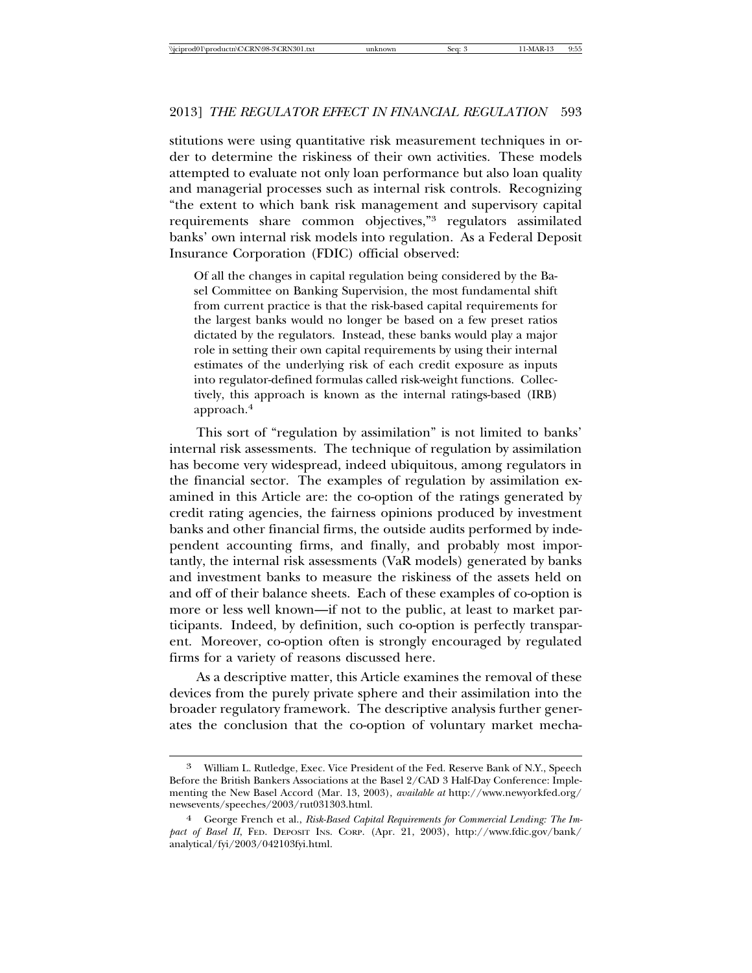stitutions were using quantitative risk measurement techniques in order to determine the riskiness of their own activities. These models attempted to evaluate not only loan performance but also loan quality and managerial processes such as internal risk controls. Recognizing "the extent to which bank risk management and supervisory capital requirements share common objectives,"3 regulators assimilated banks' own internal risk models into regulation. As a Federal Deposit Insurance Corporation (FDIC) official observed:

Of all the changes in capital regulation being considered by the Basel Committee on Banking Supervision, the most fundamental shift from current practice is that the risk-based capital requirements for the largest banks would no longer be based on a few preset ratios dictated by the regulators. Instead, these banks would play a major role in setting their own capital requirements by using their internal estimates of the underlying risk of each credit exposure as inputs into regulator-defined formulas called risk-weight functions. Collectively, this approach is known as the internal ratings-based (IRB) approach.<sup>4</sup>

This sort of "regulation by assimilation" is not limited to banks' internal risk assessments. The technique of regulation by assimilation has become very widespread, indeed ubiquitous, among regulators in the financial sector. The examples of regulation by assimilation examined in this Article are: the co-option of the ratings generated by credit rating agencies, the fairness opinions produced by investment banks and other financial firms, the outside audits performed by independent accounting firms, and finally, and probably most importantly, the internal risk assessments (VaR models) generated by banks and investment banks to measure the riskiness of the assets held on and off of their balance sheets. Each of these examples of co-option is more or less well known—if not to the public, at least to market participants. Indeed, by definition, such co-option is perfectly transparent. Moreover, co-option often is strongly encouraged by regulated firms for a variety of reasons discussed here.

As a descriptive matter, this Article examines the removal of these devices from the purely private sphere and their assimilation into the broader regulatory framework. The descriptive analysis further generates the conclusion that the co-option of voluntary market mecha-

<sup>3</sup> William L. Rutledge, Exec. Vice President of the Fed. Reserve Bank of N.Y., Speech Before the British Bankers Associations at the Basel 2/CAD 3 Half-Day Conference: Implementing the New Basel Accord (Mar. 13, 2003), *available at* http://www.newyorkfed.org/ newsevents/speeches/2003/rut031303.html.

<sup>4</sup> George French et al., *Risk-Based Capital Requirements for Commercial Lending: The Impact of Basel II*, FED. DEPOSIT INS. CORP. (Apr. 21, 2003), http://www.fdic.gov/bank/ analytical/fyi/2003/042103fyi.html.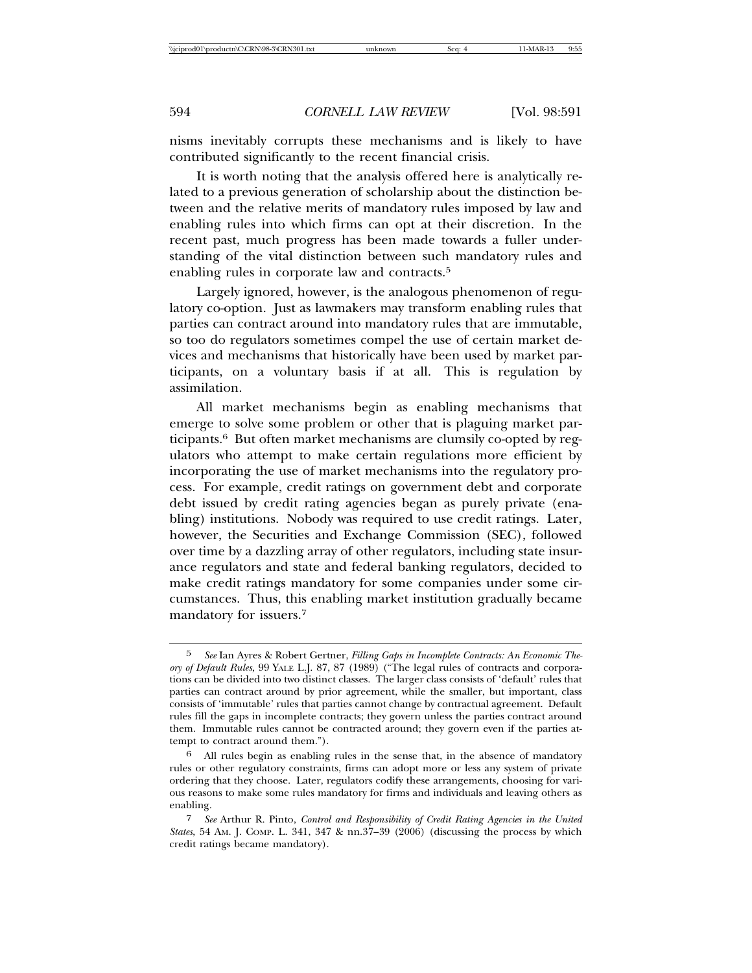nisms inevitably corrupts these mechanisms and is likely to have contributed significantly to the recent financial crisis.

It is worth noting that the analysis offered here is analytically related to a previous generation of scholarship about the distinction between and the relative merits of mandatory rules imposed by law and enabling rules into which firms can opt at their discretion. In the recent past, much progress has been made towards a fuller understanding of the vital distinction between such mandatory rules and enabling rules in corporate law and contracts.5

Largely ignored, however, is the analogous phenomenon of regulatory co-option. Just as lawmakers may transform enabling rules that parties can contract around into mandatory rules that are immutable, so too do regulators sometimes compel the use of certain market devices and mechanisms that historically have been used by market participants, on a voluntary basis if at all. This is regulation by assimilation.

All market mechanisms begin as enabling mechanisms that emerge to solve some problem or other that is plaguing market participants.6 But often market mechanisms are clumsily co-opted by regulators who attempt to make certain regulations more efficient by incorporating the use of market mechanisms into the regulatory process. For example, credit ratings on government debt and corporate debt issued by credit rating agencies began as purely private (enabling) institutions. Nobody was required to use credit ratings. Later, however, the Securities and Exchange Commission (SEC), followed over time by a dazzling array of other regulators, including state insurance regulators and state and federal banking regulators, decided to make credit ratings mandatory for some companies under some circumstances. Thus, this enabling market institution gradually became mandatory for issuers.7

<sup>5</sup> *See* Ian Ayres & Robert Gertner, *Filling Gaps in Incomplete Contracts: An Economic Theory of Default Rules*, 99 YALE L.J. 87, 87 (1989) ("The legal rules of contracts and corporations can be divided into two distinct classes. The larger class consists of 'default' rules that parties can contract around by prior agreement, while the smaller, but important, class consists of 'immutable' rules that parties cannot change by contractual agreement. Default rules fill the gaps in incomplete contracts; they govern unless the parties contract around them. Immutable rules cannot be contracted around; they govern even if the parties attempt to contract around them.").

<sup>6</sup> All rules begin as enabling rules in the sense that, in the absence of mandatory rules or other regulatory constraints, firms can adopt more or less any system of private ordering that they choose. Later, regulators codify these arrangements, choosing for various reasons to make some rules mandatory for firms and individuals and leaving others as enabling.

<sup>7</sup> *See* Arthur R. Pinto, *Control and Responsibility of Credit Rating Agencies in the United States*, 54 AM. J. COMP. L. 341, 347 & nn.37–39 (2006) (discussing the process by which credit ratings became mandatory).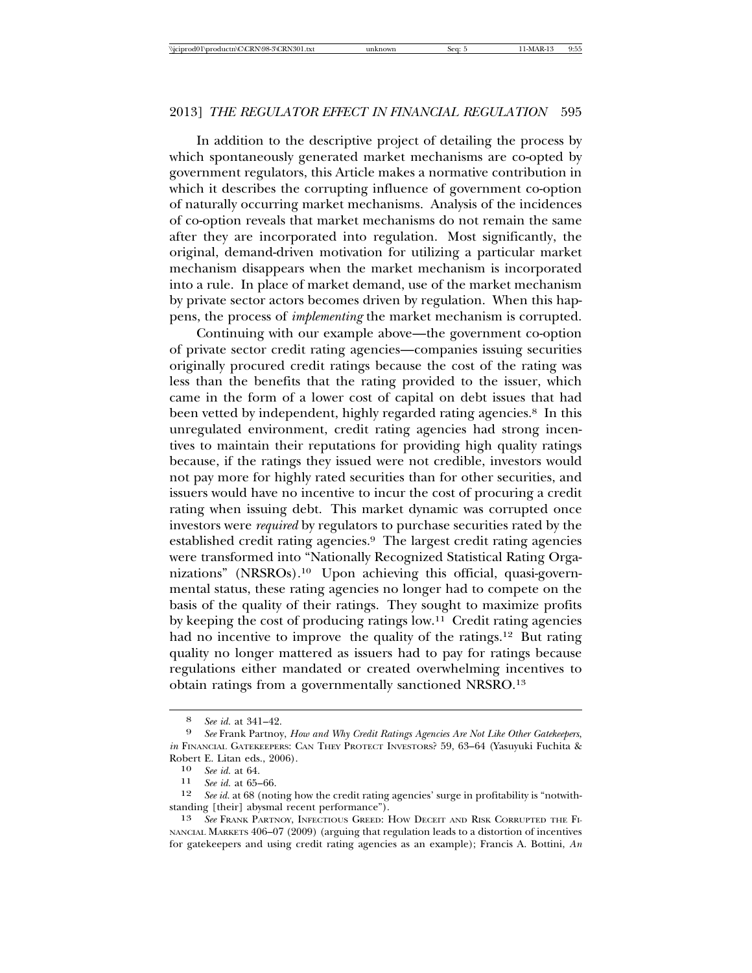In addition to the descriptive project of detailing the process by which spontaneously generated market mechanisms are co-opted by government regulators, this Article makes a normative contribution in which it describes the corrupting influence of government co-option of naturally occurring market mechanisms. Analysis of the incidences of co-option reveals that market mechanisms do not remain the same after they are incorporated into regulation. Most significantly, the original, demand-driven motivation for utilizing a particular market mechanism disappears when the market mechanism is incorporated into a rule. In place of market demand, use of the market mechanism by private sector actors becomes driven by regulation. When this happens, the process of *implementing* the market mechanism is corrupted.

Continuing with our example above—the government co-option of private sector credit rating agencies—companies issuing securities originally procured credit ratings because the cost of the rating was less than the benefits that the rating provided to the issuer, which came in the form of a lower cost of capital on debt issues that had been vetted by independent, highly regarded rating agencies.<sup>8</sup> In this unregulated environment, credit rating agencies had strong incentives to maintain their reputations for providing high quality ratings because, if the ratings they issued were not credible, investors would not pay more for highly rated securities than for other securities, and issuers would have no incentive to incur the cost of procuring a credit rating when issuing debt. This market dynamic was corrupted once investors were *required* by regulators to purchase securities rated by the established credit rating agencies.<sup>9</sup> The largest credit rating agencies were transformed into "Nationally Recognized Statistical Rating Organizations" (NRSROs).10 Upon achieving this official, quasi-governmental status, these rating agencies no longer had to compete on the basis of the quality of their ratings. They sought to maximize profits by keeping the cost of producing ratings low.11 Credit rating agencies had no incentive to improve the quality of the ratings.<sup>12</sup> But rating quality no longer mattered as issuers had to pay for ratings because regulations either mandated or created overwhelming incentives to obtain ratings from a governmentally sanctioned NRSRO.13

<sup>8</sup> *See id.* at 341–42. <sup>9</sup> *See* Frank Partnoy, *How and Why Credit Ratings Agencies Are Not Like Other Gatekeepers*, *in* FINANCIAL GATEKEEPERS: CAN THEY PROTECT INVESTORS? 59, 63–64 (Yasuyuki Fuchita & Robert E. Litan eds., 2006).

<sup>10</sup> *See id.* at 64. <sup>11</sup> *See id.* at 65–66.

See id. at 68 (noting how the credit rating agencies' surge in profitability is "notwithstanding [their] abysmal recent performance").

<sup>13</sup> *See* FRANK PARTNOY, INFECTIOUS GREED: HOW DECEIT AND RISK CORRUPTED THE FI-NANCIAL MARKETS 406–07 (2009) (arguing that regulation leads to a distortion of incentives for gatekeepers and using credit rating agencies as an example); Francis A. Bottini, *An*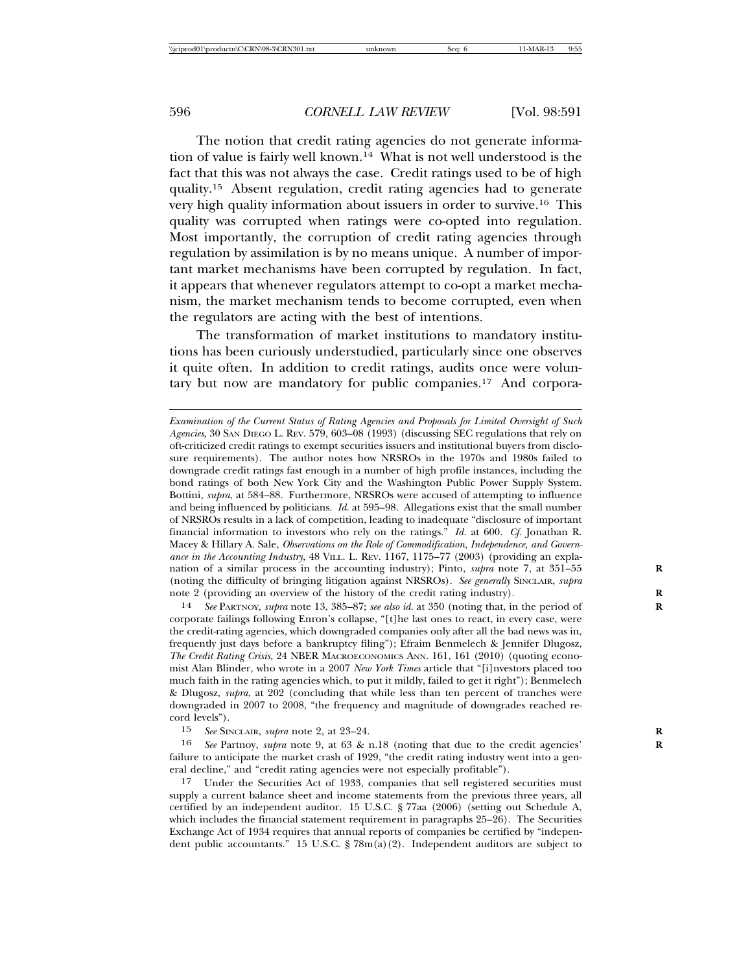The notion that credit rating agencies do not generate information of value is fairly well known.14 What is not well understood is the fact that this was not always the case. Credit ratings used to be of high quality.15 Absent regulation, credit rating agencies had to generate very high quality information about issuers in order to survive.16 This quality was corrupted when ratings were co-opted into regulation. Most importantly, the corruption of credit rating agencies through regulation by assimilation is by no means unique. A number of important market mechanisms have been corrupted by regulation. In fact, it appears that whenever regulators attempt to co-opt a market mechanism, the market mechanism tends to become corrupted, even when the regulators are acting with the best of intentions.

The transformation of market institutions to mandatory institutions has been curiously understudied, particularly since one observes it quite often. In addition to credit ratings, audits once were voluntary but now are mandatory for public companies.17 And corpora-

*Examination of the Current Status of Rating Agencies and Proposals for Limited Oversight of Such Agencies*, 30 SAN DIEGO L. REV. 579, 603–08 (1993) (discussing SEC regulations that rely on oft-criticized credit ratings to exempt securities issuers and institutional buyers from disclosure requirements). The author notes how NRSROs in the 1970s and 1980s failed to downgrade credit ratings fast enough in a number of high profile instances, including the bond ratings of both New York City and the Washington Public Power Supply System. Bottini, *supra*, at 584–88. Furthermore, NRSROs were accused of attempting to influence and being influenced by politicians. *Id.* at 595–98. Allegations exist that the small number of NRSROs results in a lack of competition, leading to inadequate "disclosure of important financial information to investors who rely on the ratings." *Id.* at 600. *Cf.* Jonathan R. Macey & Hillary A. Sale, *Observations on the Role of Commodification, Independence, and Governance in the Accounting Industry*, 48 VILL. L. REV. 1167, 1175–77 (2003) (providing an explanation of a similar process in the accounting industry); Pinto, *supra* note 7, at 351–55 **R** (noting the difficulty of bringing litigation against NRSROs). *See generally* SINCLAIR, *supra* note 2 (providing an overview of the history of the credit rating industry). **R**

14 *See* PARTNOY, *supra* note 13, 385–87; *see also id.* at 350 (noting that, in the period of **R** corporate failings following Enron's collapse, "[t]he last ones to react, in every case, were the credit-rating agencies, which downgraded companies only after all the bad news was in, frequently just days before a bankruptcy filing"); Efraim Benmelech & Jennifer Dlugosz, *The Credit Rating Crisis*, 24 NBER MACROECONOMICS ANN. 161, 161 (2010) (quoting economist Alan Blinder, who wrote in a 2007 *New York Times* article that "[i]nvestors placed too much faith in the rating agencies which, to put it mildly, failed to get it right"); Benmelech & Dlugosz, *supra*, at 202 (concluding that while less than ten percent of tranches were downgraded in 2007 to 2008, "the frequency and magnitude of downgrades reached record levels").

15 *See* SINCLAIR, *supra* note 2, at 23–24. **R**

16 *See* Partnoy, *supra* note 9, at 63 & n.18 (noting that due to the credit agencies' **R** failure to anticipate the market crash of 1929, "the credit rating industry went into a general decline," and "credit rating agencies were not especially profitable").

17 Under the Securities Act of 1933, companies that sell registered securities must supply a current balance sheet and income statements from the previous three years, all certified by an independent auditor. 15 U.S.C. § 77aa (2006) (setting out Schedule A, which includes the financial statement requirement in paragraphs 25–26). The Securities Exchange Act of 1934 requires that annual reports of companies be certified by "independent public accountants." 15 U.S.C. §  $78m(a)(2)$ . Independent auditors are subject to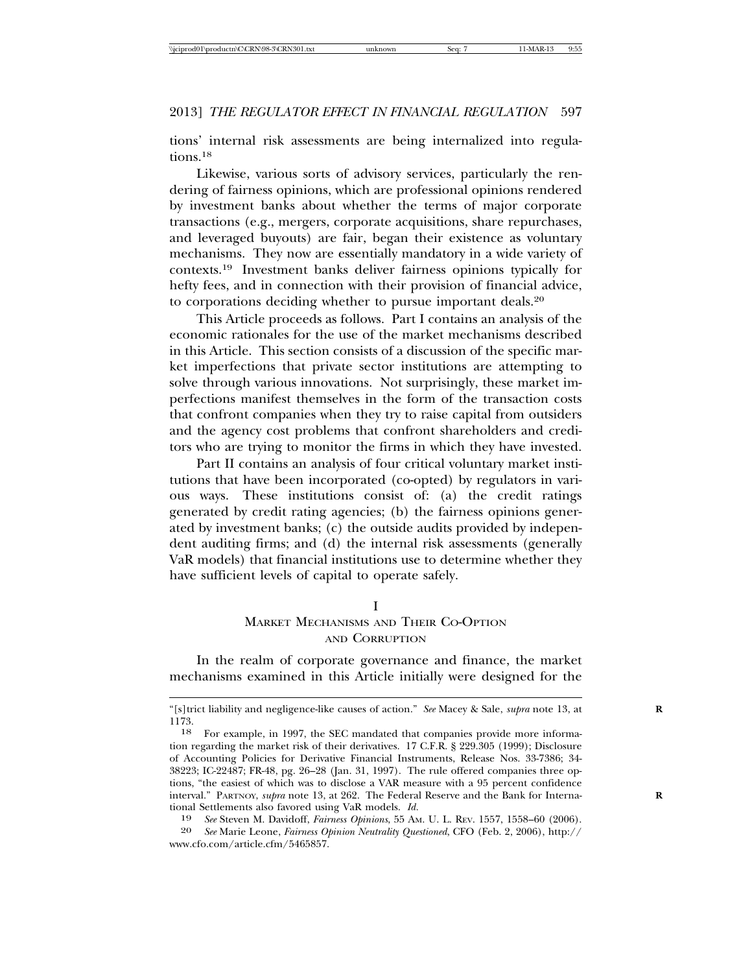tions' internal risk assessments are being internalized into regulations.18

Likewise, various sorts of advisory services, particularly the rendering of fairness opinions, which are professional opinions rendered by investment banks about whether the terms of major corporate transactions (e.g., mergers, corporate acquisitions, share repurchases, and leveraged buyouts) are fair, began their existence as voluntary mechanisms. They now are essentially mandatory in a wide variety of contexts.19 Investment banks deliver fairness opinions typically for hefty fees, and in connection with their provision of financial advice, to corporations deciding whether to pursue important deals.20

This Article proceeds as follows. Part I contains an analysis of the economic rationales for the use of the market mechanisms described in this Article. This section consists of a discussion of the specific market imperfections that private sector institutions are attempting to solve through various innovations. Not surprisingly, these market imperfections manifest themselves in the form of the transaction costs that confront companies when they try to raise capital from outsiders and the agency cost problems that confront shareholders and creditors who are trying to monitor the firms in which they have invested.

Part II contains an analysis of four critical voluntary market institutions that have been incorporated (co-opted) by regulators in various ways. These institutions consist of: (a) the credit ratings generated by credit rating agencies; (b) the fairness opinions generated by investment banks; (c) the outside audits provided by independent auditing firms; and (d) the internal risk assessments (generally VaR models) that financial institutions use to determine whether they have sufficient levels of capital to operate safely.

#### I

# MARKET MECHANISMS AND THEIR CO-OPTION AND CORRUPTION

In the realm of corporate governance and finance, the market mechanisms examined in this Article initially were designed for the

<sup>&</sup>quot;[s]trict liability and negligence-like causes of action." *See* Macey & Sale, *supra* note 13, at **R** 1173.

<sup>18</sup> For example, in 1997, the SEC mandated that companies provide more information regarding the market risk of their derivatives. 17 C.F.R. § 229.305 (1999); Disclosure of Accounting Policies for Derivative Financial Instruments, Release Nos. 33-7386; 34- 38223; IC-22487; FR-48, pg. 26–28 (Jan. 31, 1997). The rule offered companies three options, "the easiest of which was to disclose a VAR measure with a 95 percent confidence interval." PARTNOY, *supra* note 13, at 262. The Federal Reserve and the Bank for Interna- **R** tional Settlements also favored using VaR models. *Id.*

<sup>19</sup> *See* Steven M. Davidoff, *Fairness Opinions*, 55 AM. U. L. REV. 1557, 1558–60 (2006).

<sup>20</sup> *See* Marie Leone, *Fairness Opinion Neutrality Questioned*, CFO (Feb. 2, 2006), http:// www.cfo.com/article.cfm/5465857.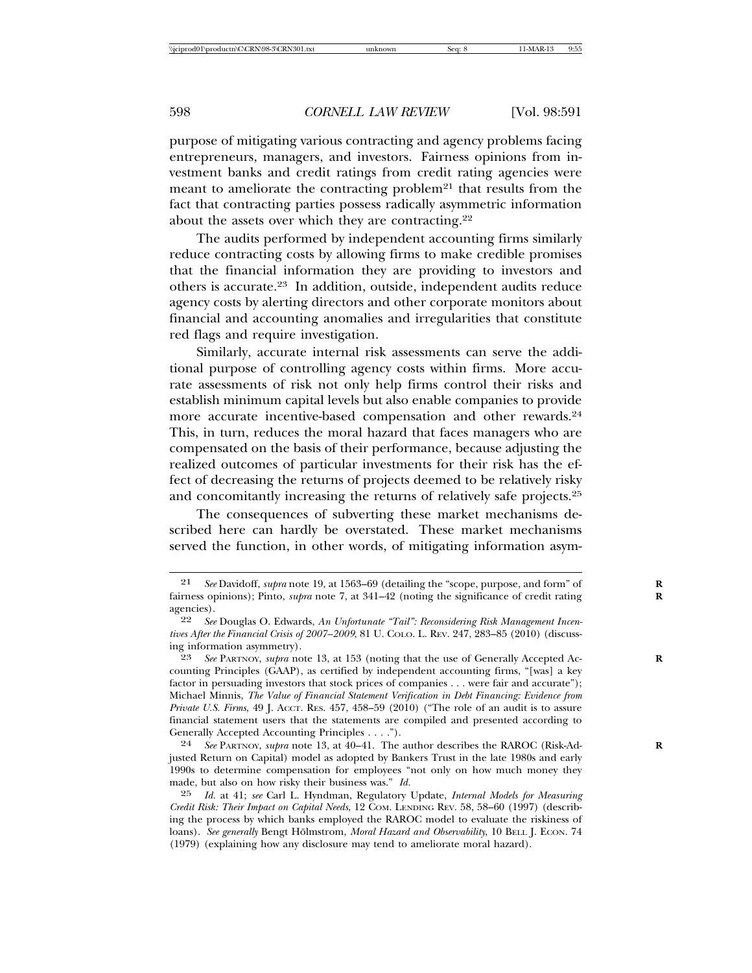purpose of mitigating various contracting and agency problems facing entrepreneurs, managers, and investors. Fairness opinions from investment banks and credit ratings from credit rating agencies were meant to ameliorate the contracting problem<sup>21</sup> that results from the fact that contracting parties possess radically asymmetric information about the assets over which they are contracting.<sup>22</sup>

The audits performed by independent accounting firms similarly reduce contracting costs by allowing firms to make credible promises that the financial information they are providing to investors and others is accurate.23 In addition, outside, independent audits reduce agency costs by alerting directors and other corporate monitors about financial and accounting anomalies and irregularities that constitute red flags and require investigation.

Similarly, accurate internal risk assessments can serve the additional purpose of controlling agency costs within firms. More accurate assessments of risk not only help firms control their risks and establish minimum capital levels but also enable companies to provide more accurate incentive-based compensation and other rewards.24 This, in turn, reduces the moral hazard that faces managers who are compensated on the basis of their performance, because adjusting the realized outcomes of particular investments for their risk has the effect of decreasing the returns of projects deemed to be relatively risky and concomitantly increasing the returns of relatively safe projects.25

The consequences of subverting these market mechanisms described here can hardly be overstated. These market mechanisms served the function, in other words, of mitigating information asym-

<sup>21</sup> *See* Davidoff, *supra* note 19, at 1563–69 (detailing the "scope, purpose, and form" of **R** fairness opinions); Pinto, *supra* note 7, at 341–42 (noting the significance of credit rating agencies).<br> $22 \text{ Set}$ 

<sup>22</sup> *See* Douglas O. Edwards, *An Unfortunate "Tail": Reconsidering Risk Management Incentives After the Financial Crisis of 2007–2009*, 81 U. COLO. L. REV. 247, 283–85 (2010) (discussing information asymmetry).

<sup>23</sup> *See* PARTNOY, *supra* note 13, at 153 (noting that the use of Generally Accepted Ac- **R** counting Principles (GAAP), as certified by independent accounting firms, "[was] a key factor in persuading investors that stock prices of companies . . . were fair and accurate"); Michael Minnis, *The Value of Financial Statement Verification in Debt Financing: Evidence from Private U.S. Firms*, 49 J. ACCT. RES. 457, 458–59 (2010) ("The role of an audit is to assure financial statement users that the statements are compiled and presented according to Generally Accepted Accounting Principles . . . .").

<sup>24</sup> *See* PARTNOY, *supra* note 13, at 40–41. The author describes the RAROC (Risk-Ad- **R** justed Return on Capital) model as adopted by Bankers Trust in the late 1980s and early 1990s to determine compensation for employees "not only on how much money they made, but also on how risky their business was." *Id.*

<sup>25</sup> *Id.* at 41; *see* Carl L. Hyndman, Regulatory Update, *Internal Models for Measuring Credit Risk: Their Impact on Capital Needs*, 12 COM. LENDING REV. 58, 58–60 (1997) (describing the process by which banks employed the RAROC model to evaluate the riskiness of loans). *See generally* Bengt Hölmstrom, *Moral Hazard and Observability*, 10 BELL J. ECON. 74 (1979) (explaining how any disclosure may tend to ameliorate moral hazard).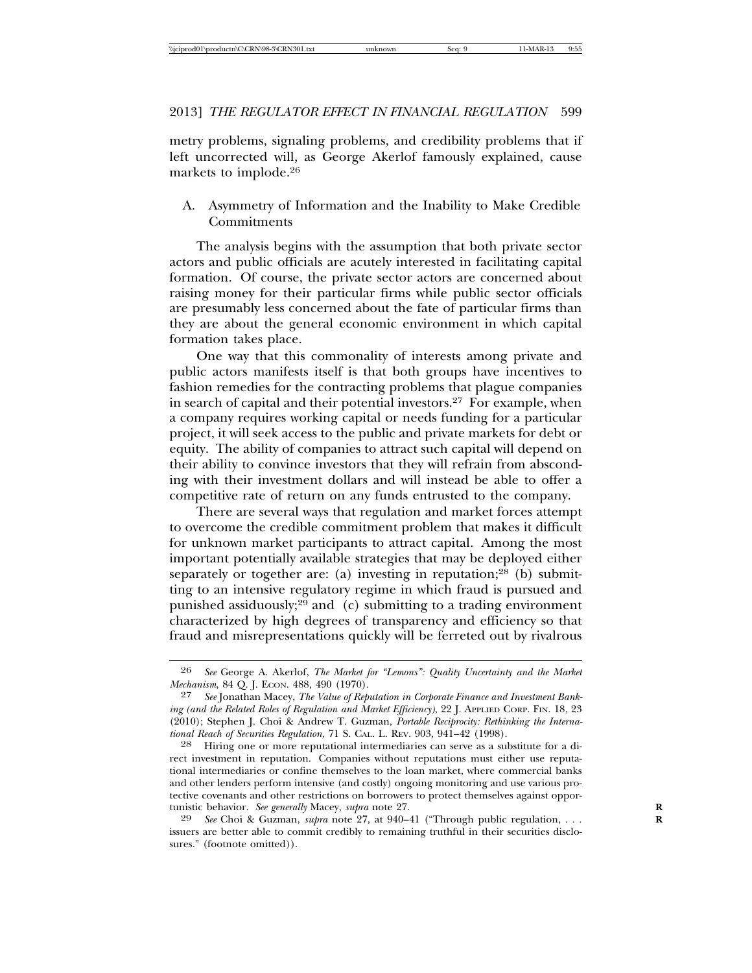metry problems, signaling problems, and credibility problems that if left uncorrected will, as George Akerlof famously explained, cause markets to implode.26

A. Asymmetry of Information and the Inability to Make Credible Commitments

The analysis begins with the assumption that both private sector actors and public officials are acutely interested in facilitating capital formation. Of course, the private sector actors are concerned about raising money for their particular firms while public sector officials are presumably less concerned about the fate of particular firms than they are about the general economic environment in which capital formation takes place.

One way that this commonality of interests among private and public actors manifests itself is that both groups have incentives to fashion remedies for the contracting problems that plague companies in search of capital and their potential investors.27 For example, when a company requires working capital or needs funding for a particular project, it will seek access to the public and private markets for debt or equity. The ability of companies to attract such capital will depend on their ability to convince investors that they will refrain from absconding with their investment dollars and will instead be able to offer a competitive rate of return on any funds entrusted to the company.

There are several ways that regulation and market forces attempt to overcome the credible commitment problem that makes it difficult for unknown market participants to attract capital. Among the most important potentially available strategies that may be deployed either separately or together are: (a) investing in reputation;<sup>28</sup> (b) submitting to an intensive regulatory regime in which fraud is pursued and punished assiduously;29 and (c) submitting to a trading environment characterized by high degrees of transparency and efficiency so that fraud and misrepresentations quickly will be ferreted out by rivalrous

<sup>26</sup> *See* George A. Akerlof, *The Market for "Lemons": Quality Uncertainty and the Market Mechanism*, 84 Q. J. ECON. 488, 490 (1970).

<sup>27</sup> *See* Jonathan Macey, *The Value of Reputation in Corporate Finance and Investment Banking (and the Related Roles of Regulation and Market Efficiency)*, 22 J. APPLIED CORP. FIN. 18, 23 (2010); Stephen J. Choi & Andrew T. Guzman, *Portable Reciprocity: Rethinking the International Reach of Securities Regulation*, 71 S. CAL. L. REV. 903, 941–42 (1998).

<sup>28</sup> Hiring one or more reputational intermediaries can serve as a substitute for a direct investment in reputation. Companies without reputations must either use reputational intermediaries or confine themselves to the loan market, where commercial banks and other lenders perform intensive (and costly) ongoing monitoring and use various protective covenants and other restrictions on borrowers to protect themselves against opportunistic behavior. *See generally* Macey, *supra* note 27. **R**

<sup>29</sup> *See* Choi & Guzman, *supra* note 27, at 940–41 ("Through public regulation, . . . **R** issuers are better able to commit credibly to remaining truthful in their securities disclosures." (footnote omitted)).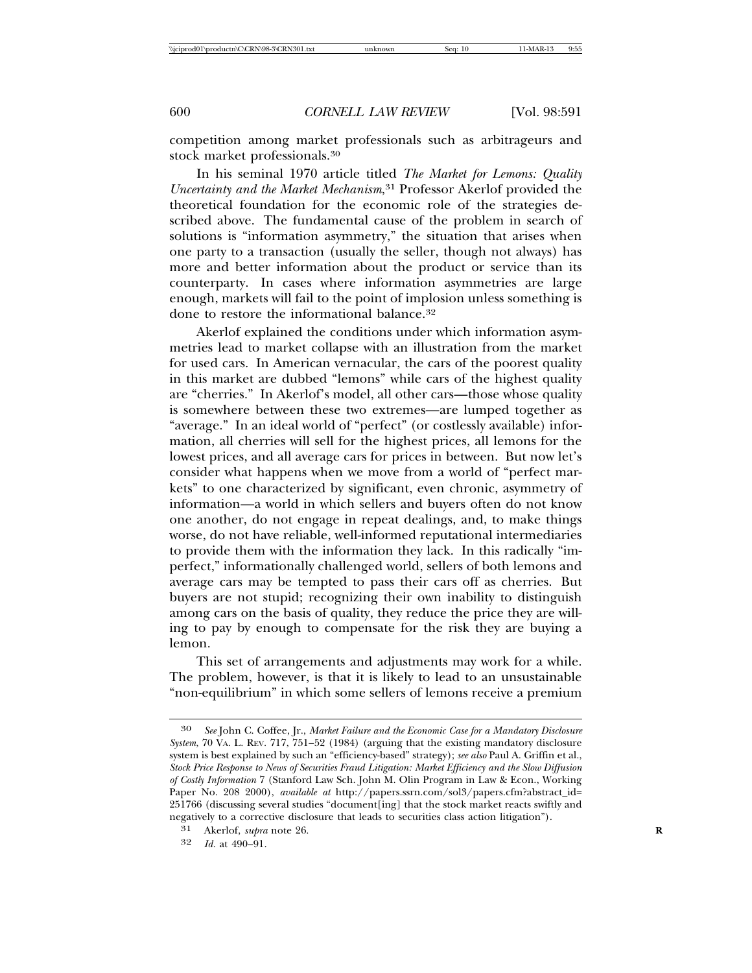competition among market professionals such as arbitrageurs and stock market professionals.30

In his seminal 1970 article titled *The Market for Lemons: Quality Uncertainty and the Market Mechanism*, 31 Professor Akerlof provided the theoretical foundation for the economic role of the strategies described above. The fundamental cause of the problem in search of solutions is "information asymmetry," the situation that arises when one party to a transaction (usually the seller, though not always) has more and better information about the product or service than its counterparty. In cases where information asymmetries are large enough, markets will fail to the point of implosion unless something is done to restore the informational balance.<sup>32</sup>

Akerlof explained the conditions under which information asymmetries lead to market collapse with an illustration from the market for used cars. In American vernacular, the cars of the poorest quality in this market are dubbed "lemons" while cars of the highest quality are "cherries." In Akerlof's model, all other cars—those whose quality is somewhere between these two extremes—are lumped together as "average." In an ideal world of "perfect" (or costlessly available) information, all cherries will sell for the highest prices, all lemons for the lowest prices, and all average cars for prices in between. But now let's consider what happens when we move from a world of "perfect markets" to one characterized by significant, even chronic, asymmetry of information—a world in which sellers and buyers often do not know one another, do not engage in repeat dealings, and, to make things worse, do not have reliable, well-informed reputational intermediaries to provide them with the information they lack. In this radically "imperfect," informationally challenged world, sellers of both lemons and average cars may be tempted to pass their cars off as cherries. But buyers are not stupid; recognizing their own inability to distinguish among cars on the basis of quality, they reduce the price they are willing to pay by enough to compensate for the risk they are buying a lemon.

This set of arrangements and adjustments may work for a while. The problem, however, is that it is likely to lead to an unsustainable "non-equilibrium" in which some sellers of lemons receive a premium

<sup>30</sup> *See* John C. Coffee, Jr., *Market Failure and the Economic Case for a Mandatory Disclosure System*, 70 VA. L. REV. 717, 751–52 (1984) (arguing that the existing mandatory disclosure system is best explained by such an "efficiency-based" strategy); *see also* Paul A. Griffin et al., *Stock Price Response to News of Securities Fraud Litigation: Market Efficiency and the Slow Diffusion of Costly Information* 7 (Stanford Law Sch. John M. Olin Program in Law & Econ., Working Paper No. 208 2000), *available at* http://papers.ssrn.com/sol3/papers.cfm?abstract\_id= 251766 (discussing several studies "document[ing] that the stock market reacts swiftly and negatively to a corrective disclosure that leads to securities class action litigation").

<sup>31</sup> Akerlof, *supra* note 26. **R**

<sup>32</sup> *Id.* at 490–91.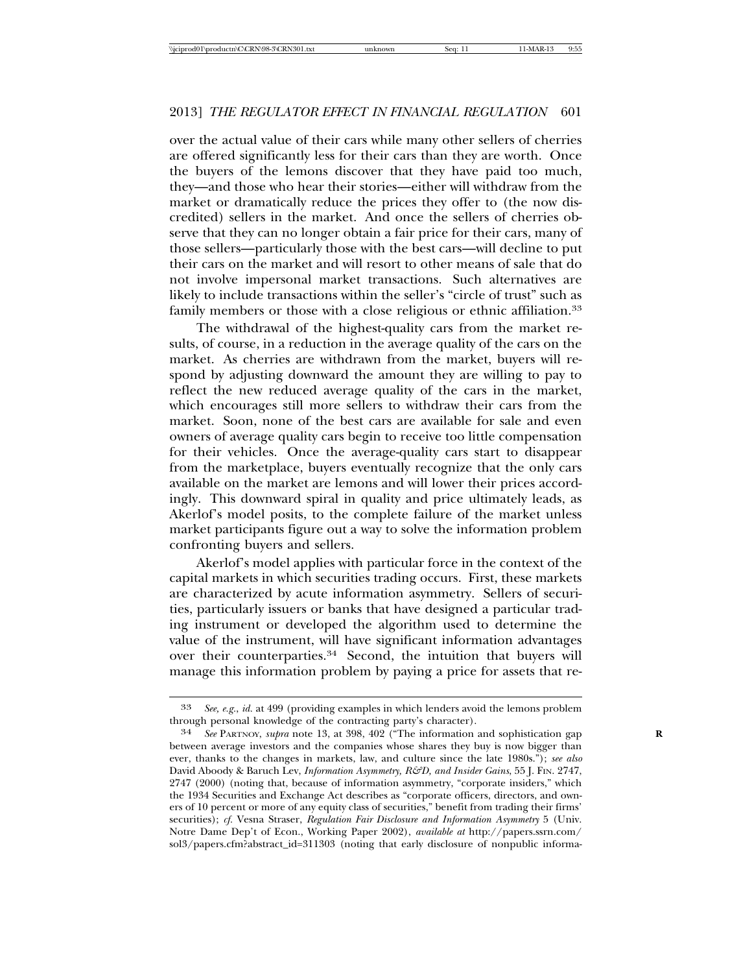over the actual value of their cars while many other sellers of cherries are offered significantly less for their cars than they are worth. Once the buyers of the lemons discover that they have paid too much, they—and those who hear their stories—either will withdraw from the market or dramatically reduce the prices they offer to (the now discredited) sellers in the market. And once the sellers of cherries observe that they can no longer obtain a fair price for their cars, many of those sellers—particularly those with the best cars—will decline to put their cars on the market and will resort to other means of sale that do not involve impersonal market transactions. Such alternatives are likely to include transactions within the seller's "circle of trust" such as family members or those with a close religious or ethnic affiliation.<sup>33</sup>

The withdrawal of the highest-quality cars from the market results, of course, in a reduction in the average quality of the cars on the market. As cherries are withdrawn from the market, buyers will respond by adjusting downward the amount they are willing to pay to reflect the new reduced average quality of the cars in the market, which encourages still more sellers to withdraw their cars from the market. Soon, none of the best cars are available for sale and even owners of average quality cars begin to receive too little compensation for their vehicles. Once the average-quality cars start to disappear from the marketplace, buyers eventually recognize that the only cars available on the market are lemons and will lower their prices accordingly. This downward spiral in quality and price ultimately leads, as Akerlof's model posits, to the complete failure of the market unless market participants figure out a way to solve the information problem confronting buyers and sellers.

Akerlof's model applies with particular force in the context of the capital markets in which securities trading occurs. First, these markets are characterized by acute information asymmetry. Sellers of securities, particularly issuers or banks that have designed a particular trading instrument or developed the algorithm used to determine the value of the instrument, will have significant information advantages over their counterparties.34 Second, the intuition that buyers will manage this information problem by paying a price for assets that re-

<sup>33</sup> *See, e.g.*, *id.* at 499 (providing examples in which lenders avoid the lemons problem through personal knowledge of the contracting party's character). <sup>34</sup> *See* PARTNOY, *supra* note 13, at 398, 402 ("The information and sophistication gap **<sup>R</sup>**

between average investors and the companies whose shares they buy is now bigger than ever, thanks to the changes in markets, law, and culture since the late 1980s."); *see also* David Aboody & Baruch Lev, *Information Asymmetry, R&D, and Insider Gains*, 55 J. FIN. 2747, 2747 (2000) (noting that, because of information asymmetry, "corporate insiders," which the 1934 Securities and Exchange Act describes as "corporate officers, directors, and owners of 10 percent or more of any equity class of securities," benefit from trading their firms' securities); *cf.* Vesna Straser, *Regulation Fair Disclosure and Information Asymmetry* 5 (Univ. Notre Dame Dep't of Econ., Working Paper 2002), *available at* http://papers.ssrn.com/ sol3/papers.cfm?abstract\_id=311303 (noting that early disclosure of nonpublic informa-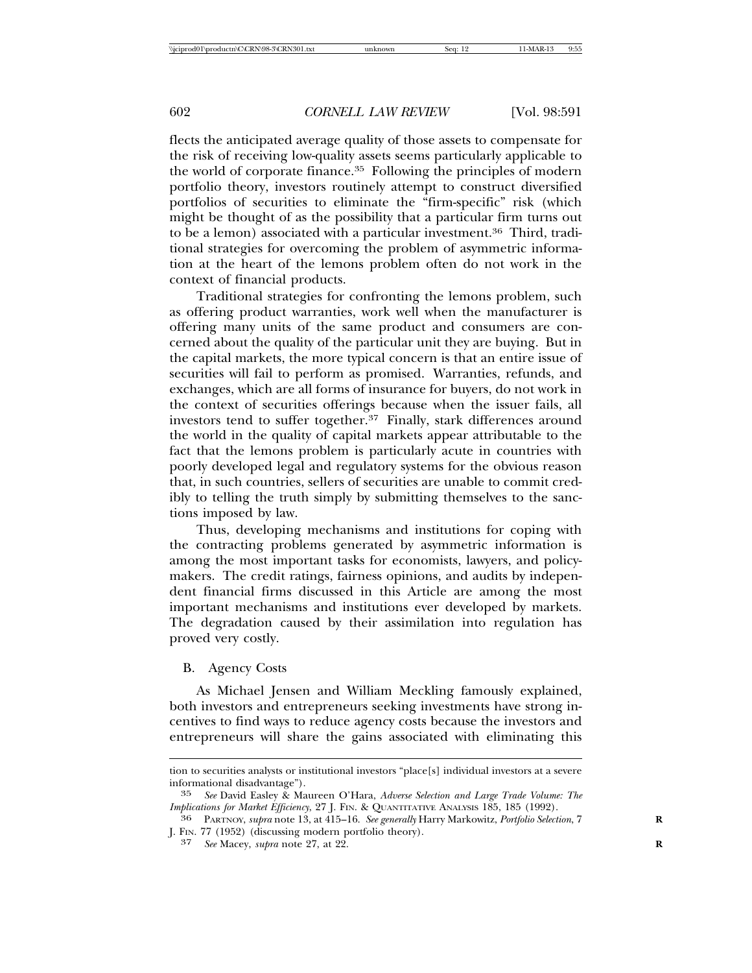flects the anticipated average quality of those assets to compensate for the risk of receiving low-quality assets seems particularly applicable to the world of corporate finance.35 Following the principles of modern portfolio theory, investors routinely attempt to construct diversified portfolios of securities to eliminate the "firm-specific" risk (which might be thought of as the possibility that a particular firm turns out to be a lemon) associated with a particular investment.<sup>36</sup> Third, traditional strategies for overcoming the problem of asymmetric information at the heart of the lemons problem often do not work in the context of financial products.

Traditional strategies for confronting the lemons problem, such as offering product warranties, work well when the manufacturer is offering many units of the same product and consumers are concerned about the quality of the particular unit they are buying. But in the capital markets, the more typical concern is that an entire issue of securities will fail to perform as promised. Warranties, refunds, and exchanges, which are all forms of insurance for buyers, do not work in the context of securities offerings because when the issuer fails, all investors tend to suffer together.37 Finally, stark differences around the world in the quality of capital markets appear attributable to the fact that the lemons problem is particularly acute in countries with poorly developed legal and regulatory systems for the obvious reason that, in such countries, sellers of securities are unable to commit credibly to telling the truth simply by submitting themselves to the sanctions imposed by law.

Thus, developing mechanisms and institutions for coping with the contracting problems generated by asymmetric information is among the most important tasks for economists, lawyers, and policymakers. The credit ratings, fairness opinions, and audits by independent financial firms discussed in this Article are among the most important mechanisms and institutions ever developed by markets. The degradation caused by their assimilation into regulation has proved very costly.

### B. Agency Costs

As Michael Jensen and William Meckling famously explained, both investors and entrepreneurs seeking investments have strong incentives to find ways to reduce agency costs because the investors and entrepreneurs will share the gains associated with eliminating this

tion to securities analysts or institutional investors "place[s] individual investors at a severe informational disadvantage").

<sup>35</sup> *See* David Easley & Maureen O'Hara, *Adverse Selection and Large Trade Volume: The Implications for Market Efficiency*, 27 J. FIN. & QUANTITATIVE ANALYSIS 185, 185 (1992). 36 PARTNOY, *supra* note 13, at 415–16. *See generally* Harry Markowitz, *Portfolio Selection*, 7

J. FIN. 77 (1952) (discussing modern portfolio theory).

<sup>37</sup> *See* Macey, *supra* note 27, at 22. **R**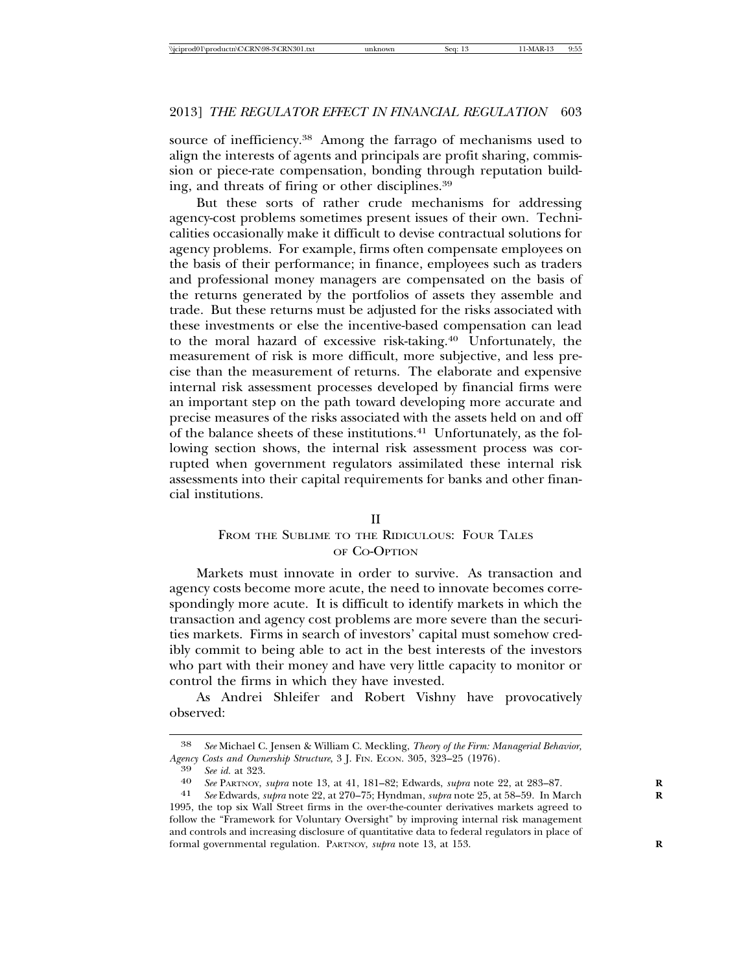source of inefficiency.<sup>38</sup> Among the farrago of mechanisms used to align the interests of agents and principals are profit sharing, commission or piece-rate compensation, bonding through reputation building, and threats of firing or other disciplines.39

But these sorts of rather crude mechanisms for addressing agency-cost problems sometimes present issues of their own. Technicalities occasionally make it difficult to devise contractual solutions for agency problems. For example, firms often compensate employees on the basis of their performance; in finance, employees such as traders and professional money managers are compensated on the basis of the returns generated by the portfolios of assets they assemble and trade. But these returns must be adjusted for the risks associated with these investments or else the incentive-based compensation can lead to the moral hazard of excessive risk-taking.40 Unfortunately, the measurement of risk is more difficult, more subjective, and less precise than the measurement of returns. The elaborate and expensive internal risk assessment processes developed by financial firms were an important step on the path toward developing more accurate and precise measures of the risks associated with the assets held on and off of the balance sheets of these institutions.41 Unfortunately, as the following section shows, the internal risk assessment process was corrupted when government regulators assimilated these internal risk assessments into their capital requirements for banks and other financial institutions.

#### II

# FROM THE SUBLIME TO THE RIDICULOUS: FOUR TALES OF CO-OPTION

Markets must innovate in order to survive. As transaction and agency costs become more acute, the need to innovate becomes correspondingly more acute. It is difficult to identify markets in which the transaction and agency cost problems are more severe than the securities markets. Firms in search of investors' capital must somehow credibly commit to being able to act in the best interests of the investors who part with their money and have very little capacity to monitor or control the firms in which they have invested.

As Andrei Shleifer and Robert Vishny have provocatively observed:

<sup>38</sup> *See* Michael C. Jensen & William C. Meckling, *Theory of the Firm: Managerial Behavior,*

<sup>&</sup>lt;sup>39</sup> *See id.* at 323. *See PARTNOY, supra* note 13, at 41, 181–82; Edwards, *supra* note 22, at 283–87.

<sup>41</sup> *See* Edwards, *supra* note 22, at 270–75; Hyndman, *supra* note 25, at 58–59. In March **R** 1995, the top six Wall Street firms in the over-the-counter derivatives markets agreed to follow the "Framework for Voluntary Oversight" by improving internal risk management and controls and increasing disclosure of quantitative data to federal regulators in place of formal governmental regulation. PARTNOY, *supra* note 13, at 153. **R**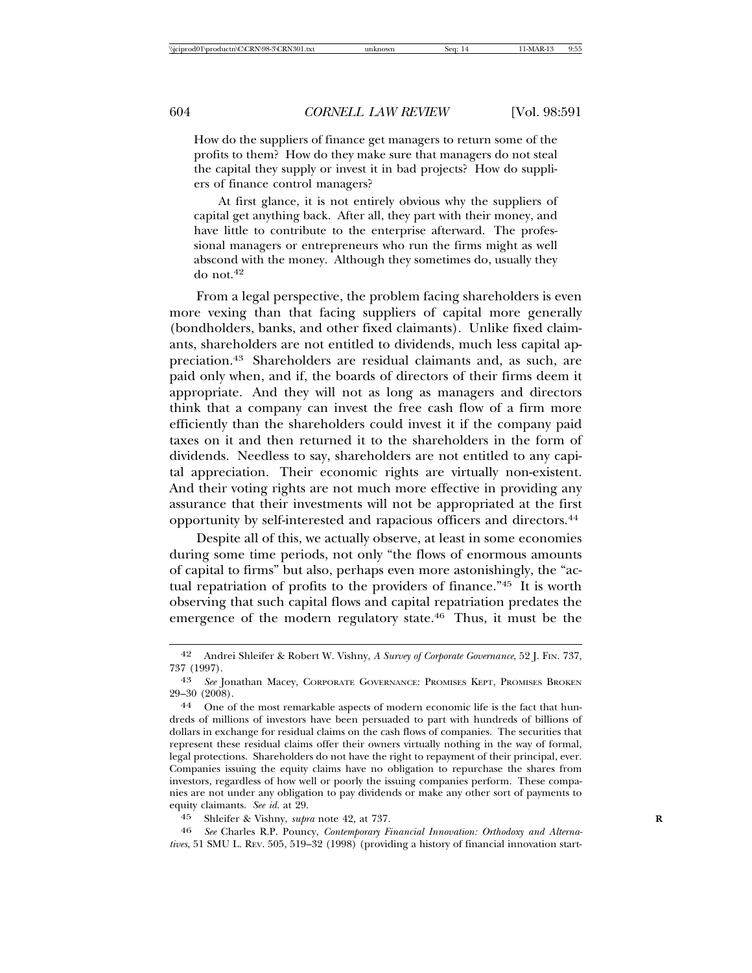How do the suppliers of finance get managers to return some of the profits to them? How do they make sure that managers do not steal the capital they supply or invest it in bad projects? How do suppliers of finance control managers?

At first glance, it is not entirely obvious why the suppliers of capital get anything back. After all, they part with their money, and have little to contribute to the enterprise afterward. The professional managers or entrepreneurs who run the firms might as well abscond with the money. Although they sometimes do, usually they  $\frac{d}{d}$  not  $\frac{42}{d}$ 

From a legal perspective, the problem facing shareholders is even more vexing than that facing suppliers of capital more generally (bondholders, banks, and other fixed claimants). Unlike fixed claimants, shareholders are not entitled to dividends, much less capital appreciation.43 Shareholders are residual claimants and, as such, are paid only when, and if, the boards of directors of their firms deem it appropriate. And they will not as long as managers and directors think that a company can invest the free cash flow of a firm more efficiently than the shareholders could invest it if the company paid taxes on it and then returned it to the shareholders in the form of dividends. Needless to say, shareholders are not entitled to any capital appreciation. Their economic rights are virtually non-existent. And their voting rights are not much more effective in providing any assurance that their investments will not be appropriated at the first opportunity by self-interested and rapacious officers and directors.44

Despite all of this, we actually observe, at least in some economies during some time periods, not only "the flows of enormous amounts of capital to firms" but also, perhaps even more astonishingly, the "actual repatriation of profits to the providers of finance."45 It is worth observing that such capital flows and capital repatriation predates the emergence of the modern regulatory state.<sup>46</sup> Thus, it must be the

46 *See* Charles R.P. Pouncy, *Contemporary Financial Innovation: Orthodoxy and Alternatives*, 51 SMU L. REV. 505, 519–32 (1998) (providing a history of financial innovation start-

<sup>42</sup> Andrei Shleifer & Robert W. Vishny, *A Survey of Corporate Governance*, 52 J. FIN. 737, 737 (1997).

<sup>43</sup> *See* Jonathan Macey, CORPORATE GOVERNANCE: PROMISES KEPT, PROMISES BROKEN  $29-30$  (2008).<br>44 One of

One of the most remarkable aspects of modern economic life is the fact that hundreds of millions of investors have been persuaded to part with hundreds of billions of dollars in exchange for residual claims on the cash flows of companies. The securities that represent these residual claims offer their owners virtually nothing in the way of formal, legal protections. Shareholders do not have the right to repayment of their principal, ever. Companies issuing the equity claims have no obligation to repurchase the shares from investors, regardless of how well or poorly the issuing companies perform. These companies are not under any obligation to pay dividends or make any other sort of payments to equity claimants. *See id.* at 29.

<sup>45</sup> Shleifer & Vishny, *supra* note 42, at 737. **R**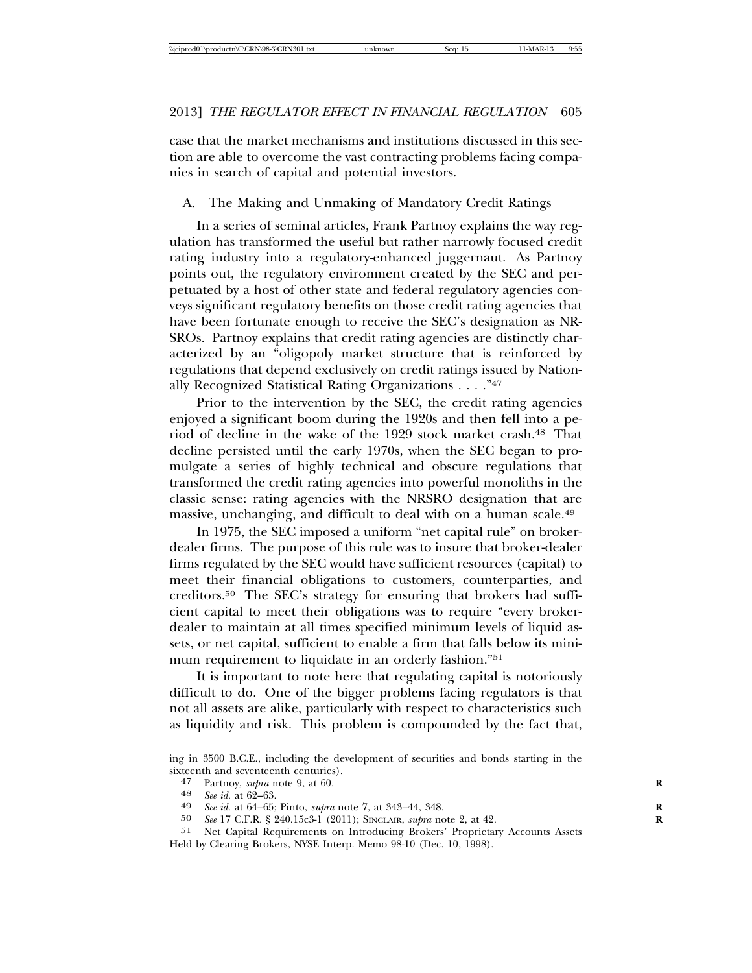case that the market mechanisms and institutions discussed in this section are able to overcome the vast contracting problems facing companies in search of capital and potential investors.

A. The Making and Unmaking of Mandatory Credit Ratings

In a series of seminal articles, Frank Partnoy explains the way regulation has transformed the useful but rather narrowly focused credit rating industry into a regulatory-enhanced juggernaut. As Partnoy points out, the regulatory environment created by the SEC and perpetuated by a host of other state and federal regulatory agencies conveys significant regulatory benefits on those credit rating agencies that have been fortunate enough to receive the SEC's designation as NR-SROs. Partnoy explains that credit rating agencies are distinctly characterized by an "oligopoly market structure that is reinforced by regulations that depend exclusively on credit ratings issued by Nationally Recognized Statistical Rating Organizations . . . ."47

Prior to the intervention by the SEC, the credit rating agencies enjoyed a significant boom during the 1920s and then fell into a period of decline in the wake of the 1929 stock market crash.48 That decline persisted until the early 1970s, when the SEC began to promulgate a series of highly technical and obscure regulations that transformed the credit rating agencies into powerful monoliths in the classic sense: rating agencies with the NRSRO designation that are massive, unchanging, and difficult to deal with on a human scale.<sup>49</sup>

In 1975, the SEC imposed a uniform "net capital rule" on brokerdealer firms. The purpose of this rule was to insure that broker-dealer firms regulated by the SEC would have sufficient resources (capital) to meet their financial obligations to customers, counterparties, and creditors.50 The SEC's strategy for ensuring that brokers had sufficient capital to meet their obligations was to require "every brokerdealer to maintain at all times specified minimum levels of liquid assets, or net capital, sufficient to enable a firm that falls below its minimum requirement to liquidate in an orderly fashion."51

It is important to note here that regulating capital is notoriously difficult to do. One of the bigger problems facing regulators is that not all assets are alike, particularly with respect to characteristics such as liquidity and risk. This problem is compounded by the fact that,

ing in 3500 B.C.E., including the development of securities and bonds starting in the sixteenth and seventeenth centuries).

<sup>47</sup> Partnoy, *supra* note 9, at 60. **R**

<sup>48</sup> *See id.* at 62–63. <sup>49</sup> *See id.* at 64–65; Pinto, *supra* note 7, at 343–44, 348. **<sup>R</sup>**

<sup>50</sup> *See* 17 C.F.R. § 240.15c3-1 (2011); SINCLAIR, *supra* note 2, at 42. **R**

<sup>51</sup> Net Capital Requirements on Introducing Brokers' Proprietary Accounts Assets Held by Clearing Brokers, NYSE Interp. Memo 98-10 (Dec. 10, 1998).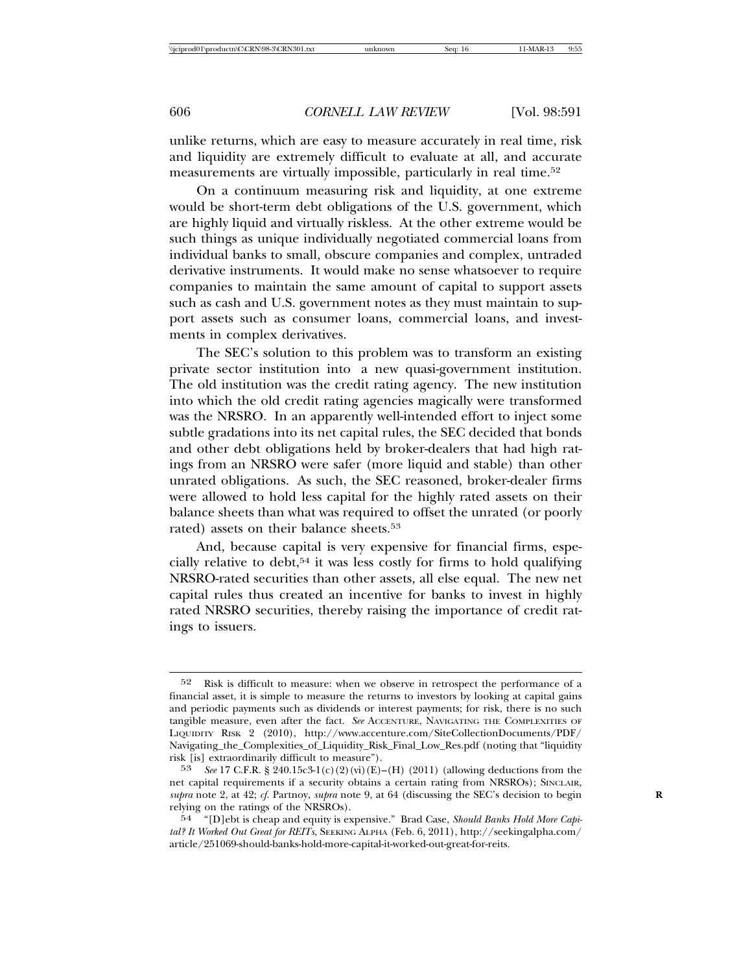unlike returns, which are easy to measure accurately in real time, risk and liquidity are extremely difficult to evaluate at all, and accurate measurements are virtually impossible, particularly in real time.52

On a continuum measuring risk and liquidity, at one extreme would be short-term debt obligations of the U.S. government, which are highly liquid and virtually riskless. At the other extreme would be such things as unique individually negotiated commercial loans from individual banks to small, obscure companies and complex, untraded derivative instruments. It would make no sense whatsoever to require companies to maintain the same amount of capital to support assets such as cash and U.S. government notes as they must maintain to support assets such as consumer loans, commercial loans, and investments in complex derivatives.

The SEC's solution to this problem was to transform an existing private sector institution into a new quasi-government institution. The old institution was the credit rating agency. The new institution into which the old credit rating agencies magically were transformed was the NRSRO. In an apparently well-intended effort to inject some subtle gradations into its net capital rules, the SEC decided that bonds and other debt obligations held by broker-dealers that had high ratings from an NRSRO were safer (more liquid and stable) than other unrated obligations. As such, the SEC reasoned, broker-dealer firms were allowed to hold less capital for the highly rated assets on their balance sheets than what was required to offset the unrated (or poorly rated) assets on their balance sheets.<sup>53</sup>

And, because capital is very expensive for financial firms, especially relative to debt,<sup>54</sup> it was less costly for firms to hold qualifying NRSRO-rated securities than other assets, all else equal. The new net capital rules thus created an incentive for banks to invest in highly rated NRSRO securities, thereby raising the importance of credit ratings to issuers.

<sup>52</sup> Risk is difficult to measure: when we observe in retrospect the performance of a financial asset, it is simple to measure the returns to investors by looking at capital gains and periodic payments such as dividends or interest payments; for risk, there is no such tangible measure, even after the fact. *See* ACCENTURE, NAVIGATING THE COMPLEXITIES OF LIQUIDITY RISK 2 (2010), http://www.accenture.com/SiteCollectionDocuments/PDF/ Navigating\_the\_Complexities\_of\_Liquidity\_Risk\_Final\_Low\_Res.pdf (noting that "liquidity risk [is] extraordinarily difficult to measure").

<sup>53</sup> *See* 17 C.F.R. § 240.15c3-1(c)(2)(vi)(E)–(H) (2011) (allowing deductions from the net capital requirements if a security obtains a certain rating from NRSROs); SINCLAIR, *supra* note 2, at 42; *cf.* Partnoy, *supra* note 9, at 64 (discussing the SEC's decision to begin **R** relying on the ratings of the NRSROs).

<sup>54</sup> "[D]ebt is cheap and equity is expensive." Brad Case, *Should Banks Hold More Capital? It Worked Out Great for REITs*, SEEKING ALPHA (Feb. 6, 2011), http://seekingalpha.com/ article/251069-should-banks-hold-more-capital-it-worked-out-great-for-reits.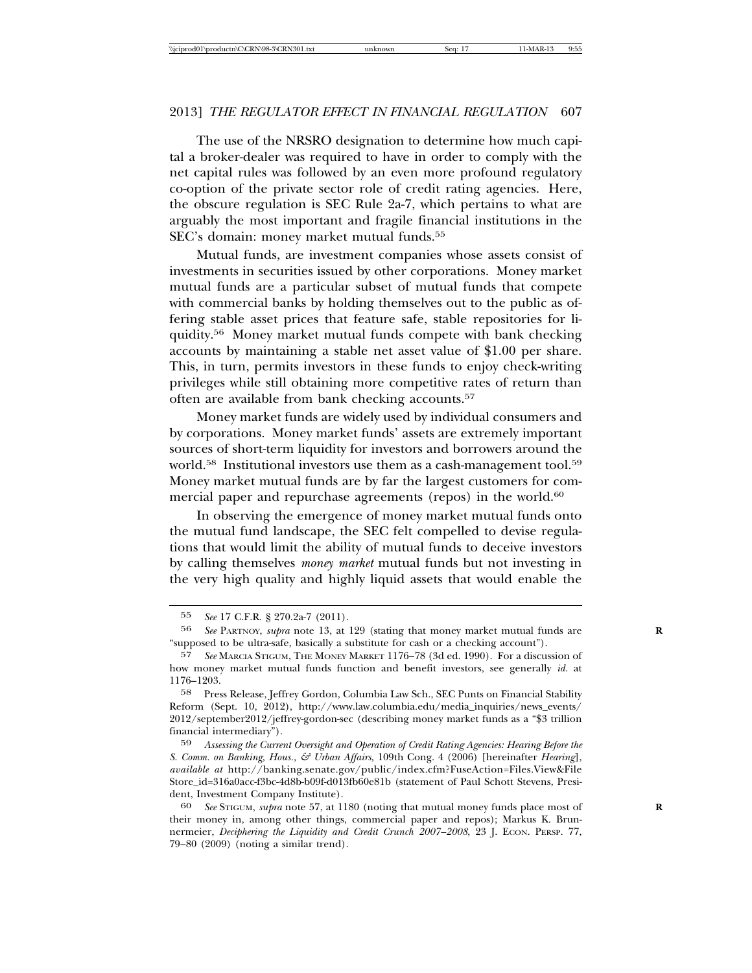### 2013] *THE REGULATOR EFFECT IN FINANCIAL REGULATION* 607

The use of the NRSRO designation to determine how much capital a broker-dealer was required to have in order to comply with the net capital rules was followed by an even more profound regulatory co-option of the private sector role of credit rating agencies. Here, the obscure regulation is SEC Rule 2a-7, which pertains to what are arguably the most important and fragile financial institutions in the SEC's domain: money market mutual funds.<sup>55</sup>

Mutual funds, are investment companies whose assets consist of investments in securities issued by other corporations. Money market mutual funds are a particular subset of mutual funds that compete with commercial banks by holding themselves out to the public as offering stable asset prices that feature safe, stable repositories for liquidity.56 Money market mutual funds compete with bank checking accounts by maintaining a stable net asset value of \$1.00 per share. This, in turn, permits investors in these funds to enjoy check-writing privileges while still obtaining more competitive rates of return than often are available from bank checking accounts.57

Money market funds are widely used by individual consumers and by corporations. Money market funds' assets are extremely important sources of short-term liquidity for investors and borrowers around the world.<sup>58</sup> Institutional investors use them as a cash-management tool.<sup>59</sup> Money market mutual funds are by far the largest customers for commercial paper and repurchase agreements (repos) in the world.<sup>60</sup>

In observing the emergence of money market mutual funds onto the mutual fund landscape, the SEC felt compelled to devise regulations that would limit the ability of mutual funds to deceive investors by calling themselves *money market* mutual funds but not investing in the very high quality and highly liquid assets that would enable the

<sup>55</sup> *See* 17 C.F.R. § 270.2a-7 (2011).

<sup>56</sup> *See* PARTNOY, *supra* note 13, at 129 (stating that money market mutual funds are **R** "supposed to be ultra-safe, basically a substitute for cash or a checking account").

<sup>57</sup> *See* MARCIA STIGUM, THE MONEY MARKET 1176–78 (3d ed. 1990). For a discussion of how money market mutual funds function and benefit investors, see generally *id.* at 1176–1203.

<sup>58</sup> Press Release, Jeffrey Gordon, Columbia Law Sch., SEC Punts on Financial Stability Reform (Sept. 10, 2012), http://www.law.columbia.edu/media\_inquiries/news\_events/ 2012/september2012/jeffrey-gordon-sec (describing money market funds as a "\$3 trillion financial intermediary").

<sup>59</sup> *Assessing the Current Oversight and Operation of Credit Rating Agencies: Hearing Before the S. Comm. on Banking, Hous., & Urban Affairs,* 109th Cong. 4 (2006) [hereinafter *Hearing*], *available at* http://banking.senate.gov/public/index.cfm?FuseAction=Files.View&File Store\_id=316a0acc-f3bc-4d8b-b09f-d013fb60e81b (statement of Paul Schott Stevens, President, Investment Company Institute).

<sup>60</sup> *See* STIGUM, *supra* note 57, at 1180 (noting that mutual money funds place most of **R** their money in, among other things, commercial paper and repos); Markus K. Brunnermeier, *Deciphering the Liquidity and Credit Crunch 2007–2008*, 23 J. ECON. PERSP. 77, 79–80 (2009) (noting a similar trend).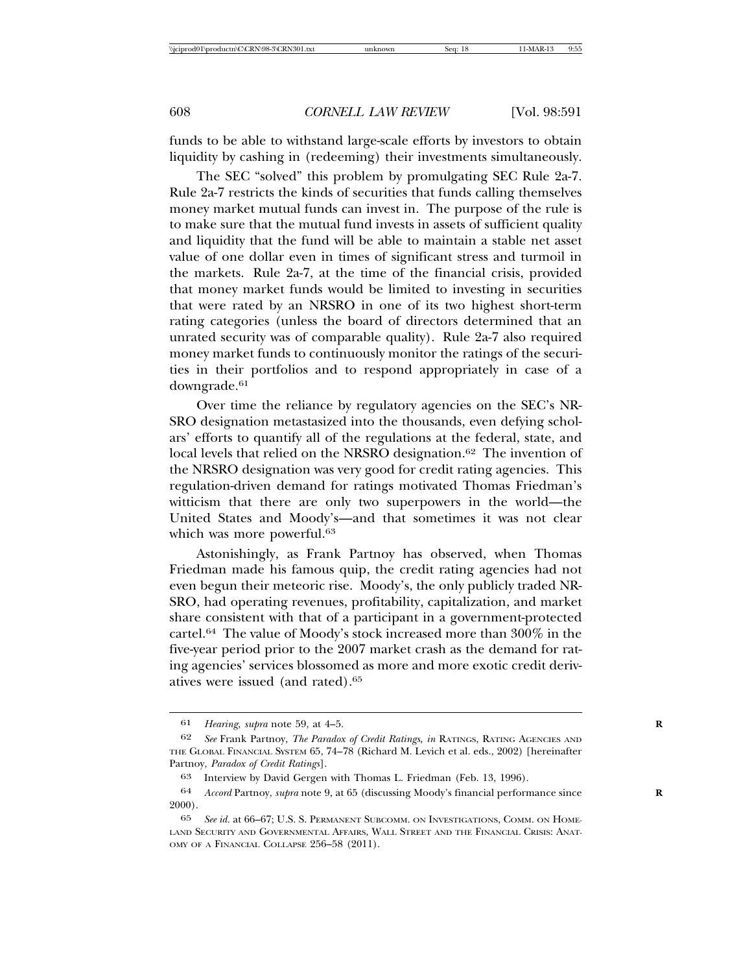funds to be able to withstand large-scale efforts by investors to obtain liquidity by cashing in (redeeming) their investments simultaneously.

The SEC "solved" this problem by promulgating SEC Rule 2a-7. Rule 2a-7 restricts the kinds of securities that funds calling themselves money market mutual funds can invest in. The purpose of the rule is to make sure that the mutual fund invests in assets of sufficient quality and liquidity that the fund will be able to maintain a stable net asset value of one dollar even in times of significant stress and turmoil in the markets. Rule 2a-7, at the time of the financial crisis, provided that money market funds would be limited to investing in securities that were rated by an NRSRO in one of its two highest short-term rating categories (unless the board of directors determined that an unrated security was of comparable quality). Rule 2a-7 also required money market funds to continuously monitor the ratings of the securities in their portfolios and to respond appropriately in case of a downgrade.<sup>61</sup>

Over time the reliance by regulatory agencies on the SEC's NR-SRO designation metastasized into the thousands, even defying scholars' efforts to quantify all of the regulations at the federal, state, and local levels that relied on the NRSRO designation.<sup>62</sup> The invention of the NRSRO designation was very good for credit rating agencies. This regulation-driven demand for ratings motivated Thomas Friedman's witticism that there are only two superpowers in the world—the United States and Moody's—and that sometimes it was not clear which was more powerful.<sup>63</sup>

Astonishingly, as Frank Partnoy has observed, when Thomas Friedman made his famous quip, the credit rating agencies had not even begun their meteoric rise. Moody's, the only publicly traded NR-SRO, had operating revenues, profitability, capitalization, and market share consistent with that of a participant in a government-protected cartel.64 The value of Moody's stock increased more than 300% in the five-year period prior to the 2007 market crash as the demand for rating agencies' services blossomed as more and more exotic credit derivatives were issued (and rated).65

<sup>61</sup> *Hearing*, *supra* note 59, at 4–5. **R**

<sup>62</sup> *See* Frank Partnoy, *The Paradox of Credit Ratings*, *in* RATINGS, RATING AGENCIES AND THE GLOBAL FINANCIAL SYSTEM 65, 74–78 (Richard M. Levich et al. eds., 2002) [hereinafter Partnoy, *Paradox of Credit Ratings*].

<sup>63</sup> Interview by David Gergen with Thomas L. Friedman (Feb. 13, 1996).

<sup>64</sup> *Accord* Partnoy, *supra* note 9, at 65 (discussing Moody's financial performance since **R** 2000).

<sup>65</sup> *See id.* at 66–67; U.S. S. PERMANENT SUBCOMM. ON INVESTIGATIONS, COMM. ON HOME-LAND SECURITY AND GOVERNMENTAL AFFAIRS, WALL STREET AND THE FINANCIAL CRISIS: ANAT-OMY OF A FINANCIAL COLLAPSE 256–58 (2011).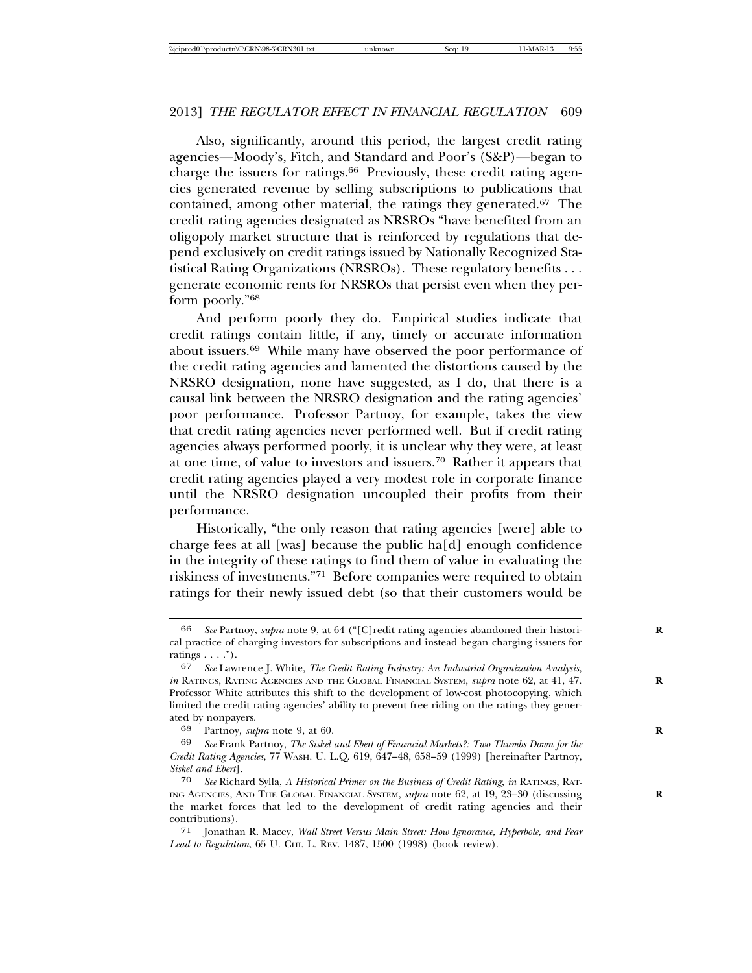#### 2013] *THE REGULATOR EFFECT IN FINANCIAL REGULATION* 609

Also, significantly, around this period, the largest credit rating agencies—Moody's, Fitch, and Standard and Poor's (S&P)—began to charge the issuers for ratings.66 Previously, these credit rating agencies generated revenue by selling subscriptions to publications that contained, among other material, the ratings they generated.67 The credit rating agencies designated as NRSROs "have benefited from an oligopoly market structure that is reinforced by regulations that depend exclusively on credit ratings issued by Nationally Recognized Statistical Rating Organizations (NRSROs). These regulatory benefits . . . generate economic rents for NRSROs that persist even when they perform poorly."68

And perform poorly they do. Empirical studies indicate that credit ratings contain little, if any, timely or accurate information about issuers.69 While many have observed the poor performance of the credit rating agencies and lamented the distortions caused by the NRSRO designation, none have suggested, as I do, that there is a causal link between the NRSRO designation and the rating agencies' poor performance. Professor Partnoy, for example, takes the view that credit rating agencies never performed well. But if credit rating agencies always performed poorly, it is unclear why they were, at least at one time, of value to investors and issuers.70 Rather it appears that credit rating agencies played a very modest role in corporate finance until the NRSRO designation uncoupled their profits from their performance.

Historically, "the only reason that rating agencies [were] able to charge fees at all [was] because the public ha[d] enough confidence in the integrity of these ratings to find them of value in evaluating the riskiness of investments."71 Before companies were required to obtain ratings for their newly issued debt (so that their customers would be

<sup>66</sup> *See* Partnoy, *supra* note 9, at 64 ("[C]redit rating agencies abandoned their histori- **R** cal practice of charging investors for subscriptions and instead began charging issuers for ratings  $\dots$ .").

<sup>67</sup> *See* Lawrence J. White, *The Credit Rating Industry: An Industrial Organization Analysis*, *in* RATINGS, RATING AGENCIES AND THE GLOBAL FINANCIAL SYSTEM, *supra* note 62, at 41, 47. **R** Professor White attributes this shift to the development of low-cost photocopying, which limited the credit rating agencies' ability to prevent free riding on the ratings they generated by nonpayers.

<sup>68</sup> Partnoy, *supra* note 9, at 60. **R**

<sup>69</sup> *See* Frank Partnoy, *The Siskel and Ebert of Financial Markets?: Two Thumbs Down for the Credit Rating Agencies*, 77 WASH. U. L.Q. 619, 647–48, 658–59 (1999) [hereinafter Partnoy, *Siskel and Ebert*].

<sup>70</sup> *See* Richard Sylla, *A Historical Primer on the Business of Credit Rating*, *in* RATINGS, RAT-ING AGENCIES, AND THE GLOBAL FINANCIAL SYSTEM, *supra* note 62, at 19, 23–30 (discussing **R** the market forces that led to the development of credit rating agencies and their contributions).

<sup>71</sup> Jonathan R. Macey, *Wall Street Versus Main Street: How Ignorance, Hyperbole, and Fear* Lead to Regulation, 65 U. CHI. L. REV. 1487, 1500 (1998) (book review).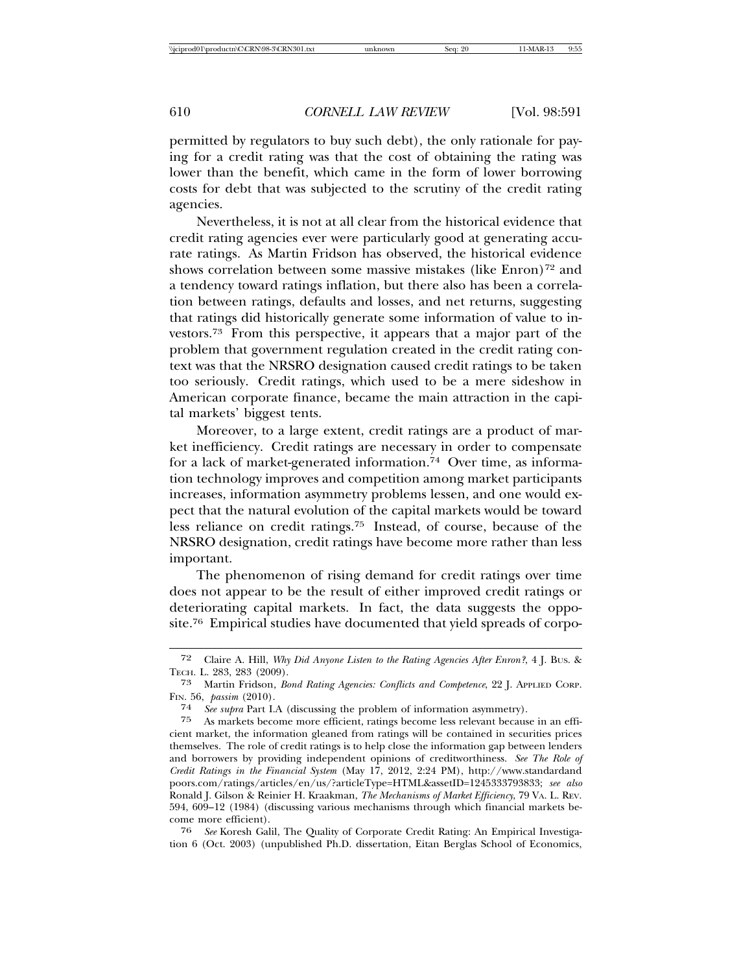permitted by regulators to buy such debt), the only rationale for paying for a credit rating was that the cost of obtaining the rating was lower than the benefit, which came in the form of lower borrowing costs for debt that was subjected to the scrutiny of the credit rating agencies.

Nevertheless, it is not at all clear from the historical evidence that credit rating agencies ever were particularly good at generating accurate ratings. As Martin Fridson has observed, the historical evidence shows correlation between some massive mistakes (like Enron)<sup>72</sup> and a tendency toward ratings inflation, but there also has been a correlation between ratings, defaults and losses, and net returns, suggesting that ratings did historically generate some information of value to investors.73 From this perspective, it appears that a major part of the problem that government regulation created in the credit rating context was that the NRSRO designation caused credit ratings to be taken too seriously. Credit ratings, which used to be a mere sideshow in American corporate finance, became the main attraction in the capital markets' biggest tents.

Moreover, to a large extent, credit ratings are a product of market inefficiency. Credit ratings are necessary in order to compensate for a lack of market-generated information.<sup>74</sup> Over time, as information technology improves and competition among market participants increases, information asymmetry problems lessen, and one would expect that the natural evolution of the capital markets would be toward less reliance on credit ratings.75 Instead, of course, because of the NRSRO designation, credit ratings have become more rather than less important.

The phenomenon of rising demand for credit ratings over time does not appear to be the result of either improved credit ratings or deteriorating capital markets. In fact, the data suggests the opposite.76 Empirical studies have documented that yield spreads of corpo-

76 *See* Koresh Galil, The Quality of Corporate Credit Rating: An Empirical Investigation 6 (Oct. 2003) (unpublished Ph.D. dissertation, Eitan Berglas School of Economics,

<sup>72</sup> Claire A. Hill, *Why Did Anyone Listen to the Rating Agencies After Enron?*, 4 J. BUS. & TECH. L. 283, 283 (2009).

<sup>73</sup> Martin Fridson*, Bond Rating Agencies: Conflicts and Competence*, 22 J. APPLIED CORP. FIN. 56, *passim* (2010).

<sup>74</sup> *See supra* Part I.A (discussing the problem of information asymmetry).<br>75 As markets become more efficient, ratings become less relevant becaus

As markets become more efficient, ratings become less relevant because in an efficient market, the information gleaned from ratings will be contained in securities prices themselves. The role of credit ratings is to help close the information gap between lenders and borrowers by providing independent opinions of creditworthiness. *See The Role of Credit Ratings in the Financial System* (May 17, 2012, 2:24 PM), http://www.standardand poors.com/ratings/articles/en/us/?articleType=HTML&assetID=1245333793833; *see also* Ronald J. Gilson & Reinier H. Kraakman, *The Mechanisms of Market Efficiency*, 79 VA. L. REV. 594, 609–12 (1984) (discussing various mechanisms through which financial markets become more efficient).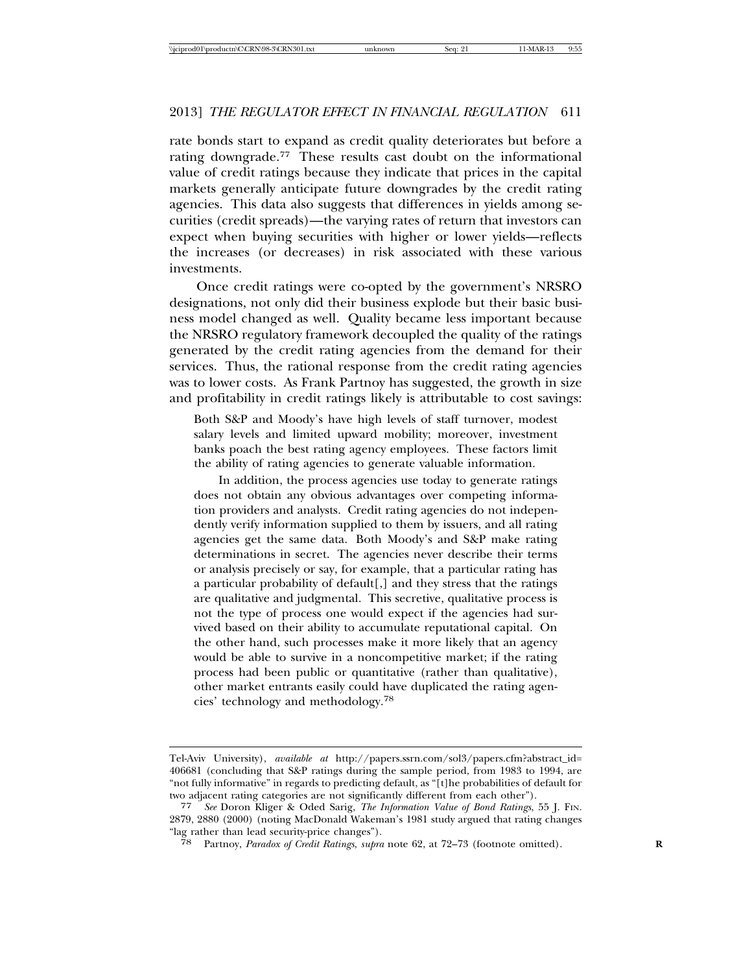rate bonds start to expand as credit quality deteriorates but before a rating downgrade.77 These results cast doubt on the informational value of credit ratings because they indicate that prices in the capital markets generally anticipate future downgrades by the credit rating agencies. This data also suggests that differences in yields among securities (credit spreads)—the varying rates of return that investors can expect when buying securities with higher or lower yields—reflects the increases (or decreases) in risk associated with these various investments.

Once credit ratings were co-opted by the government's NRSRO designations, not only did their business explode but their basic business model changed as well. Quality became less important because the NRSRO regulatory framework decoupled the quality of the ratings generated by the credit rating agencies from the demand for their services. Thus, the rational response from the credit rating agencies was to lower costs. As Frank Partnoy has suggested, the growth in size and profitability in credit ratings likely is attributable to cost savings:

Both S&P and Moody's have high levels of staff turnover, modest salary levels and limited upward mobility; moreover, investment banks poach the best rating agency employees. These factors limit the ability of rating agencies to generate valuable information.

In addition, the process agencies use today to generate ratings does not obtain any obvious advantages over competing information providers and analysts. Credit rating agencies do not independently verify information supplied to them by issuers, and all rating agencies get the same data. Both Moody's and S&P make rating determinations in secret. The agencies never describe their terms or analysis precisely or say, for example, that a particular rating has a particular probability of default[,] and they stress that the ratings are qualitative and judgmental. This secretive, qualitative process is not the type of process one would expect if the agencies had survived based on their ability to accumulate reputational capital. On the other hand, such processes make it more likely that an agency would be able to survive in a noncompetitive market; if the rating process had been public or quantitative (rather than qualitative), other market entrants easily could have duplicated the rating agencies' technology and methodology.78

Tel-Aviv University), *available at* http://papers.ssrn.com/sol3/papers.cfm?abstract\_id= 406681 (concluding that S&P ratings during the sample period, from 1983 to 1994, are "not fully informative" in regards to predicting default, as "[t]he probabilities of default for two adjacent rating categories are not significantly different from each other").

<sup>77</sup> *See* Doron Kliger & Oded Sarig, *The Information Value of Bond Ratings*, 55 J. FIN. 2879, 2880 (2000) (noting MacDonald Wakeman's 1981 study argued that rating changes "lag rather than lead security-price changes").

<sup>78</sup> Partnoy, *Paradox of Credit Ratings*, *supra* note 62, at 72–73 (footnote omitted). **R**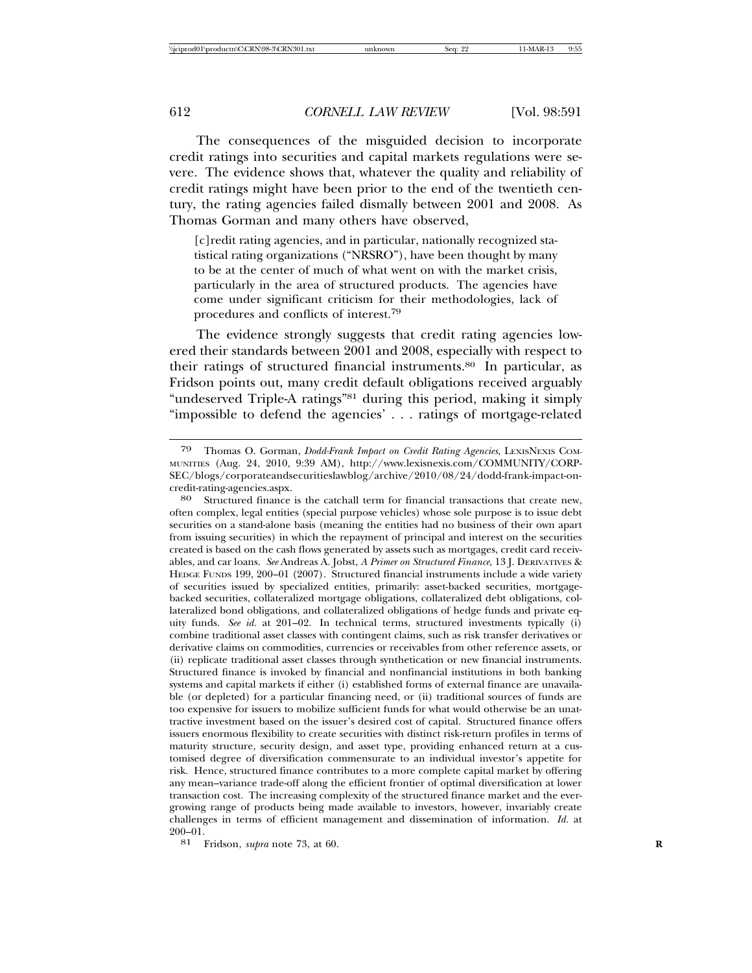The consequences of the misguided decision to incorporate credit ratings into securities and capital markets regulations were severe. The evidence shows that, whatever the quality and reliability of credit ratings might have been prior to the end of the twentieth century, the rating agencies failed dismally between 2001 and 2008. As Thomas Gorman and many others have observed,

[c]redit rating agencies, and in particular, nationally recognized statistical rating organizations ("NRSRO"), have been thought by many to be at the center of much of what went on with the market crisis, particularly in the area of structured products. The agencies have come under significant criticism for their methodologies, lack of procedures and conflicts of interest.79

The evidence strongly suggests that credit rating agencies lowered their standards between 2001 and 2008, especially with respect to their ratings of structured financial instruments.80 In particular, as Fridson points out, many credit default obligations received arguably "undeserved Triple-A ratings"81 during this period, making it simply "impossible to defend the agencies' . . . ratings of mortgage-related

81 Fridson, *supra* note 73, at 60. **R**

<sup>79</sup> Thomas O. Gorman, *Dodd-Frank Impact on Credit Rating Agencies*, LEXISNEXIS COM-MUNITIES (Aug. 24, 2010, 9:39 AM), http://www.lexisnexis.com/COMMUNITY/CORP-SEC/blogs/corporateandsecuritieslawblog/archive/2010/08/24/dodd-frank-impact-on-

credit-rating-agencies.aspx. <sup>80</sup> Structured finance is the catchall term for financial transactions that create new, often complex, legal entities (special purpose vehicles) whose sole purpose is to issue debt securities on a stand-alone basis (meaning the entities had no business of their own apart from issuing securities) in which the repayment of principal and interest on the securities created is based on the cash flows generated by assets such as mortgages, credit card receivables, and car loans. *See* Andreas A. Jobst, *A Primer on Structured Finance*, 13 J. DERIVATIVES & HEDGE FUNDS 199, 200–01 (2007). Structured financial instruments include a wide variety of securities issued by specialized entities, primarily: asset-backed securities, mortgagebacked securities, collateralized mortgage obligations, collateralized debt obligations, collateralized bond obligations, and collateralized obligations of hedge funds and private equity funds. *See id.* at 201–02. In technical terms, structured investments typically (i) combine traditional asset classes with contingent claims, such as risk transfer derivatives or derivative claims on commodities, currencies or receivables from other reference assets, or (ii) replicate traditional asset classes through synthetication or new financial instruments. Structured finance is invoked by financial and nonfinancial institutions in both banking systems and capital markets if either (i) established forms of external finance are unavailable (or depleted) for a particular financing need, or (ii) traditional sources of funds are too expensive for issuers to mobilize sufficient funds for what would otherwise be an unattractive investment based on the issuer's desired cost of capital. Structured finance offers issuers enormous flexibility to create securities with distinct risk-return profiles in terms of maturity structure, security design, and asset type, providing enhanced return at a customised degree of diversification commensurate to an individual investor's appetite for risk. Hence, structured finance contributes to a more complete capital market by offering any mean–variance trade-off along the efficient frontier of optimal diversification at lower transaction cost. The increasing complexity of the structured finance market and the evergrowing range of products being made available to investors, however, invariably create challenges in terms of efficient management and dissemination of information. *Id.* at  $\frac{200-01}{81}$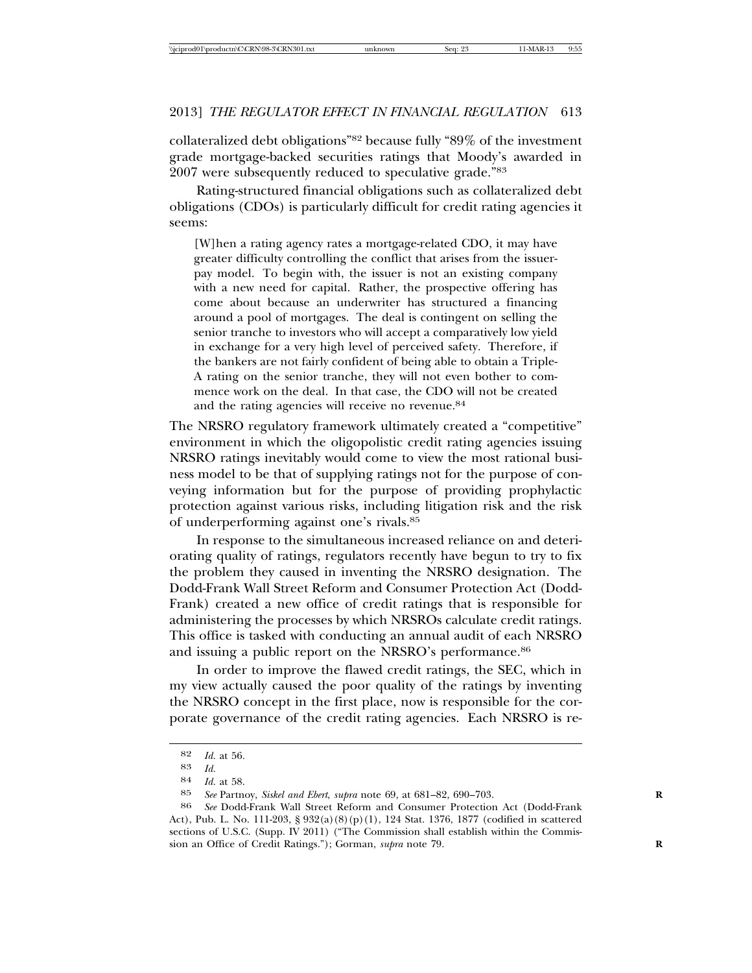collateralized debt obligations"82 because fully "89% of the investment grade mortgage-backed securities ratings that Moody's awarded in 2007 were subsequently reduced to speculative grade."83

Rating-structured financial obligations such as collateralized debt obligations (CDOs) is particularly difficult for credit rating agencies it seems:

[W]hen a rating agency rates a mortgage-related CDO, it may have greater difficulty controlling the conflict that arises from the issuerpay model. To begin with, the issuer is not an existing company with a new need for capital. Rather, the prospective offering has come about because an underwriter has structured a financing around a pool of mortgages. The deal is contingent on selling the senior tranche to investors who will accept a comparatively low yield in exchange for a very high level of perceived safety. Therefore, if the bankers are not fairly confident of being able to obtain a Triple-A rating on the senior tranche, they will not even bother to commence work on the deal. In that case, the CDO will not be created and the rating agencies will receive no revenue.<sup>84</sup>

The NRSRO regulatory framework ultimately created a "competitive" environment in which the oligopolistic credit rating agencies issuing NRSRO ratings inevitably would come to view the most rational business model to be that of supplying ratings not for the purpose of conveying information but for the purpose of providing prophylactic protection against various risks, including litigation risk and the risk of underperforming against one's rivals.85

In response to the simultaneous increased reliance on and deteriorating quality of ratings, regulators recently have begun to try to fix the problem they caused in inventing the NRSRO designation. The Dodd-Frank Wall Street Reform and Consumer Protection Act (Dodd-Frank) created a new office of credit ratings that is responsible for administering the processes by which NRSROs calculate credit ratings. This office is tasked with conducting an annual audit of each NRSRO and issuing a public report on the NRSRO's performance.<sup>86</sup>

In order to improve the flawed credit ratings, the SEC, which in my view actually caused the poor quality of the ratings by inventing the NRSRO concept in the first place, now is responsible for the corporate governance of the credit rating agencies. Each NRSRO is re-

<sup>82</sup> *Id.* at 56.

<sup>83</sup> *Id.*

<sup>84</sup> *Id.* at 58.

<sup>85</sup> *See* Partnoy, *Siskel and Ebert*, *supra* note 69, at 681–82, 690–703. **R**

<sup>86</sup> *See* Dodd-Frank Wall Street Reform and Consumer Protection Act (Dodd-Frank Act), Pub. L. No. 111-203, § 932(a)(8)(p)(1), 124 Stat. 1376, 1877 (codified in scattered sections of U.S.C. (Supp. IV 2011) ("The Commission shall establish within the Commission an Office of Credit Ratings."); Gorman, *supra* note 79.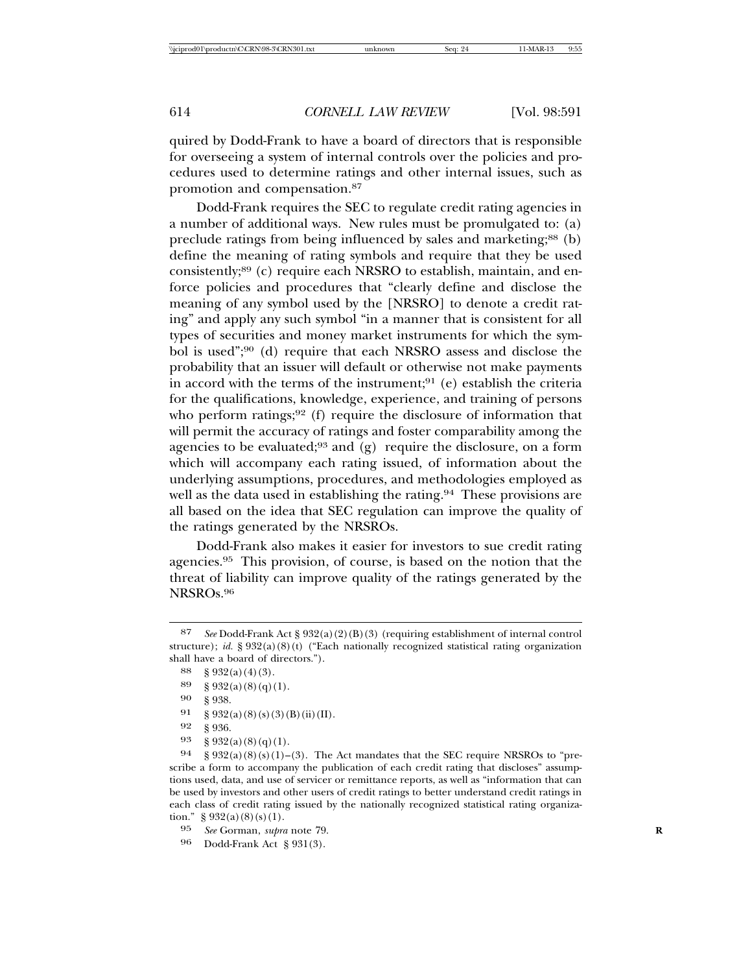quired by Dodd-Frank to have a board of directors that is responsible for overseeing a system of internal controls over the policies and procedures used to determine ratings and other internal issues, such as promotion and compensation.87

Dodd-Frank requires the SEC to regulate credit rating agencies in a number of additional ways. New rules must be promulgated to: (a) preclude ratings from being influenced by sales and marketing;<sup>88</sup> (b) define the meaning of rating symbols and require that they be used consistently;89 (c) require each NRSRO to establish, maintain, and enforce policies and procedures that "clearly define and disclose the meaning of any symbol used by the [NRSRO] to denote a credit rating" and apply any such symbol "in a manner that is consistent for all types of securities and money market instruments for which the symbol is used";90 (d) require that each NRSRO assess and disclose the probability that an issuer will default or otherwise not make payments in accord with the terms of the instrument;<sup>91</sup> (e) establish the criteria for the qualifications, knowledge, experience, and training of persons who perform ratings; $92$  (f) require the disclosure of information that will permit the accuracy of ratings and foster comparability among the agencies to be evaluated;<sup>93</sup> and  $(g)$  require the disclosure, on a form which will accompany each rating issued, of information about the underlying assumptions, procedures, and methodologies employed as well as the data used in establishing the rating.<sup>94</sup> These provisions are all based on the idea that SEC regulation can improve the quality of the ratings generated by the NRSROs.

Dodd-Frank also makes it easier for investors to sue credit rating agencies.95 This provision, of course, is based on the notion that the threat of liability can improve quality of the ratings generated by the NRSROs.96

- 91 § 932(a)(8)(s)(3)(B)(ii)(II).
- 92 § 936.
- 93 § 932(a)(8)(q)(1).

- 95 *See* Gorman, *supra* note 79.<br>96 **Dodd Frank Act 8 031(3)**
- Dodd-Frank Act § 931(3).

<sup>87</sup> *See* Dodd-Frank Act § 932(a)(2)(B)(3) (requiring establishment of internal control structure); *id.* § 932(a)(8)(t) ("Each nationally recognized statistical rating organization shall have a board of directors.").

<sup>88</sup> § 932(a)(4)(3).

<sup>89</sup> § 932(a)(8)(q)(1).

<sup>90</sup> § 938.

<sup>94</sup>  $\S 932(a)(8)(s)(1)–(3)$ . The Act mandates that the SEC require NRSROs to "prescribe a form to accompany the publication of each credit rating that discloses" assumptions used, data, and use of servicer or remittance reports, as well as "information that can be used by investors and other users of credit ratings to better understand credit ratings in each class of credit rating issued by the nationally recognized statistical rating organization."  $\S 932(a)(8)(s)(1)$ .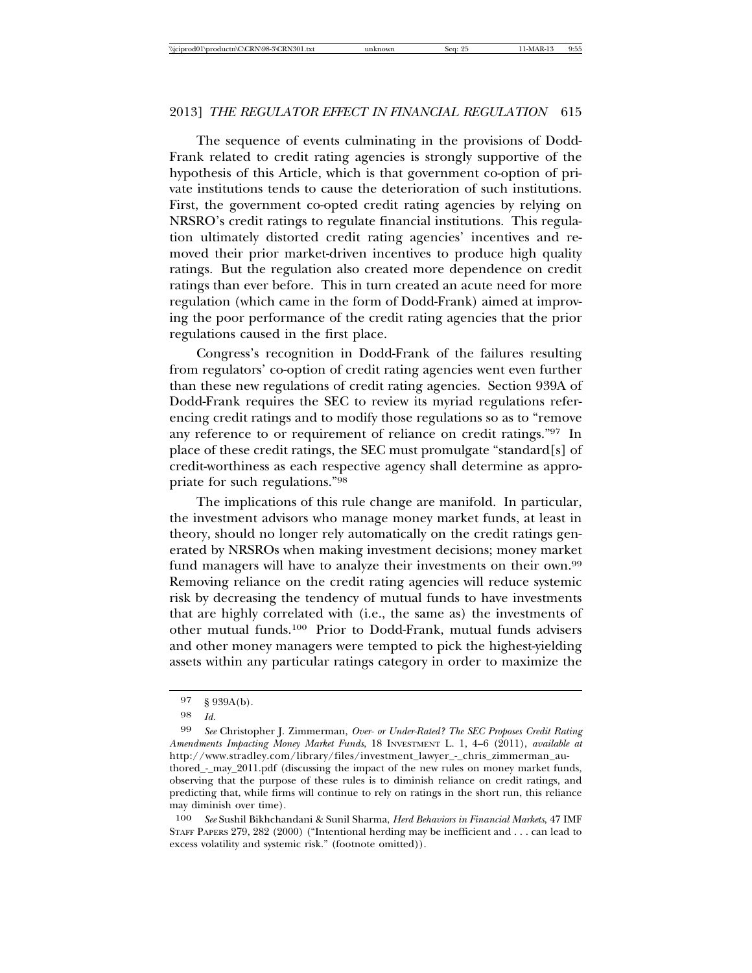The sequence of events culminating in the provisions of Dodd-Frank related to credit rating agencies is strongly supportive of the hypothesis of this Article, which is that government co-option of private institutions tends to cause the deterioration of such institutions. First, the government co-opted credit rating agencies by relying on NRSRO's credit ratings to regulate financial institutions. This regulation ultimately distorted credit rating agencies' incentives and removed their prior market-driven incentives to produce high quality ratings. But the regulation also created more dependence on credit ratings than ever before. This in turn created an acute need for more regulation (which came in the form of Dodd-Frank) aimed at improving the poor performance of the credit rating agencies that the prior regulations caused in the first place.

Congress's recognition in Dodd-Frank of the failures resulting from regulators' co-option of credit rating agencies went even further than these new regulations of credit rating agencies. Section 939A of Dodd-Frank requires the SEC to review its myriad regulations referencing credit ratings and to modify those regulations so as to "remove any reference to or requirement of reliance on credit ratings."97 In place of these credit ratings, the SEC must promulgate "standard[s] of credit-worthiness as each respective agency shall determine as appropriate for such regulations."98

The implications of this rule change are manifold. In particular, the investment advisors who manage money market funds, at least in theory, should no longer rely automatically on the credit ratings generated by NRSROs when making investment decisions; money market fund managers will have to analyze their investments on their own.99 Removing reliance on the credit rating agencies will reduce systemic risk by decreasing the tendency of mutual funds to have investments that are highly correlated with (i.e., the same as) the investments of other mutual funds.100 Prior to Dodd-Frank, mutual funds advisers and other money managers were tempted to pick the highest-yielding assets within any particular ratings category in order to maximize the

<sup>97</sup> § 939A(b).

<sup>98</sup> *Id.*

<sup>99</sup> *See* Christopher J. Zimmerman, *Over- or Under-Rated? The SEC Proposes Credit Rating Amendments Impacting Money Market Funds*, 18 INVESTMENT L. 1, 4–6 (2011), *available at* http://www.stradley.com/library/files/investment\_lawyer\_-\_chris\_zimmerman\_authored\_-\_may\_2011.pdf (discussing the impact of the new rules on money market funds, observing that the purpose of these rules is to diminish reliance on credit ratings, and predicting that, while firms will continue to rely on ratings in the short run, this reliance may diminish over time).

<sup>100</sup> *See* Sushil Bikhchandani & Sunil Sharma, *Herd Behaviors in Financial Markets*, 47 IMF STAFF PAPERS 279, 282 (2000) ("Intentional herding may be inefficient and . . . can lead to excess volatility and systemic risk." (footnote omitted)).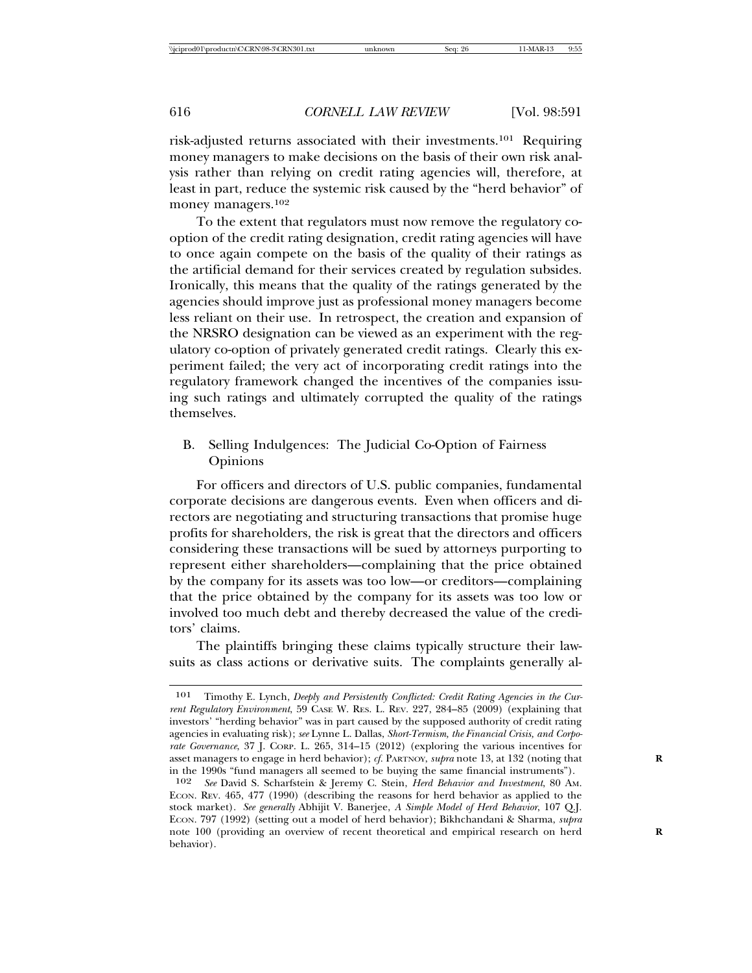risk-adjusted returns associated with their investments.101 Requiring money managers to make decisions on the basis of their own risk analysis rather than relying on credit rating agencies will, therefore, at least in part, reduce the systemic risk caused by the "herd behavior" of money managers.102

To the extent that regulators must now remove the regulatory cooption of the credit rating designation, credit rating agencies will have to once again compete on the basis of the quality of their ratings as the artificial demand for their services created by regulation subsides. Ironically, this means that the quality of the ratings generated by the agencies should improve just as professional money managers become less reliant on their use. In retrospect, the creation and expansion of the NRSRO designation can be viewed as an experiment with the regulatory co-option of privately generated credit ratings. Clearly this experiment failed; the very act of incorporating credit ratings into the regulatory framework changed the incentives of the companies issuing such ratings and ultimately corrupted the quality of the ratings themselves.

B. Selling Indulgences: The Judicial Co-Option of Fairness Opinions

For officers and directors of U.S. public companies, fundamental corporate decisions are dangerous events. Even when officers and directors are negotiating and structuring transactions that promise huge profits for shareholders, the risk is great that the directors and officers considering these transactions will be sued by attorneys purporting to represent either shareholders—complaining that the price obtained by the company for its assets was too low—or creditors—complaining that the price obtained by the company for its assets was too low or involved too much debt and thereby decreased the value of the creditors' claims.

The plaintiffs bringing these claims typically structure their lawsuits as class actions or derivative suits. The complaints generally al-

<sup>101</sup> Timothy E. Lynch, *Deeply and Persistently Conflicted: Credit Rating Agencies in the Current Regulatory Environment*, 59 CASE W. RES. L. REV. 227, 284–85 (2009) (explaining that investors' "herding behavior" was in part caused by the supposed authority of credit rating agencies in evaluating risk); *see* Lynne L. Dallas, *Short-Termism, the Financial Crisis, and Corporate Governance*, 37 J. CORP. L. 265, 314–15 (2012) (exploring the various incentives for asset managers to engage in herd behavior); *cf. PARTNOY, supra* note 13, at 132 (noting that in the 1990s "fund managers all seemed to be buying the same financial instruments").<br> $\frac{102}{8}$  See David S. Scharfstein & Jeremy C. Stein *Herd Behavior and Investment* 80 AM

<sup>102</sup> *See* David S. Scharfstein & Jeremy C. Stein, *Herd Behavior and Investment*, 80 AM. ECON. REV. 465, 477 (1990) (describing the reasons for herd behavior as applied to the stock market). *See generally* Abhijit V. Banerjee, *A Simple Model of Herd Behavior*, 107 Q.J. ECON. 797 (1992) (setting out a model of herd behavior); Bikhchandani & Sharma, *supra* note 100 (providing an overview of recent theoretical and empirical research on herd **R** behavior).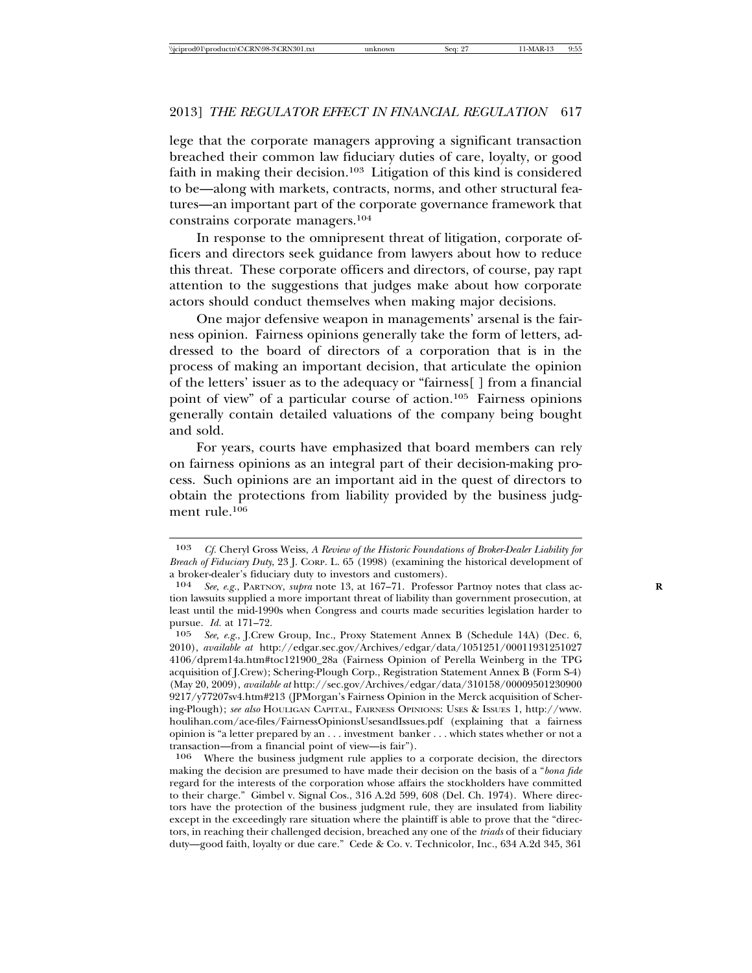lege that the corporate managers approving a significant transaction breached their common law fiduciary duties of care, loyalty, or good faith in making their decision.103 Litigation of this kind is considered to be—along with markets, contracts, norms, and other structural features—an important part of the corporate governance framework that constrains corporate managers.104

In response to the omnipresent threat of litigation, corporate officers and directors seek guidance from lawyers about how to reduce this threat. These corporate officers and directors, of course, pay rapt attention to the suggestions that judges make about how corporate actors should conduct themselves when making major decisions.

One major defensive weapon in managements' arsenal is the fairness opinion. Fairness opinions generally take the form of letters, addressed to the board of directors of a corporation that is in the process of making an important decision, that articulate the opinion of the letters' issuer as to the adequacy or "fairness[ ] from a financial point of view" of a particular course of action.105 Fairness opinions generally contain detailed valuations of the company being bought and sold.

For years, courts have emphasized that board members can rely on fairness opinions as an integral part of their decision-making process. Such opinions are an important aid in the quest of directors to obtain the protections from liability provided by the business judgment rule.106

106 Where the business judgment rule applies to a corporate decision, the directors making the decision are presumed to have made their decision on the basis of a "*bona fide* regard for the interests of the corporation whose affairs the stockholders have committed to their charge." Gimbel v. Signal Cos., 316 A.2d 599, 608 (Del. Ch. 1974). Where directors have the protection of the business judgment rule, they are insulated from liability except in the exceedingly rare situation where the plaintiff is able to prove that the "directors, in reaching their challenged decision, breached any one of the *triads* of their fiduciary duty—good faith, loyalty or due care." Cede & Co. v. Technicolor, Inc., 634 A.2d 345, 361

<sup>103</sup> *Cf.* Cheryl Gross Weiss, *A Review of the Historic Foundations of Broker-Dealer Liability for Breach of Fiduciary Duty*, 23 J. CORP. L. 65 (1998) (examining the historical development of a broker-dealer's fiduciary duty to investors and customers).<br> $104 \t\t See^-e\nc$ , PARTNOV, subra note 13, at 167–71. Professo

See, e.g., PARTNOY, *supra* note 13, at 167–71. Professor Partnoy notes that class action lawsuits supplied a more important threat of liability than government prosecution, at least until the mid-1990s when Congress and courts made securities legislation harder to pursue. *Id.* at 171–72.<br>105 *See, e.g.*, LCrew

<sup>105</sup> *See, e.g.*, J.Crew Group, Inc., Proxy Statement Annex B (Schedule 14A) (Dec. 6, 2010), *available at* http://edgar.sec.gov/Archives/edgar/data/1051251/00011931251027 4106/dprem14a.htm#toc121900\_28a (Fairness Opinion of Perella Weinberg in the TPG acquisition of J.Crew); Schering-Plough Corp., Registration Statement Annex B (Form S-4) (May 20, 2009), *available at* http://sec.gov/Archives/edgar/data/310158/00009501230900 9217/y77207sv4.htm#213 (JPMorgan's Fairness Opinion in the Merck acquisition of Schering-Plough); *see also* HOULIGAN CAPITAL, FAIRNESS OPINIONS: USES & ISSUES 1, http://www. houlihan.com/ace-files/FairnessOpinionsUsesandIssues.pdf (explaining that a fairness opinion is "a letter prepared by an . . . investment banker . . . which states whether or not a transaction—from a financial point of view—is fair").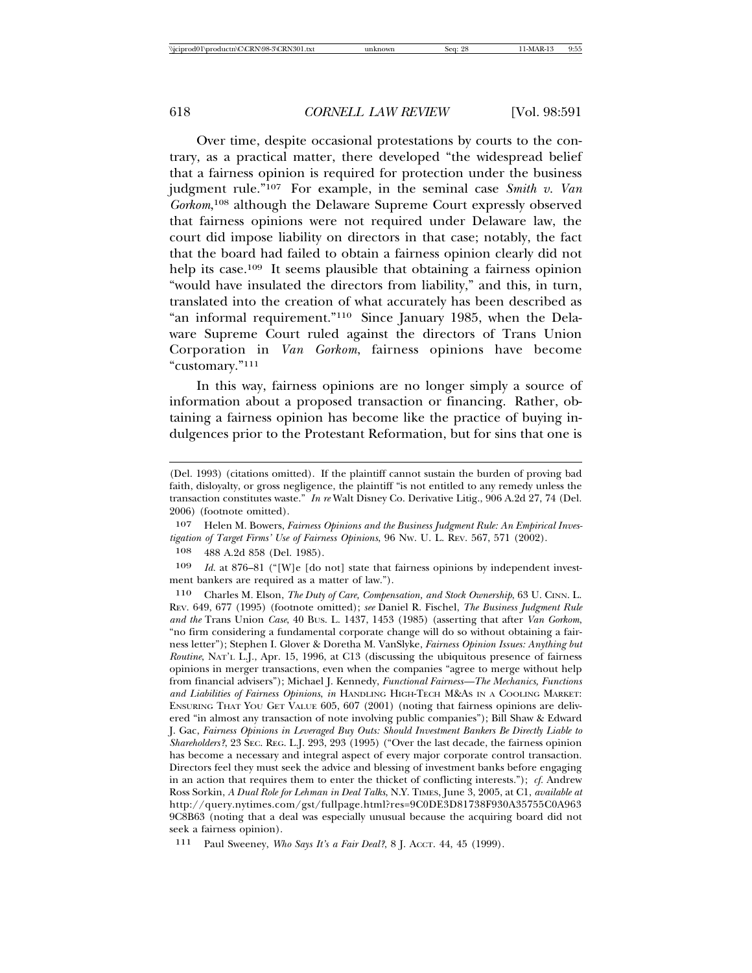Over time, despite occasional protestations by courts to the contrary, as a practical matter, there developed "the widespread belief that a fairness opinion is required for protection under the business judgment rule."107 For example, in the seminal case *Smith v. Van Gorkom*, 108 although the Delaware Supreme Court expressly observed that fairness opinions were not required under Delaware law, the court did impose liability on directors in that case; notably, the fact that the board had failed to obtain a fairness opinion clearly did not help its case.<sup>109</sup> It seems plausible that obtaining a fairness opinion "would have insulated the directors from liability," and this, in turn, translated into the creation of what accurately has been described as "an informal requirement."110 Since January 1985, when the Delaware Supreme Court ruled against the directors of Trans Union Corporation in *Van Gorkom*, fairness opinions have become "customary."111

In this way, fairness opinions are no longer simply a source of information about a proposed transaction or financing. Rather, obtaining a fairness opinion has become like the practice of buying indulgences prior to the Protestant Reformation, but for sins that one is

107 Helen M. Bowers, *Fairness Opinions and the Business Judgment Rule: An Empirical Investigation of Target Firms' Use of Fairness Opinions*, 96 NW. U. L. REV. 567, 571 (2002).

108 488 A.2d 858 (Del. 1985).

109 *Id.* at 876–81 ("[W]e [do not] state that fairness opinions by independent investment bankers are required as a matter of law.").

110 Charles M. Elson, *The Duty of Care, Compensation, and Stock Ownership*, 63 U. CINN. L. REV. 649, 677 (1995) (footnote omitted); *see* Daniel R. Fischel, *The Business Judgment Rule and the* Trans Union *Case*, 40 BUS. L. 1437, 1453 (1985) (asserting that after *Van Gorkom*, "no firm considering a fundamental corporate change will do so without obtaining a fairness letter"); Stephen I. Glover & Doretha M. VanSlyke, *Fairness Opinion Issues: Anything but Routine*, NAT'L L.J., Apr. 15, 1996, at C13 (discussing the ubiquitous presence of fairness opinions in merger transactions, even when the companies "agree to merge without help from financial advisers"); Michael J. Kennedy, *Functional Fairness—The Mechanics, Functions and Liabilities of Fairness Opinions*, *in* HANDLING HIGH-TECH M&AS IN A COOLING MARKET: ENSURING THAT YOU GET VALUE 605, 607 (2001) (noting that fairness opinions are delivered "in almost any transaction of note involving public companies"); Bill Shaw & Edward J. Gac, *Fairness Opinions in Leveraged Buy Outs: Should Investment Bankers Be Directly Liable to Shareholders?*, 23 SEC. REG. L.J. 293, 293 (1995) ("Over the last decade, the fairness opinion has become a necessary and integral aspect of every major corporate control transaction. Directors feel they must seek the advice and blessing of investment banks before engaging in an action that requires them to enter the thicket of conflicting interests."); *cf.* Andrew Ross Sorkin, *A Dual Role for Lehman in Deal Talks*, N.Y. TIMES, June 3, 2005, at C1, *available at* http://query.nytimes.com/gst/fullpage.html?res=9C0DE3D81738F930A35755C0A963 9C8B63 (noting that a deal was especially unusual because the acquiring board did not seek a fairness opinion).

111 Paul Sweeney, *Who Says It's a Fair Deal?*, 8 J. ACCT. 44, 45 (1999).

<sup>(</sup>Del. 1993) (citations omitted). If the plaintiff cannot sustain the burden of proving bad faith, disloyalty, or gross negligence, the plaintiff "is not entitled to any remedy unless the transaction constitutes waste." *In re* Walt Disney Co. Derivative Litig., 906 A.2d 27, 74 (Del. 2006) (footnote omitted).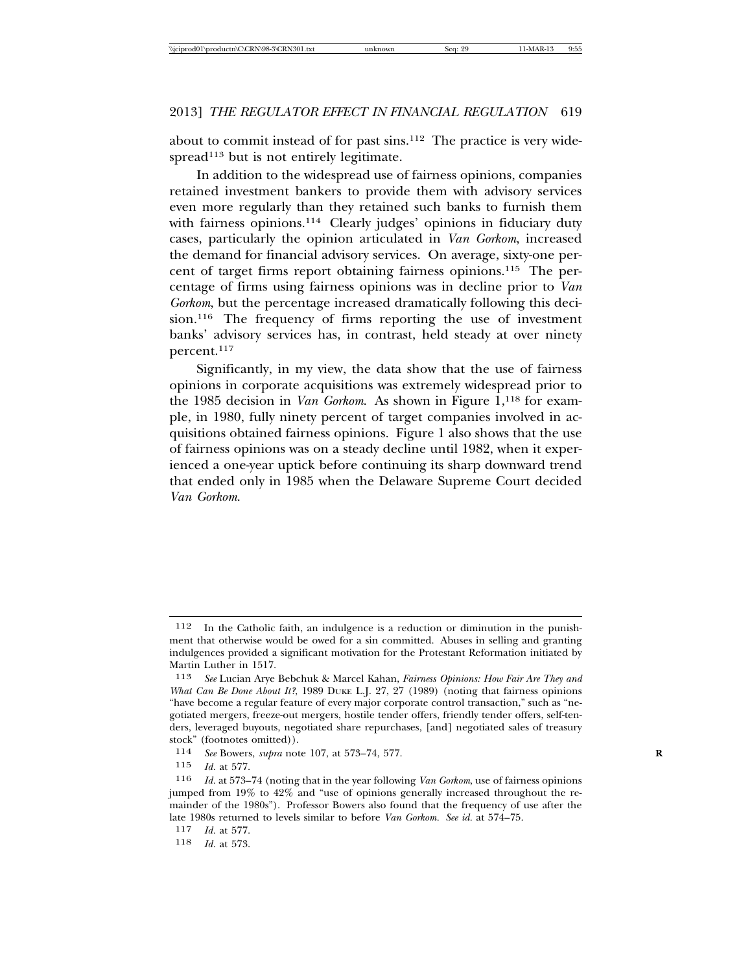about to commit instead of for past sins.112 The practice is very widespread<sup>113</sup> but is not entirely legitimate.

In addition to the widespread use of fairness opinions, companies retained investment bankers to provide them with advisory services even more regularly than they retained such banks to furnish them with fairness opinions.<sup>114</sup> Clearly judges' opinions in fiduciary duty cases, particularly the opinion articulated in *Van Gorkom*, increased the demand for financial advisory services. On average, sixty-one percent of target firms report obtaining fairness opinions.115 The percentage of firms using fairness opinions was in decline prior to *Van Gorkom*, but the percentage increased dramatically following this decision.116 The frequency of firms reporting the use of investment banks' advisory services has, in contrast, held steady at over ninety percent.117

Significantly, in my view, the data show that the use of fairness opinions in corporate acquisitions was extremely widespread prior to the 1985 decision in *Van Gorkom*. As shown in Figure 1,<sup>118</sup> for example, in 1980, fully ninety percent of target companies involved in acquisitions obtained fairness opinions. Figure 1 also shows that the use of fairness opinions was on a steady decline until 1982, when it experienced a one-year uptick before continuing its sharp downward trend that ended only in 1985 when the Delaware Supreme Court decided *Van Gorkom*.

117 *Id.* at 577.

<sup>112</sup> In the Catholic faith, an indulgence is a reduction or diminution in the punishment that otherwise would be owed for a sin committed. Abuses in selling and granting indulgences provided a significant motivation for the Protestant Reformation initiated by Martin Luther in 1517.

<sup>113</sup> *See* Lucian Arye Bebchuk & Marcel Kahan, *Fairness Opinions: How Fair Are They and What Can Be Done About It?*, 1989 DUKE L.J. 27, 27 (1989) (noting that fairness opinions "have become a regular feature of every major corporate control transaction," such as "negotiated mergers, freeze-out mergers, hostile tender offers, friendly tender offers, self-tenders, leveraged buyouts, negotiated share repurchases, [and] negotiated sales of treasury stock" (footnotes omitted)).

<sup>114</sup> *See* Bowers, *supra* note 107, at 573–74, 577. **R**

<sup>115</sup> *Id.* at 577.

<sup>116</sup> *Id.* at 573–74 (noting that in the year following *Van Gorkom*, use of fairness opinions jumped from 19% to 42% and "use of opinions generally increased throughout the remainder of the 1980s"). Professor Bowers also found that the frequency of use after the late 1980s returned to levels similar to before *Van Gorkom. See id.* at 574–75.

<sup>118</sup> *Id.* at 573.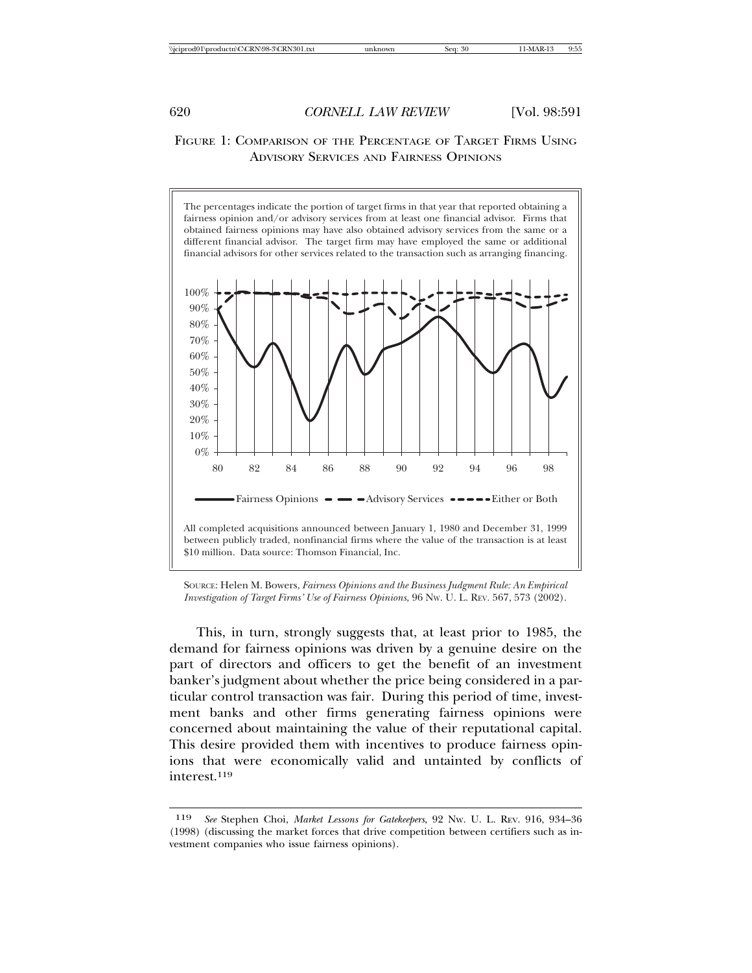# FIGURE 1: COMPARISON OF THE PERCENTAGE OF TARGET FIRMS USING ADVISORY SERVICES AND FAIRNESS OPINIONS



SOURCE: Helen M. Bowers, *Fairness Opinions and the Business Judgment Rule: An Empirical Investigation of Target Firms' Use of Fairness Opinions*, 96 NW. U. L. REV. 567, 573 (2002).

This, in turn, strongly suggests that, at least prior to 1985, the demand for fairness opinions was driven by a genuine desire on the part of directors and officers to get the benefit of an investment banker's judgment about whether the price being considered in a particular control transaction was fair. During this period of time, investment banks and other firms generating fairness opinions were concerned about maintaining the value of their reputational capital. This desire provided them with incentives to produce fairness opinions that were economically valid and untainted by conflicts of interest<sup>119</sup>

<sup>119</sup> *See* Stephen Choi, *Market Lessons for Gatekeepers*, 92 NW. U. L. REV. 916, 934–36 (1998) (discussing the market forces that drive competition between certifiers such as investment companies who issue fairness opinions).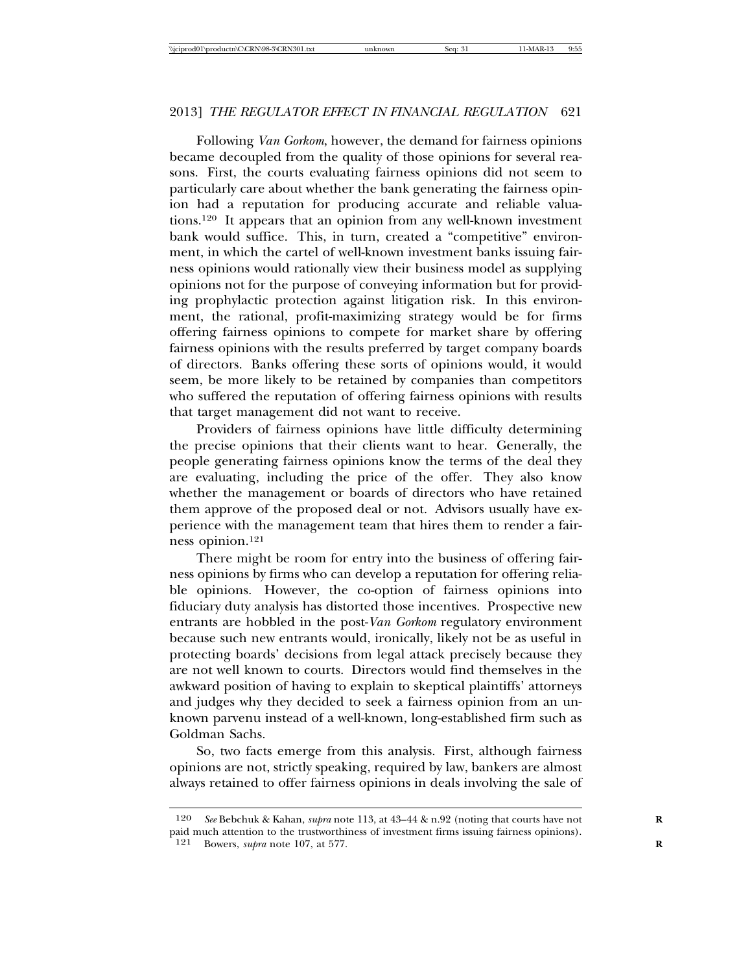Following *Van Gorkom*, however, the demand for fairness opinions became decoupled from the quality of those opinions for several reasons. First, the courts evaluating fairness opinions did not seem to particularly care about whether the bank generating the fairness opinion had a reputation for producing accurate and reliable valuations.120 It appears that an opinion from any well-known investment bank would suffice. This, in turn, created a "competitive" environment, in which the cartel of well-known investment banks issuing fairness opinions would rationally view their business model as supplying opinions not for the purpose of conveying information but for providing prophylactic protection against litigation risk. In this environment, the rational, profit-maximizing strategy would be for firms offering fairness opinions to compete for market share by offering fairness opinions with the results preferred by target company boards of directors. Banks offering these sorts of opinions would, it would seem, be more likely to be retained by companies than competitors who suffered the reputation of offering fairness opinions with results that target management did not want to receive.

Providers of fairness opinions have little difficulty determining the precise opinions that their clients want to hear. Generally, the people generating fairness opinions know the terms of the deal they are evaluating, including the price of the offer. They also know whether the management or boards of directors who have retained them approve of the proposed deal or not. Advisors usually have experience with the management team that hires them to render a fairness opinion.121

There might be room for entry into the business of offering fairness opinions by firms who can develop a reputation for offering reliable opinions. However, the co-option of fairness opinions into fiduciary duty analysis has distorted those incentives. Prospective new entrants are hobbled in the post-*Van Gorkom* regulatory environment because such new entrants would, ironically, likely not be as useful in protecting boards' decisions from legal attack precisely because they are not well known to courts. Directors would find themselves in the awkward position of having to explain to skeptical plaintiffs' attorneys and judges why they decided to seek a fairness opinion from an unknown parvenu instead of a well-known, long-established firm such as Goldman Sachs.

So, two facts emerge from this analysis. First, although fairness opinions are not, strictly speaking, required by law, bankers are almost always retained to offer fairness opinions in deals involving the sale of

<sup>120</sup> *See* Bebchuk & Kahan, *supra* note 113, at 43–44 & n.92 (noting that courts have not **R** paid much attention to the trustworthiness of investment firms issuing fairness opinions).<br>121 Bowers *subra* note 107 at 577 Bowers, *supra* note 107, at 577.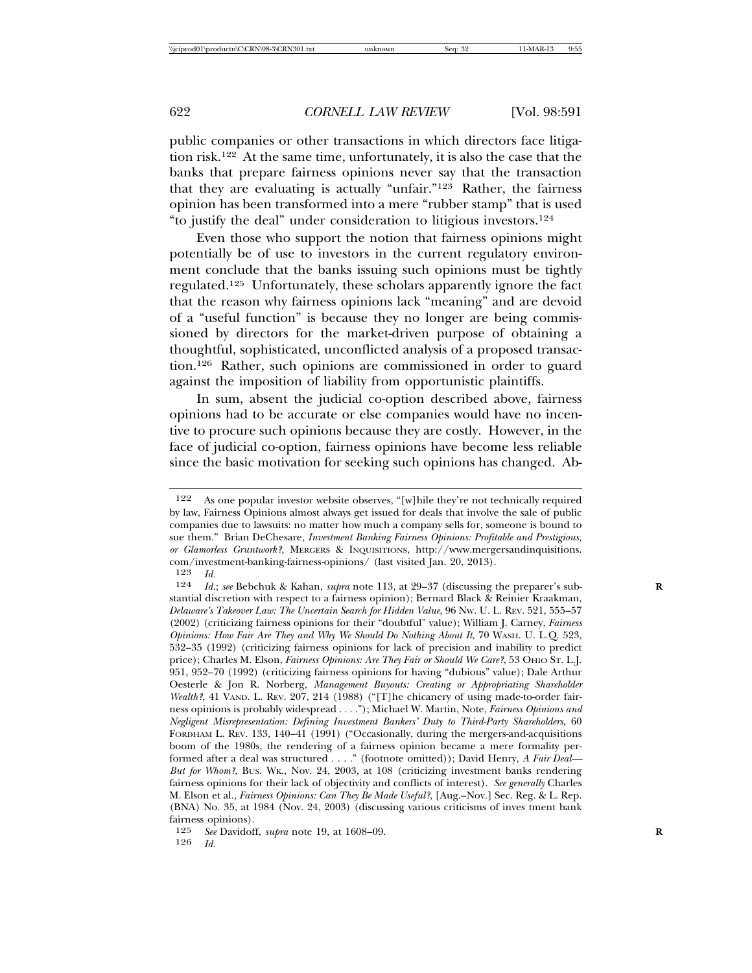#### 622 *CORNELL LAW REVIEW* [Vol. 98:591

public companies or other transactions in which directors face litigation risk.122 At the same time, unfortunately, it is also the case that the banks that prepare fairness opinions never say that the transaction that they are evaluating is actually "unfair."123 Rather, the fairness opinion has been transformed into a mere "rubber stamp" that is used "to justify the deal" under consideration to litigious investors.124

Even those who support the notion that fairness opinions might potentially be of use to investors in the current regulatory environment conclude that the banks issuing such opinions must be tightly regulated.125 Unfortunately, these scholars apparently ignore the fact that the reason why fairness opinions lack "meaning" and are devoid of a "useful function" is because they no longer are being commissioned by directors for the market-driven purpose of obtaining a thoughtful, sophisticated, unconflicted analysis of a proposed transaction.126 Rather, such opinions are commissioned in order to guard against the imposition of liability from opportunistic plaintiffs.

In sum, absent the judicial co-option described above, fairness opinions had to be accurate or else companies would have no incentive to procure such opinions because they are costly. However, in the face of judicial co-option, fairness opinions have become less reliable since the basic motivation for seeking such opinions has changed. Ab-

125 *See* Davidoff, *supra* note 19, at 1608–09. **R** 126 *Id.*

<sup>122</sup> As one popular investor website observes, "[w]hile they're not technically required by law, Fairness Opinions almost always get issued for deals that involve the sale of public companies due to lawsuits: no matter how much a company sells for, someone is bound to sue them." Brian DeChesare, *Investment Banking Fairness Opinions: Profitable and Prestigious, or Glamorless Gruntwork?*, MERGERS & INQUISITIONS, http://www.mergersandinquisitions. com/investment-banking-fairness-opinions/ (last visited Jan. 20, 2013).

<sup>123</sup> *Id.*

*Id.*; *see* Bebchuk & Kahan, *supra* note 113, at 29–37 (discussing the preparer's substantial discretion with respect to a fairness opinion); Bernard Black & Reinier Kraakman, *Delaware's Takeover Law: The Uncertain Search for Hidden Value*, 96 NW. U. L. REV. 521, 555–57 (2002) (criticizing fairness opinions for their "doubtful" value); William J. Carney, *Fairness Opinions: How Fair Are They and Why We Should Do Nothing About It*, 70 WASH. U. L.Q. 523, 532–35 (1992) (criticizing fairness opinions for lack of precision and inability to predict price); Charles M. Elson, *Fairness Opinions: Are They Fair or Should We Care?*, 53 OHIO ST. L.J. 951, 952–70 (1992) (criticizing fairness opinions for having "dubious" value); Dale Arthur Oesterle & Jon R. Norberg, *Management Buyouts: Creating or Appropriating Shareholder Wealth?*, 41 VAND. L. REV. 207, 214 (1988) ("[T]he chicanery of using made-to-order fairness opinions is probably widespread . . . ."); Michael W. Martin, Note, *Fairness Opinions and Negligent Misrepresentation: Defining Investment Bankers' Duty to Third-Party Shareholders*, 60 FORDHAM L. REV. 133, 140–41 (1991) ("Occasionally, during the mergers-and-acquisitions boom of the 1980s, the rendering of a fairness opinion became a mere formality performed after a deal was structured . . . ." (footnote omitted)); David Henry, *A Fair Deal— But for Whom?*, BUS. WK., Nov. 24, 2003, at 108 (criticizing investment banks rendering fairness opinions for their lack of objectivity and conflicts of interest). *See generally* Charles M. Elson et al., *Fairness Opinions: Can They Be Made Useful?*, [Aug.–Nov.] Sec. Reg. & L. Rep. (BNA) No. 35, at 1984 (Nov. 24, 2003) (discussing various criticisms of inves tment bank fairness opinions).<br> $\frac{125}{\text{See}}$  Davidof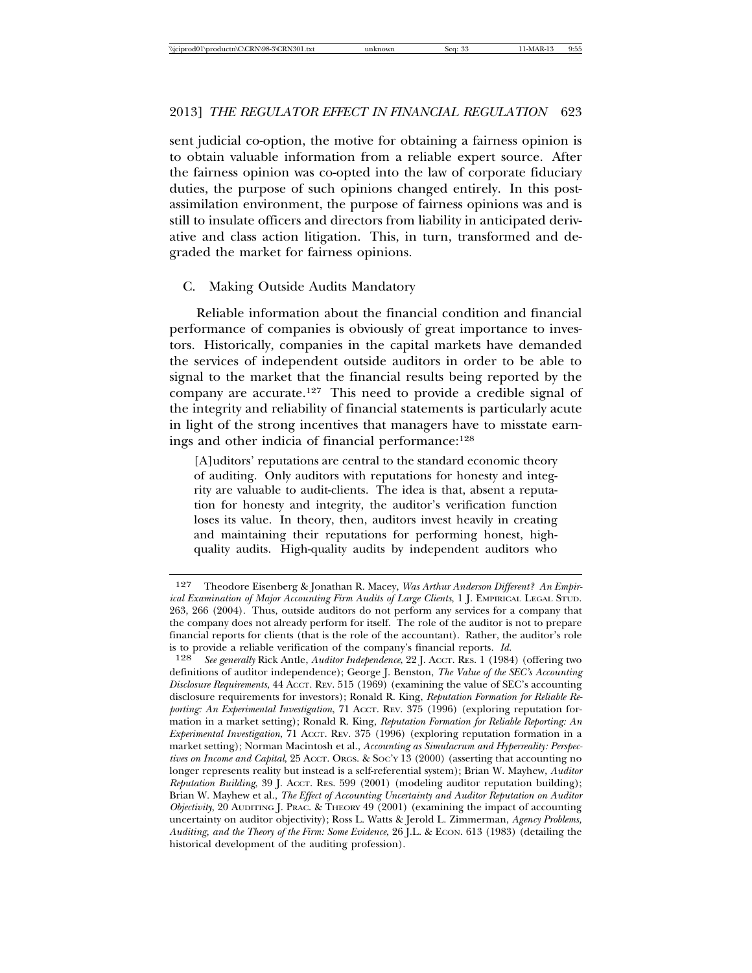sent judicial co-option, the motive for obtaining a fairness opinion is to obtain valuable information from a reliable expert source. After the fairness opinion was co-opted into the law of corporate fiduciary duties, the purpose of such opinions changed entirely. In this postassimilation environment, the purpose of fairness opinions was and is still to insulate officers and directors from liability in anticipated derivative and class action litigation. This, in turn, transformed and degraded the market for fairness opinions.

## C. Making Outside Audits Mandatory

Reliable information about the financial condition and financial performance of companies is obviously of great importance to investors. Historically, companies in the capital markets have demanded the services of independent outside auditors in order to be able to signal to the market that the financial results being reported by the company are accurate.127 This need to provide a credible signal of the integrity and reliability of financial statements is particularly acute in light of the strong incentives that managers have to misstate earnings and other indicia of financial performance:128

[A]uditors' reputations are central to the standard economic theory of auditing. Only auditors with reputations for honesty and integrity are valuable to audit-clients. The idea is that, absent a reputation for honesty and integrity, the auditor's verification function loses its value. In theory, then, auditors invest heavily in creating and maintaining their reputations for performing honest, highquality audits. High-quality audits by independent auditors who

<sup>127</sup> Theodore Eisenberg & Jonathan R. Macey, *Was Arthur Anderson Different? An Empirical Examination of Major Accounting Firm Audits of Large Clients*, 1 J. EMPIRICAL LEGAL STUD. 263, 266 (2004). Thus, outside auditors do not perform any services for a company that the company does not already perform for itself. The role of the auditor is not to prepare financial reports for clients (that is the role of the accountant). Rather, the auditor's role is to provide a reliable verification of the company's financial reports. *Id.*

<sup>128</sup> *See generally* Rick Antle, *Auditor Independence*, 22 J. ACCT. RES. 1 (1984) (offering two definitions of auditor independence); George J. Benston, *The Value of the SEC's Accounting Disclosure Requirements*, 44 ACCT. REV. 515 (1969) (examining the value of SEC's accounting disclosure requirements for investors); Ronald R. King, *Reputation Formation for Reliable Reporting: An Experimental Investigation*, 71 ACCT. REV. 375 (1996) (exploring reputation formation in a market setting); Ronald R. King, *Reputation Formation for Reliable Reporting: An Experimental Investigation*, 71 AccT. REV. 375 (1996) (exploring reputation formation in a market setting); Norman Macintosh et al., *Accounting as Simulacrum and Hyperreality: Perspectives on Income and Capital*, 25 ACCT. ORGS. & SOC'Y 13 (2000) (asserting that accounting no longer represents reality but instead is a self-referential system); Brian W. Mayhew, *Auditor Reputation Building*, 39 J. ACCT. RES. 599 (2001) (modeling auditor reputation building); Brian W. Mayhew et al., *The Effect of Accounting Uncertainty and Auditor Reputation on Auditor Objectivity*, 20 AUDITING J. PRAC. & THEORY 49 (2001) (examining the impact of accounting uncertainty on auditor objectivity); Ross L. Watts & Jerold L. Zimmerman, *Agency Problems, Auditing, and the Theory of the Firm: Some Evidence*, 26 J.L. & ECON. 613 (1983) (detailing the historical development of the auditing profession).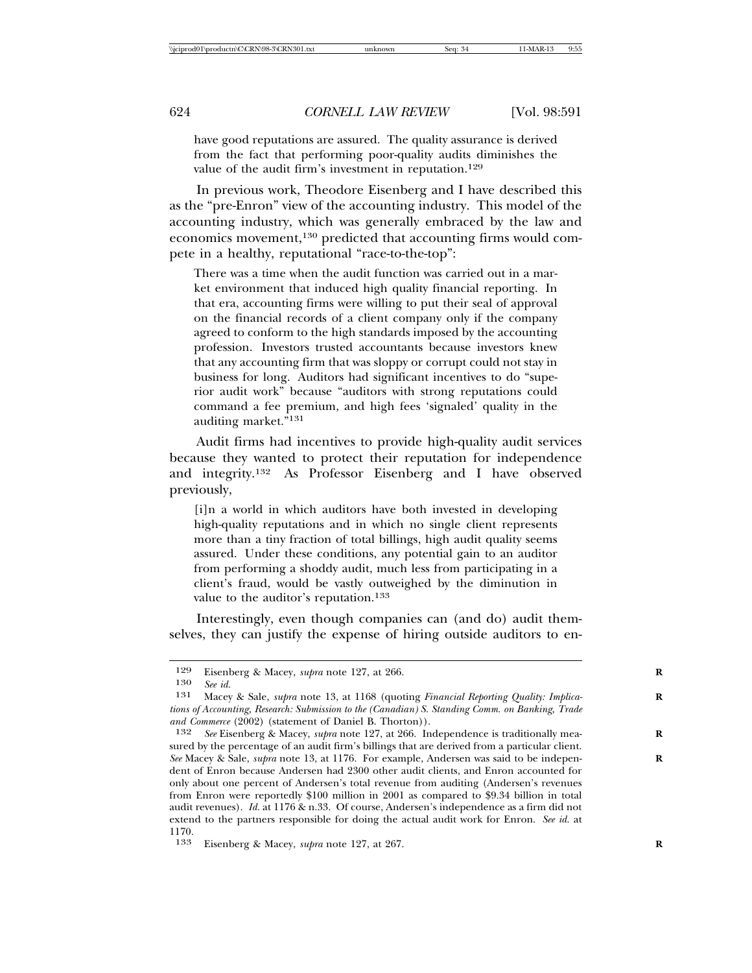have good reputations are assured. The quality assurance is derived from the fact that performing poor-quality audits diminishes the value of the audit firm's investment in reputation.129

In previous work, Theodore Eisenberg and I have described this as the "pre-Enron" view of the accounting industry. This model of the accounting industry, which was generally embraced by the law and economics movement,130 predicted that accounting firms would compete in a healthy, reputational "race-to-the-top":

There was a time when the audit function was carried out in a market environment that induced high quality financial reporting. In that era, accounting firms were willing to put their seal of approval on the financial records of a client company only if the company agreed to conform to the high standards imposed by the accounting profession. Investors trusted accountants because investors knew that any accounting firm that was sloppy or corrupt could not stay in business for long. Auditors had significant incentives to do "superior audit work" because "auditors with strong reputations could command a fee premium, and high fees 'signaled' quality in the auditing market."<sup>131</sup>

Audit firms had incentives to provide high-quality audit services because they wanted to protect their reputation for independence and integrity.132 As Professor Eisenberg and I have observed previously,

[i]n a world in which auditors have both invested in developing high-quality reputations and in which no single client represents more than a tiny fraction of total billings, high audit quality seems assured. Under these conditions, any potential gain to an auditor from performing a shoddy audit, much less from participating in a client's fraud, would be vastly outweighed by the diminution in value to the auditor's reputation.<sup>133</sup>

Interestingly, even though companies can (and do) audit themselves, they can justify the expense of hiring outside auditors to en-

<sup>&</sup>lt;sup>129</sup> Eisenberg & Macey, *supra* note 127, at 266.<br><sup>130</sup> See id

<sup>130</sup> *See id.*

<sup>131</sup> Macey & Sale, *supra* note 13, at 1168 (quoting *Financial Reporting Quality: Implica-* **R** *tions of Accounting, Research: Submission to the (Canadian) S. Standing Comm. on Banking, Trade and Commerce* (2002) (statement of Daniel B. Thorton)).

<sup>132</sup> *See* Eisenberg & Macey, *supra* note 127, at 266. Independence is traditionally mea- **R** sured by the percentage of an audit firm's billings that are derived from a particular client. See Macey & Sale, *supra* note 13, at 1176. For example, Andersen was said to be independent of Enron because Andersen had 2300 other audit clients, and Enron accounted for only about one percent of Andersen's total revenue from auditing (Andersen's revenues from Enron were reportedly \$100 million in 2001 as compared to \$9.34 billion in total audit revenues). *Id.* at 1176 & n.33. Of course, Andersen's independence as a firm did not extend to the partners responsible for doing the actual audit work for Enron. *See id.* at 1170.

Eisenberg & Macey, *supra* note 127, at 267.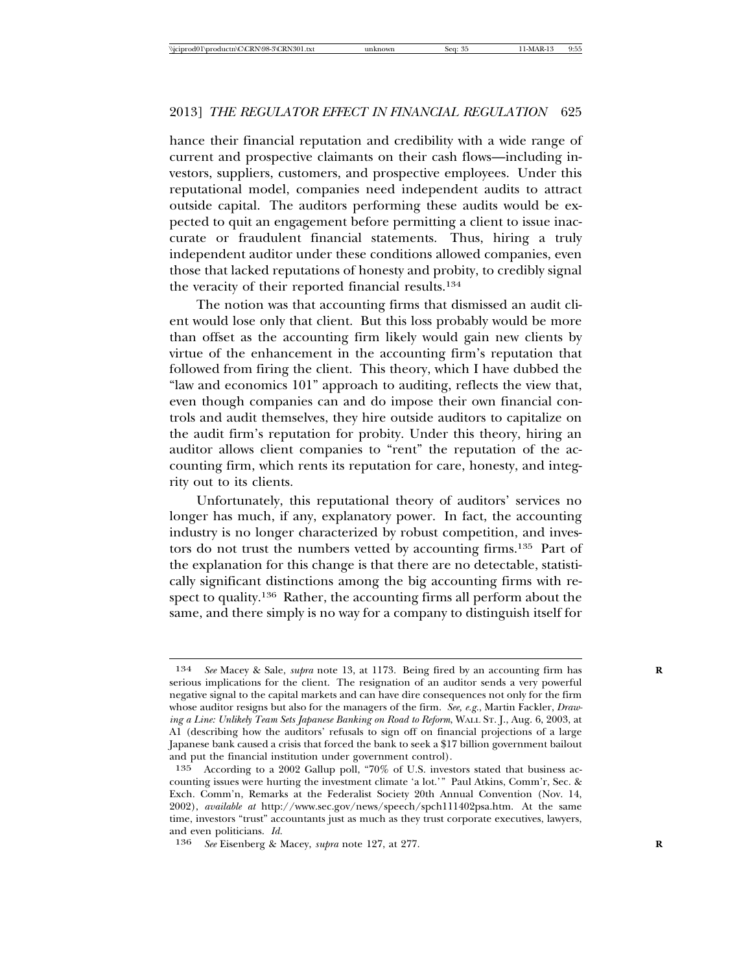hance their financial reputation and credibility with a wide range of current and prospective claimants on their cash flows—including investors, suppliers, customers, and prospective employees. Under this reputational model, companies need independent audits to attract outside capital. The auditors performing these audits would be expected to quit an engagement before permitting a client to issue inaccurate or fraudulent financial statements. Thus, hiring a truly independent auditor under these conditions allowed companies, even those that lacked reputations of honesty and probity, to credibly signal the veracity of their reported financial results.134

The notion was that accounting firms that dismissed an audit client would lose only that client. But this loss probably would be more than offset as the accounting firm likely would gain new clients by virtue of the enhancement in the accounting firm's reputation that followed from firing the client. This theory, which I have dubbed the "law and economics 101" approach to auditing, reflects the view that, even though companies can and do impose their own financial controls and audit themselves, they hire outside auditors to capitalize on the audit firm's reputation for probity. Under this theory, hiring an auditor allows client companies to "rent" the reputation of the accounting firm, which rents its reputation for care, honesty, and integrity out to its clients.

Unfortunately, this reputational theory of auditors' services no longer has much, if any, explanatory power. In fact, the accounting industry is no longer characterized by robust competition, and investors do not trust the numbers vetted by accounting firms.135 Part of the explanation for this change is that there are no detectable, statistically significant distinctions among the big accounting firms with respect to quality.136 Rather, the accounting firms all perform about the same, and there simply is no way for a company to distinguish itself for

<sup>134</sup> *See* Macey & Sale, *supra* note 13, at 1173. Being fired by an accounting firm has **R** serious implications for the client. The resignation of an auditor sends a very powerful negative signal to the capital markets and can have dire consequences not only for the firm whose auditor resigns but also for the managers of the firm. *See, e.g.*, Martin Fackler, *Drawing a Line: Unlikely Team Sets Japanese Banking on Road to Reform*, WALL ST. J., Aug. 6, 2003, at A1 (describing how the auditors' refusals to sign off on financial projections of a large Japanese bank caused a crisis that forced the bank to seek a \$17 billion government bailout and put the financial institution under government control).<br>135 According to a 2002 Gallup poll. "70% of U.S. inves

According to a 2002 Gallup poll, "70% of U.S. investors stated that business accounting issues were hurting the investment climate 'a lot.'" Paul Atkins, Comm'r, Sec. & Exch. Comm'n, Remarks at the Federalist Society 20th Annual Convention (Nov. 14, 2002), *available at* http://www.sec.gov/news/speech/spch111402psa.htm. At the same time, investors "trust" accountants just as much as they trust corporate executives, lawyers, and even politicians. *Id.*

<sup>136</sup> *See* Eisenberg & Macey, *supra* note 127, at 277. **R**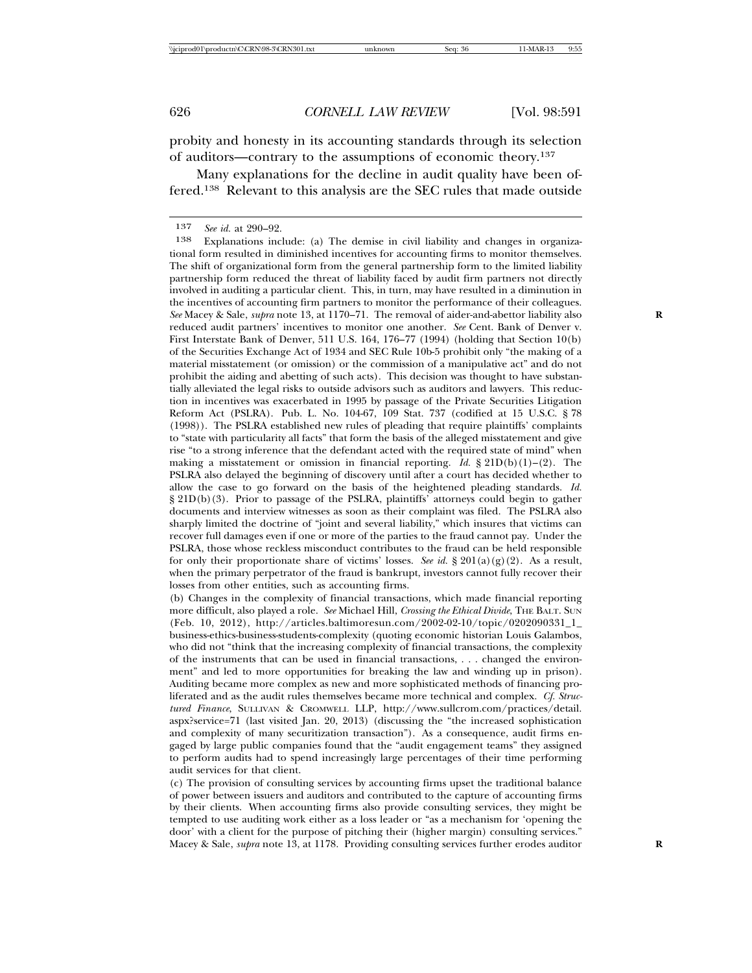probity and honesty in its accounting standards through its selection of auditors—contrary to the assumptions of economic theory.137

Many explanations for the decline in audit quality have been offered.138 Relevant to this analysis are the SEC rules that made outside

(b) Changes in the complexity of financial transactions, which made financial reporting more difficult, also played a role. *See* Michael Hill, *Crossing the Ethical Divide*, THE BALT. SUN (Feb. 10, 2012), http://articles.baltimoresun.com/2002-02-10/topic/0202090331\_1\_ business-ethics-business-students-complexity (quoting economic historian Louis Galambos, who did not "think that the increasing complexity of financial transactions, the complexity of the instruments that can be used in financial transactions, . . . changed the environment" and led to more opportunities for breaking the law and winding up in prison). Auditing became more complex as new and more sophisticated methods of financing proliferated and as the audit rules themselves became more technical and complex. *Cf. Structured Finance*, SULLIVAN & CROMWELL LLP, http://www.sullcrom.com/practices/detail. aspx?service=71 (last visited Jan. 20, 2013) (discussing the "the increased sophistication and complexity of many securitization transaction"). As a consequence, audit firms engaged by large public companies found that the "audit engagement teams" they assigned to perform audits had to spend increasingly large percentages of their time performing audit services for that client.

(c) The provision of consulting services by accounting firms upset the traditional balance of power between issuers and auditors and contributed to the capture of accounting firms by their clients. When accounting firms also provide consulting services, they might be tempted to use auditing work either as a loss leader or "as a mechanism for 'opening the door' with a client for the purpose of pitching their (higher margin) consulting services." Macey & Sale, *supra* note 13, at 1178. Providing consulting services further erodes auditor **R**

<sup>137</sup> *See id.* at 290–92.

<sup>138</sup> Explanations include: (a) The demise in civil liability and changes in organizational form resulted in diminished incentives for accounting firms to monitor themselves. The shift of organizational form from the general partnership form to the limited liability partnership form reduced the threat of liability faced by audit firm partners not directly involved in auditing a particular client. This, in turn, may have resulted in a diminution in the incentives of accounting firm partners to monitor the performance of their colleagues. *See* Macey & Sale, *supra* note 13, at 1170–71. The removal of aider-and-abettor liability also **R** reduced audit partners' incentives to monitor one another. *See* Cent. Bank of Denver v. First Interstate Bank of Denver, 511 U.S. 164, 176–77 (1994) (holding that Section 10(b) of the Securities Exchange Act of 1934 and SEC Rule 10b-5 prohibit only "the making of a material misstatement (or omission) or the commission of a manipulative act" and do not prohibit the aiding and abetting of such acts). This decision was thought to have substantially alleviated the legal risks to outside advisors such as auditors and lawyers. This reduction in incentives was exacerbated in 1995 by passage of the Private Securities Litigation Reform Act (PSLRA). Pub. L. No. 104-67, 109 Stat. 737 (codified at 15 U.S.C. § 78 (1998)). The PSLRA established new rules of pleading that require plaintiffs' complaints to "state with particularity all facts" that form the basis of the alleged misstatement and give rise "to a strong inference that the defendant acted with the required state of mind" when making a misstatement or omission in financial reporting. *Id.* § 21D(b)(1)–(2). The PSLRA also delayed the beginning of discovery until after a court has decided whether to allow the case to go forward on the basis of the heightened pleading standards. *Id.* § 21D(b)(3). Prior to passage of the PSLRA, plaintiffs' attorneys could begin to gather documents and interview witnesses as soon as their complaint was filed. The PSLRA also sharply limited the doctrine of "joint and several liability," which insures that victims can recover full damages even if one or more of the parties to the fraud cannot pay. Under the PSLRA, those whose reckless misconduct contributes to the fraud can be held responsible for only their proportionate share of victims' losses. *See id.* § 201(a)(g)(2). As a result, when the primary perpetrator of the fraud is bankrupt, investors cannot fully recover their losses from other entities, such as accounting firms.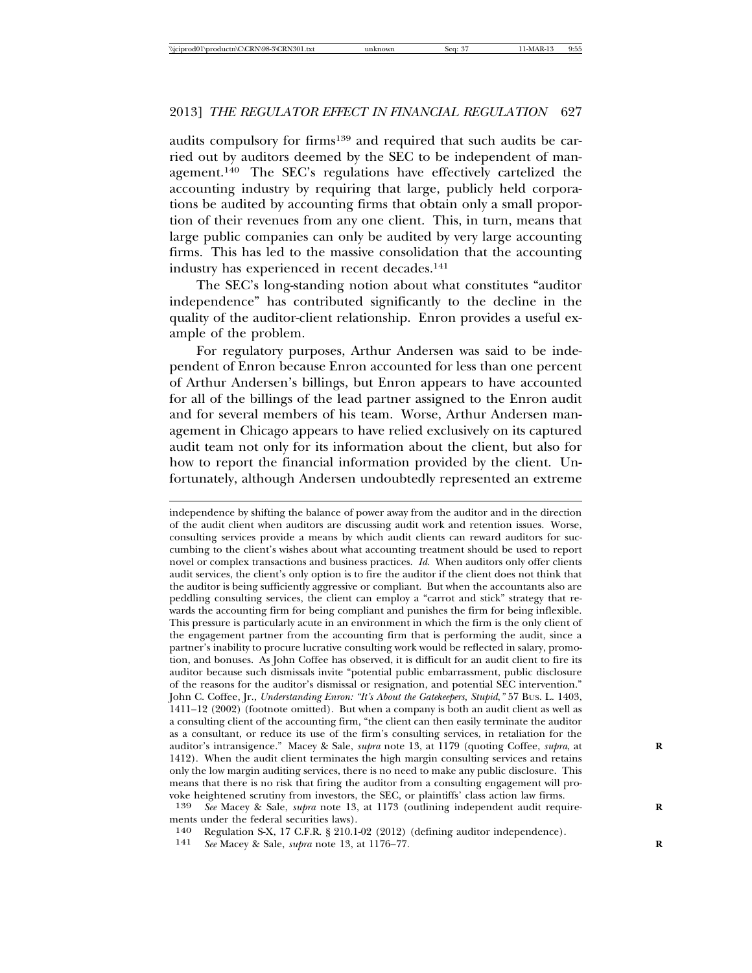audits compulsory for firms<sup>139</sup> and required that such audits be carried out by auditors deemed by the SEC to be independent of management.140 The SEC's regulations have effectively cartelized the accounting industry by requiring that large, publicly held corporations be audited by accounting firms that obtain only a small proportion of their revenues from any one client. This, in turn, means that large public companies can only be audited by very large accounting firms. This has led to the massive consolidation that the accounting industry has experienced in recent decades.141

The SEC's long-standing notion about what constitutes "auditor independence" has contributed significantly to the decline in the quality of the auditor-client relationship. Enron provides a useful example of the problem.

For regulatory purposes, Arthur Andersen was said to be independent of Enron because Enron accounted for less than one percent of Arthur Andersen's billings, but Enron appears to have accounted for all of the billings of the lead partner assigned to the Enron audit and for several members of his team. Worse, Arthur Andersen management in Chicago appears to have relied exclusively on its captured audit team not only for its information about the client, but also for how to report the financial information provided by the client. Unfortunately, although Andersen undoubtedly represented an extreme

independence by shifting the balance of power away from the auditor and in the direction of the audit client when auditors are discussing audit work and retention issues. Worse, consulting services provide a means by which audit clients can reward auditors for succumbing to the client's wishes about what accounting treatment should be used to report novel or complex transactions and business practices. *Id.* When auditors only offer clients audit services, the client's only option is to fire the auditor if the client does not think that the auditor is being sufficiently aggressive or compliant. But when the accountants also are peddling consulting services, the client can employ a "carrot and stick" strategy that rewards the accounting firm for being compliant and punishes the firm for being inflexible. This pressure is particularly acute in an environment in which the firm is the only client of the engagement partner from the accounting firm that is performing the audit, since a partner's inability to procure lucrative consulting work would be reflected in salary, promotion, and bonuses. As John Coffee has observed, it is difficult for an audit client to fire its auditor because such dismissals invite "potential public embarrassment, public disclosure of the reasons for the auditor's dismissal or resignation, and potential SEC intervention." John C. Coffee, Jr., *Understanding Enron: "It's About the Gatekeepers, Stupid*,*"* 57 BUS. L. 1403, 1411–12 (2002) (footnote omitted). But when a company is both an audit client as well as a consulting client of the accounting firm, "the client can then easily terminate the auditor as a consultant, or reduce its use of the firm's consulting services, in retaliation for the auditor's intransigence." Macey & Sale, *supra* note 13, at 1179 (quoting Coffee, *supra*, at **R** 1412). When the audit client terminates the high margin consulting services and retains only the low margin auditing services, there is no need to make any public disclosure. This means that there is no risk that firing the auditor from a consulting engagement will provoke heightened scrutiny from investors, the SEC, or plaintiffs' class action law firms.<br>139 See Macey & Sale, subra note 13, at 1173 (outlining independent audit requ

See Macey & Sale, *supra* note 13, at 1173 (outlining independent audit requirements under the federal securities laws).<br> $140$  Regulation S-X 17 C F R 8 910 1.

<sup>140</sup> Regulation S-X, 17 C.F.R. § 210.1-02 (2012) (defining auditor independence). <sup>141</sup> *See* Macey & Sale, *supra* note 13, at 1176–77. **<sup>R</sup>**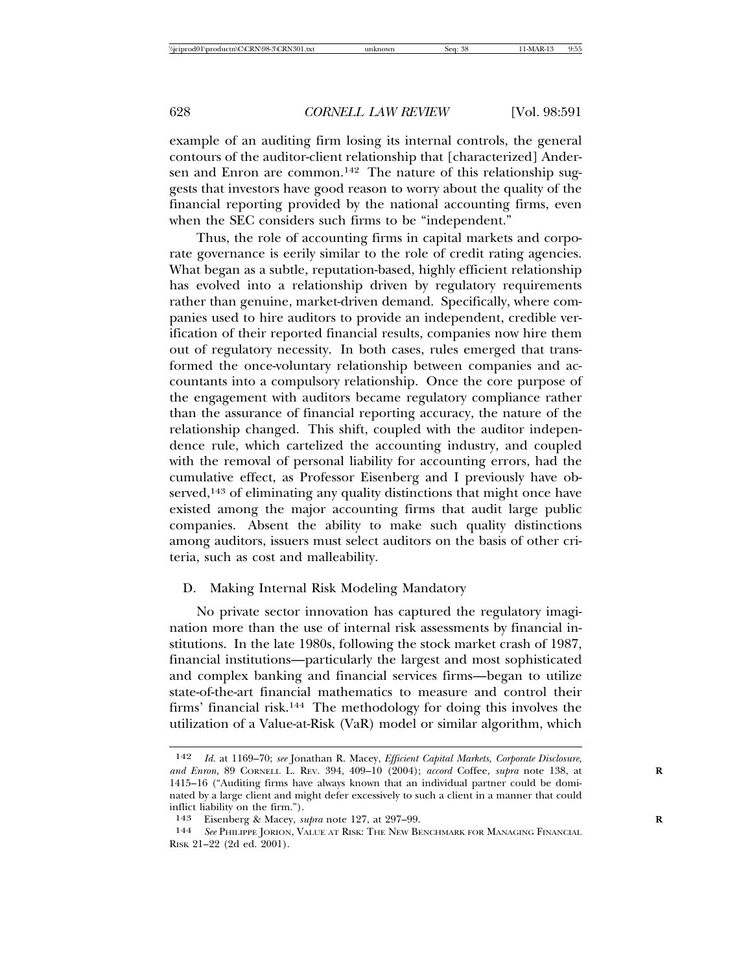example of an auditing firm losing its internal controls, the general contours of the auditor-client relationship that [characterized] Andersen and Enron are common.<sup>142</sup> The nature of this relationship suggests that investors have good reason to worry about the quality of the financial reporting provided by the national accounting firms, even when the SEC considers such firms to be "independent."

Thus, the role of accounting firms in capital markets and corporate governance is eerily similar to the role of credit rating agencies. What began as a subtle, reputation-based, highly efficient relationship has evolved into a relationship driven by regulatory requirements rather than genuine, market-driven demand. Specifically, where companies used to hire auditors to provide an independent, credible verification of their reported financial results, companies now hire them out of regulatory necessity. In both cases, rules emerged that transformed the once-voluntary relationship between companies and accountants into a compulsory relationship. Once the core purpose of the engagement with auditors became regulatory compliance rather than the assurance of financial reporting accuracy, the nature of the relationship changed. This shift, coupled with the auditor independence rule, which cartelized the accounting industry, and coupled with the removal of personal liability for accounting errors, had the cumulative effect, as Professor Eisenberg and I previously have observed,<sup>143</sup> of eliminating any quality distinctions that might once have existed among the major accounting firms that audit large public companies. Absent the ability to make such quality distinctions among auditors, issuers must select auditors on the basis of other criteria, such as cost and malleability.

### D. Making Internal Risk Modeling Mandatory

No private sector innovation has captured the regulatory imagination more than the use of internal risk assessments by financial institutions. In the late 1980s, following the stock market crash of 1987, financial institutions—particularly the largest and most sophisticated and complex banking and financial services firms—began to utilize state-of-the-art financial mathematics to measure and control their firms' financial risk.144 The methodology for doing this involves the utilization of a Value-at-Risk (VaR) model or similar algorithm, which

<sup>142</sup> *Id.* at 1169–70; *see* Jonathan R. Macey, *Efficient Capital Markets, Corporate Disclosure, and Enron*, 89 CORNELL L. REV. 394, 409–10 (2004); *accord* Coffee, *supra* note 138, at **R** 1415–16 ("Auditing firms have always known that an individual partner could be dominated by a large client and might defer excessively to such a client in a manner that could inflict liability on the firm.").

<sup>143</sup> Eisenberg & Macey, *supra* note 127, at 297–99. **R**

<sup>144</sup> *See* PHILIPPE JORION, VALUE AT RISK: THE NEW BENCHMARK FOR MANAGING FINANCIAL RISK 21–22 (2d ed. 2001).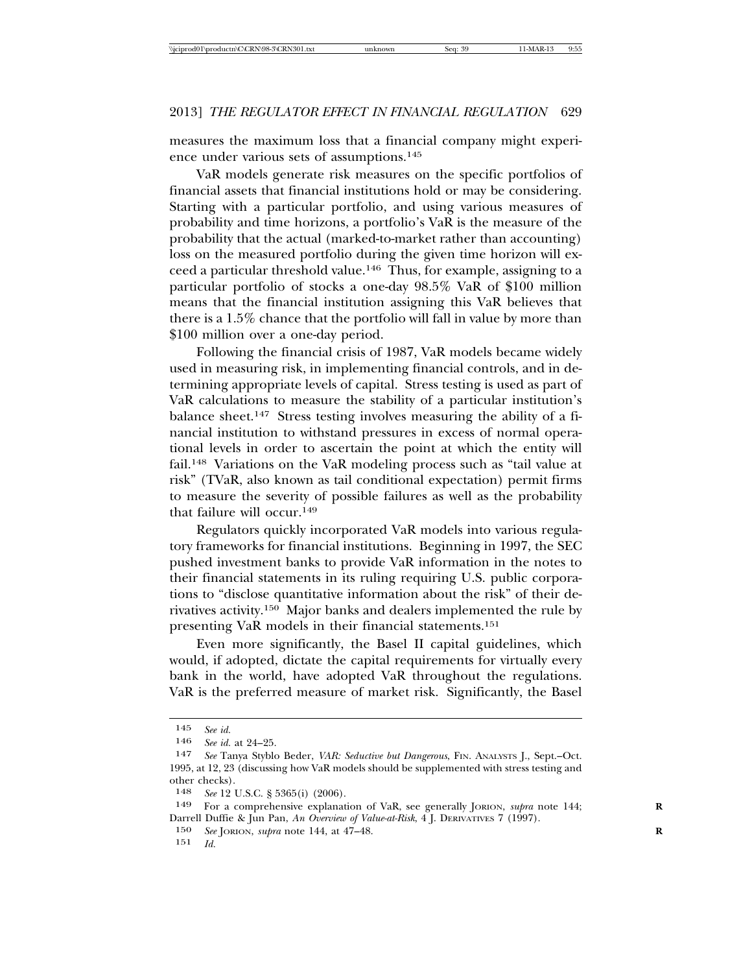measures the maximum loss that a financial company might experience under various sets of assumptions.145

VaR models generate risk measures on the specific portfolios of financial assets that financial institutions hold or may be considering. Starting with a particular portfolio, and using various measures of probability and time horizons, a portfolio's VaR is the measure of the probability that the actual (marked-to-market rather than accounting) loss on the measured portfolio during the given time horizon will exceed a particular threshold value.146 Thus, for example, assigning to a particular portfolio of stocks a one-day 98.5% VaR of \$100 million means that the financial institution assigning this VaR believes that there is a 1.5% chance that the portfolio will fall in value by more than \$100 million over a one-day period.

Following the financial crisis of 1987, VaR models became widely used in measuring risk, in implementing financial controls, and in determining appropriate levels of capital. Stress testing is used as part of VaR calculations to measure the stability of a particular institution's balance sheet.147 Stress testing involves measuring the ability of a financial institution to withstand pressures in excess of normal operational levels in order to ascertain the point at which the entity will fail.148 Variations on the VaR modeling process such as "tail value at risk" (TVaR, also known as tail conditional expectation) permit firms to measure the severity of possible failures as well as the probability that failure will occur.149

Regulators quickly incorporated VaR models into various regulatory frameworks for financial institutions. Beginning in 1997, the SEC pushed investment banks to provide VaR information in the notes to their financial statements in its ruling requiring U.S. public corporations to "disclose quantitative information about the risk" of their derivatives activity.150 Major banks and dealers implemented the rule by presenting VaR models in their financial statements.151

Even more significantly, the Basel II capital guidelines, which would, if adopted, dictate the capital requirements for virtually every bank in the world, have adopted VaR throughout the regulations. VaR is the preferred measure of market risk. Significantly, the Basel

<sup>145</sup> *See id.*

<sup>146</sup> *See id.* at 24–25.

<sup>147</sup> *See* Tanya Styblo Beder, *VAR: Seductive but Dangerous*, FIN. ANALYSTS J., Sept.–Oct. 1995, at 12, 23 (discussing how VaR models should be supplemented with stress testing and other checks).

<sup>148</sup> *See* 12 U.S.C. § 5365(i) (2006).

<sup>149</sup> For a comprehensive explanation of VaR, see generally JORION, *supra* note 144; **R** Darrell Duffie & Jun Pan, *An Overview of Value-at-Risk*, 4 J. DERIVATIVES 7 (1997).<br>150 See JORION, *subra* note 144, at 47–48

See JORION, *supra* note 144, at 47-48.

<sup>151</sup> *Id.*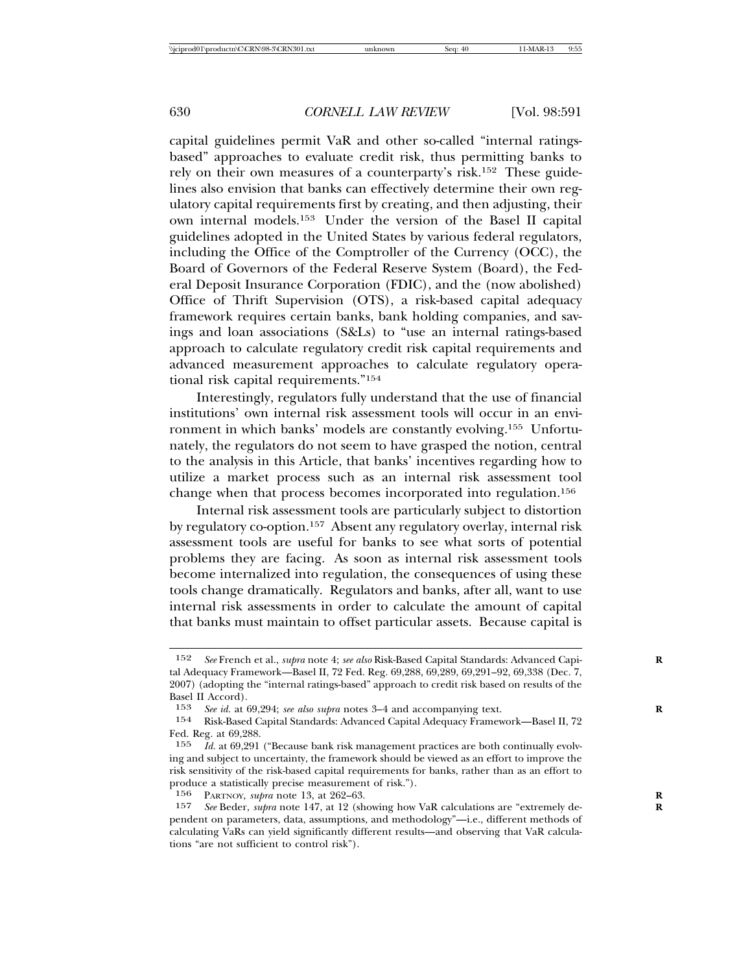capital guidelines permit VaR and other so-called "internal ratingsbased" approaches to evaluate credit risk, thus permitting banks to rely on their own measures of a counterparty's risk.152 These guidelines also envision that banks can effectively determine their own regulatory capital requirements first by creating, and then adjusting, their own internal models.153 Under the version of the Basel II capital guidelines adopted in the United States by various federal regulators, including the Office of the Comptroller of the Currency (OCC), the Board of Governors of the Federal Reserve System (Board), the Federal Deposit Insurance Corporation (FDIC), and the (now abolished) Office of Thrift Supervision (OTS), a risk-based capital adequacy framework requires certain banks, bank holding companies, and savings and loan associations (S&Ls) to "use an internal ratings-based approach to calculate regulatory credit risk capital requirements and advanced measurement approaches to calculate regulatory operational risk capital requirements."154

Interestingly, regulators fully understand that the use of financial institutions' own internal risk assessment tools will occur in an environment in which banks' models are constantly evolving.155 Unfortunately, the regulators do not seem to have grasped the notion, central to the analysis in this Article, that banks' incentives regarding how to utilize a market process such as an internal risk assessment tool change when that process becomes incorporated into regulation.156

Internal risk assessment tools are particularly subject to distortion by regulatory co-option.157 Absent any regulatory overlay, internal risk assessment tools are useful for banks to see what sorts of potential problems they are facing. As soon as internal risk assessment tools become internalized into regulation, the consequences of using these tools change dramatically. Regulators and banks, after all, want to use internal risk assessments in order to calculate the amount of capital that banks must maintain to offset particular assets. Because capital is

<sup>152</sup> *See* French et al., *supra* note 4; *see also* Risk-Based Capital Standards: Advanced Capi- **R** tal Adequacy Framework—Basel II, 72 Fed. Reg. 69,288, 69,289, 69,291–92, 69,338 (Dec. 7, 2007) (adopting the "internal ratings-based" approach to credit risk based on results of the Basel II Accord).<br> $\frac{153}{\pi}$  See id at 6

<sup>153</sup> *See id.* at 69,294; *see also supra* notes 3–4 and accompanying text. **R**

<sup>154</sup> Risk-Based Capital Standards: Advanced Capital Adequacy Framework—Basel II, 72 Fed. Reg. at 69,288.

<sup>155</sup> *Id.* at 69,291 ("Because bank risk management practices are both continually evolving and subject to uncertainty, the framework should be viewed as an effort to improve the risk sensitivity of the risk-based capital requirements for banks, rather than as an effort to produce a statistically precise measurement of risk.").<br>156 PARTNOV *subra* note 13 at 969–63

<sup>156</sup> PARTNOY, *supra* note 13, at 262–63. **R**

See Beder, *supra* note 147, at 12 (showing how VaR calculations are "extremely dependent on parameters, data, assumptions, and methodology"—i.e., different methods of calculating VaRs can yield significantly different results—and observing that VaR calculations "are not sufficient to control risk").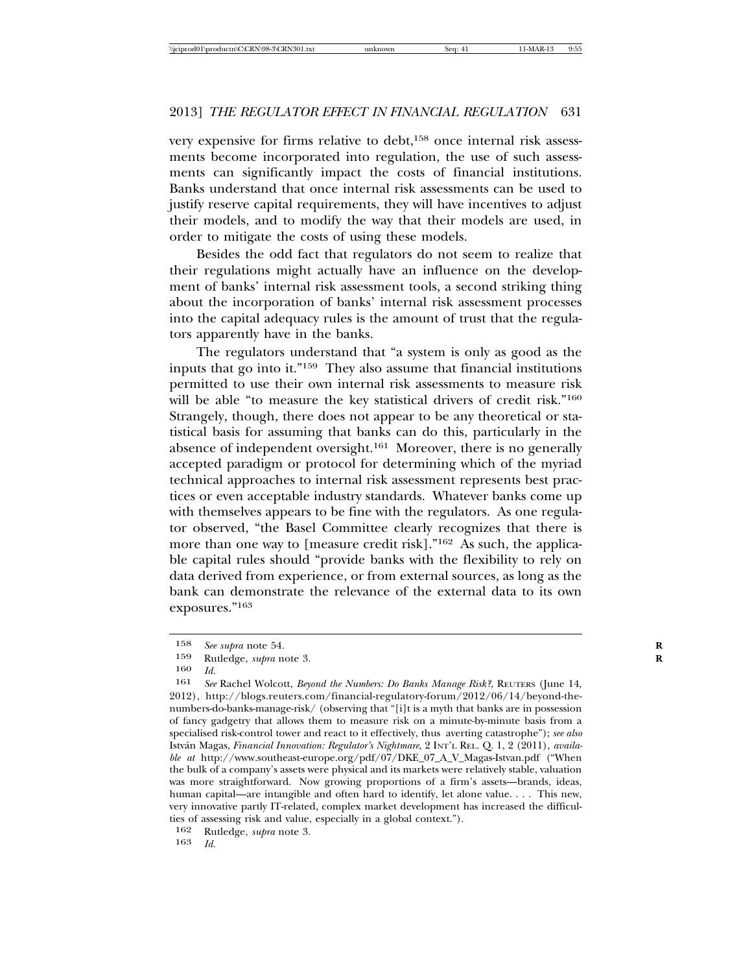# 2013] *THE REGULATOR EFFECT IN FINANCIAL REGULATION* 631

very expensive for firms relative to debt,<sup>158</sup> once internal risk assessments become incorporated into regulation, the use of such assessments can significantly impact the costs of financial institutions. Banks understand that once internal risk assessments can be used to justify reserve capital requirements, they will have incentives to adjust their models, and to modify the way that their models are used, in order to mitigate the costs of using these models.

Besides the odd fact that regulators do not seem to realize that their regulations might actually have an influence on the development of banks' internal risk assessment tools, a second striking thing about the incorporation of banks' internal risk assessment processes into the capital adequacy rules is the amount of trust that the regulators apparently have in the banks.

The regulators understand that "a system is only as good as the inputs that go into it."159 They also assume that financial institutions permitted to use their own internal risk assessments to measure risk will be able "to measure the key statistical drivers of credit risk."<sup>160</sup> Strangely, though, there does not appear to be any theoretical or statistical basis for assuming that banks can do this, particularly in the absence of independent oversight.161 Moreover, there is no generally accepted paradigm or protocol for determining which of the myriad technical approaches to internal risk assessment represents best practices or even acceptable industry standards. Whatever banks come up with themselves appears to be fine with the regulators. As one regulator observed, "the Basel Committee clearly recognizes that there is more than one way to [measure credit risk]."162 As such, the applicable capital rules should "provide banks with the flexibility to rely on data derived from experience, or from external sources, as long as the bank can demonstrate the relevance of the external data to its own exposures."163

<sup>158</sup> *See supra* note 54. **R**

Rutledge, *supra* note 3.

 $\frac{160}{161}$  *Id.* 

<sup>161</sup> *See* Rachel Wolcott, *Beyond the Numbers: Do Banks Manage Risk?*, REUTERS (June 14, 2012), http://blogs.reuters.com/financial-regulatory-forum/2012/06/14/beyond-thenumbers-do-banks-manage-risk/ (observing that "[i]t is a myth that banks are in possession of fancy gadgetry that allows them to measure risk on a minute-by-minute basis from a specialised risk-control tower and react to it effectively, thus averting catastrophe"); *see also* István Magas, *Financial Innovation: Regulator's Nightmare*, 2 INT'L REL. Q. 1, 2 (2011), *available at* http://www.southeast-europe.org/pdf/07/DKE\_07\_A\_V\_Magas-Istvan.pdf ("When the bulk of a company's assets were physical and its markets were relatively stable, valuation was more straightforward. Now growing proportions of a firm's assets—brands, ideas, human capital—are intangible and often hard to identify, let alone value. . . . This new, very innovative partly IT-related, complex market development has increased the difficulties of assessing risk and value, especially in a global context.").

<sup>162</sup> Rutledge, *supra* note 3.

<sup>163</sup> *Id.*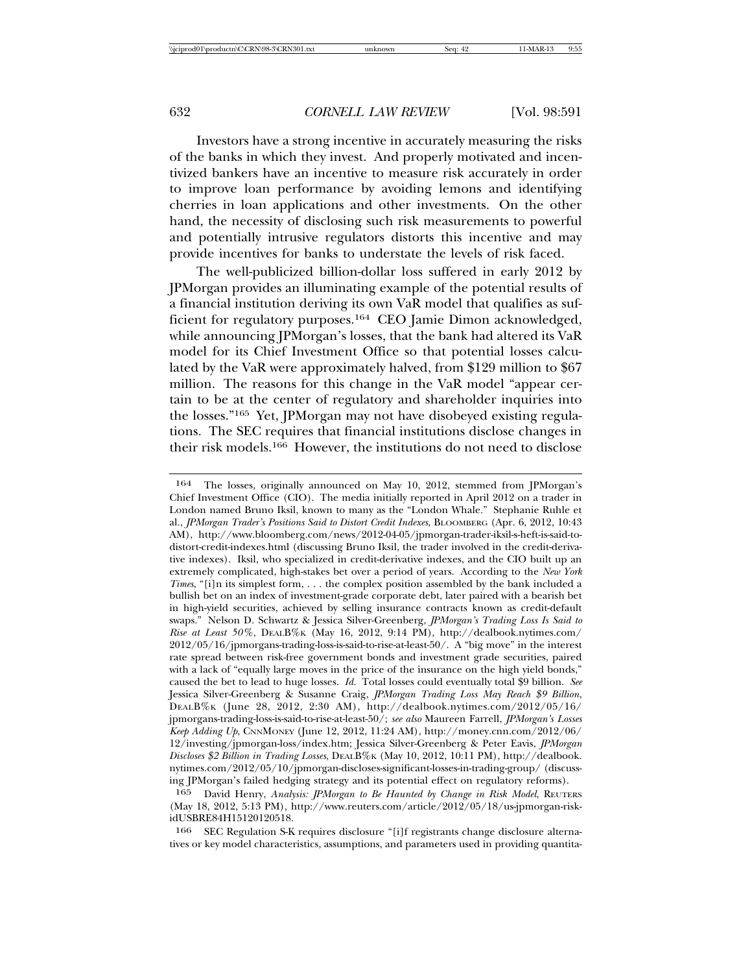Investors have a strong incentive in accurately measuring the risks of the banks in which they invest. And properly motivated and incentivized bankers have an incentive to measure risk accurately in order to improve loan performance by avoiding lemons and identifying cherries in loan applications and other investments. On the other hand, the necessity of disclosing such risk measurements to powerful and potentially intrusive regulators distorts this incentive and may provide incentives for banks to understate the levels of risk faced.

The well-publicized billion-dollar loss suffered in early 2012 by JPMorgan provides an illuminating example of the potential results of a financial institution deriving its own VaR model that qualifies as sufficient for regulatory purposes.164 CEO Jamie Dimon acknowledged, while announcing JPMorgan's losses, that the bank had altered its VaR model for its Chief Investment Office so that potential losses calculated by the VaR were approximately halved, from \$129 million to \$67 million. The reasons for this change in the VaR model "appear certain to be at the center of regulatory and shareholder inquiries into the losses."165 Yet, JPMorgan may not have disobeyed existing regulations. The SEC requires that financial institutions disclose changes in their risk models.166 However, the institutions do not need to disclose

166 SEC Regulation S-K requires disclosure "[i]f registrants change disclosure alternatives or key model characteristics, assumptions, and parameters used in providing quantita-

<sup>164</sup> The losses, originally announced on May 10, 2012, stemmed from JPMorgan's Chief Investment Office (CIO). The media initially reported in April 2012 on a trader in London named Bruno Iksil, known to many as the "London Whale." Stephanie Ruhle et al., *JPMorgan Trader's Positions Said to Distort Credit Indexes*, BLOOMBERG (Apr. 6, 2012, 10:43 AM), http://www.bloomberg.com/news/2012-04-05/jpmorgan-trader-iksil-s-heft-is-said-todistort-credit-indexes.html (discussing Bruno Iksil, the trader involved in the credit-derivative indexes). Iksil, who specialized in credit-derivative indexes, and the CIO built up an extremely complicated, high-stakes bet over a period of years. According to the *New York Times*, "[i]n its simplest form, . . . the complex position assembled by the bank included a bullish bet on an index of investment-grade corporate debt, later paired with a bearish bet in high-yield securities, achieved by selling insurance contracts known as credit-default swaps." Nelson D. Schwartz & Jessica Silver-Greenberg, *JPMorgan's Trading Loss Is Said to Rise at Least 50%*, DEALB%K (May 16, 2012, 9:14 PM), http://dealbook.nytimes.com/ 2012/05/16/jpmorgans-trading-loss-is-said-to-rise-at-least-50/. A "big move" in the interest rate spread between risk-free government bonds and investment grade securities, paired with a lack of "equally large moves in the price of the insurance on the high yield bonds," caused the bet to lead to huge losses. *Id.* Total losses could eventually total \$9 billion. *See* Jessica Silver-Greenberg & Susanne Craig, *JPMorgan Trading Loss May Reach \$9 Billion*, DEALB%K (June 28, 2012, 2:30 AM), http://dealbook.nytimes.com/2012/05/16/ jpmorgans-trading-loss-is-said-to-rise-at-least-50/; *see also* Maureen Farrell, *JPMorgan's Losses Keep Adding Up*, CNNMONEY (June 12, 2012, 11:24 AM), http://money.cnn.com/2012/06/ 12/investing/jpmorgan-loss/index.htm; Jessica Silver-Greenberg & Peter Eavis, *JPMorgan Discloses \$2 Billion in Trading Losses*, DEALB%K (May 10, 2012, 10:11 PM), http://dealbook. nytimes.com/2012/05/10/jpmorgan-discloses-significant-losses-in-trading-group/ (discussing JPMorgan's failed hedging strategy and its potential effect on regulatory reforms).

<sup>165</sup> David Henry, *Analysis: JPMorgan to Be Haunted by Change in Risk Model*, REUTERS (May 18, 2012, 5:13 PM), http://www.reuters.com/article/2012/05/18/us-jpmorgan-riskidUSBRE84H15120120518.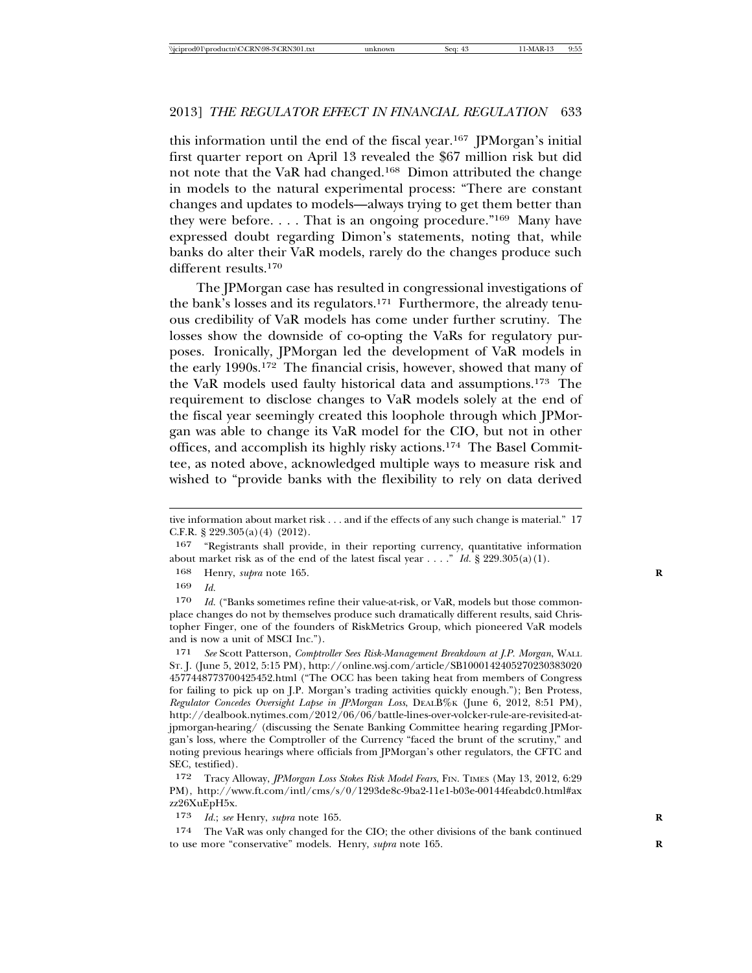this information until the end of the fiscal year.167 JPMorgan's initial first quarter report on April 13 revealed the \$67 million risk but did not note that the VaR had changed.168 Dimon attributed the change in models to the natural experimental process: "There are constant changes and updates to models—always trying to get them better than they were before. . . . That is an ongoing procedure."169 Many have expressed doubt regarding Dimon's statements, noting that, while banks do alter their VaR models, rarely do the changes produce such different results.170

The JPMorgan case has resulted in congressional investigations of the bank's losses and its regulators.171 Furthermore, the already tenuous credibility of VaR models has come under further scrutiny. The losses show the downside of co-opting the VaRs for regulatory purposes. Ironically, JPMorgan led the development of VaR models in the early 1990s.172 The financial crisis, however, showed that many of the VaR models used faulty historical data and assumptions.173 The requirement to disclose changes to VaR models solely at the end of the fiscal year seemingly created this loophole through which JPMorgan was able to change its VaR model for the CIO, but not in other offices, and accomplish its highly risky actions.174 The Basel Committee, as noted above, acknowledged multiple ways to measure risk and wished to "provide banks with the flexibility to rely on data derived

tive information about market risk . . . and if the effects of any such change is material." 17 C.F.R. § 229.305(a)(4) (2012).

<sup>167</sup> "Registrants shall provide, in their reporting currency, quantitative information about market risk as of the end of the latest fiscal year  $\dots$ ." *Id.* § 229.305(a)(1).

<sup>168</sup> Henry, *supra* note 165. **R**

<sup>169</sup> *Id.*

<sup>170</sup> *Id.* ("Banks sometimes refine their value-at-risk, or VaR, models but those commonplace changes do not by themselves produce such dramatically different results, said Christopher Finger, one of the founders of RiskMetrics Group, which pioneered VaR models and is now a unit of MSCI Inc.").

<sup>171</sup> *See* Scott Patterson, *Comptroller Sees Risk-Management Breakdown at J.P. Morgan*, WALL ST. J. (June 5, 2012, 5:15 PM), http://online.wsj.com/article/SB1000142405270230383020 4577448773700425452.html ("The OCC has been taking heat from members of Congress for failing to pick up on J.P. Morgan's trading activities quickly enough."); Ben Protess, *Regulator Concedes Oversight Lapse in JPMorgan Loss*, DEALB%K (June 6, 2012, 8:51 PM), http://dealbook.nytimes.com/2012/06/06/battle-lines-over-volcker-rule-are-revisited-atjpmorgan-hearing/ (discussing the Senate Banking Committee hearing regarding JPMorgan's loss, where the Comptroller of the Currency "faced the brunt of the scrutiny," and noting previous hearings where officials from JPMorgan's other regulators, the CFTC and SEC, testified).

<sup>172</sup> Tracy Alloway, *JPMorgan Loss Stokes Risk Model Fears*, FIN. TIMES (May 13, 2012, 6:29 PM), http://www.ft.com/intl/cms/s/0/1293de8c-9ba2-11e1-b03e-00144feabdc0.html#ax zz26XuEpH5x.

<sup>173</sup> *Id.*; *see* Henry, *supra* note 165. **R**

<sup>174</sup> The VaR was only changed for the CIO; the other divisions of the bank continued to use more "conservative" models. Henry, *supra* note 165.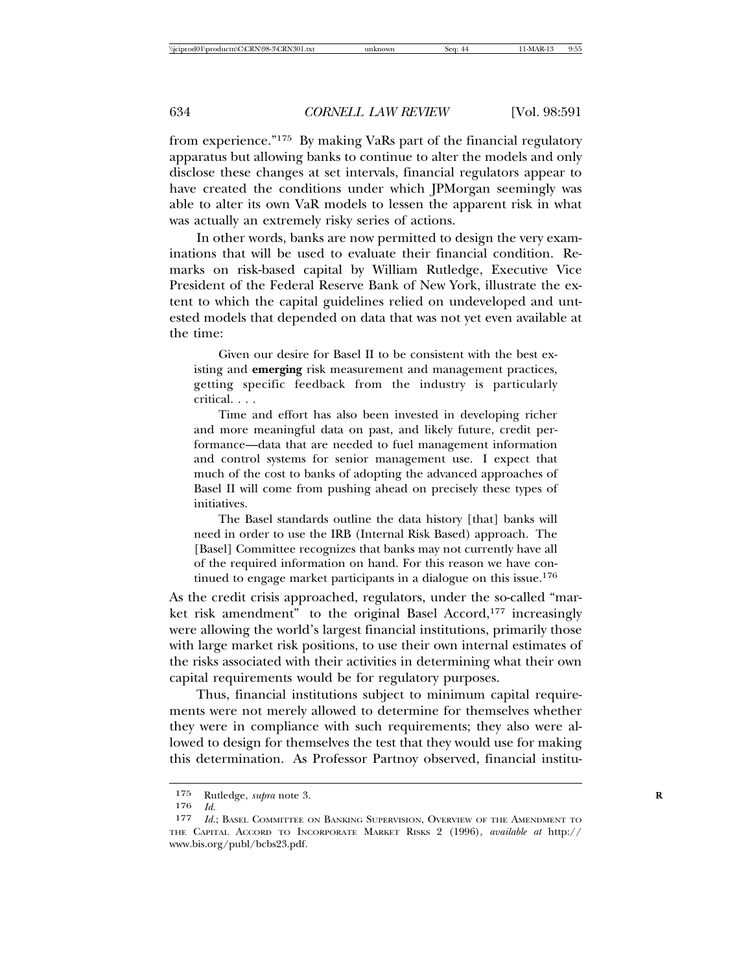from experience."175 By making VaRs part of the financial regulatory apparatus but allowing banks to continue to alter the models and only disclose these changes at set intervals, financial regulators appear to have created the conditions under which JPMorgan seemingly was able to alter its own VaR models to lessen the apparent risk in what was actually an extremely risky series of actions.

In other words, banks are now permitted to design the very examinations that will be used to evaluate their financial condition. Remarks on risk-based capital by William Rutledge, Executive Vice President of the Federal Reserve Bank of New York, illustrate the extent to which the capital guidelines relied on undeveloped and untested models that depended on data that was not yet even available at the time:

Given our desire for Basel II to be consistent with the best existing and **emerging** risk measurement and management practices, getting specific feedback from the industry is particularly critical. . . .

Time and effort has also been invested in developing richer and more meaningful data on past, and likely future, credit performance—data that are needed to fuel management information and control systems for senior management use. I expect that much of the cost to banks of adopting the advanced approaches of Basel II will come from pushing ahead on precisely these types of initiatives.

The Basel standards outline the data history [that] banks will need in order to use the IRB (Internal Risk Based) approach. The [Basel] Committee recognizes that banks may not currently have all of the required information on hand. For this reason we have continued to engage market participants in a dialogue on this issue.<sup>176</sup>

As the credit crisis approached, regulators, under the so-called "market risk amendment" to the original Basel Accord,<sup>177</sup> increasingly were allowing the world's largest financial institutions, primarily those with large market risk positions, to use their own internal estimates of the risks associated with their activities in determining what their own capital requirements would be for regulatory purposes.

Thus, financial institutions subject to minimum capital requirements were not merely allowed to determine for themselves whether they were in compliance with such requirements; they also were allowed to design for themselves the test that they would use for making this determination. As Professor Partnoy observed, financial institu-

<sup>175</sup> Rutledge, *supra* note 3. **R**

<sup>176</sup> *Id.*

*Id.*; BASEL COMMITTEE ON BANKING SUPERVISION, OVERVIEW OF THE AMENDMENT TO THE CAPITAL ACCORD TO INCORPORATE MARKET RISKS 2 (1996), *available at* http:// www.bis.org/publ/bcbs23.pdf.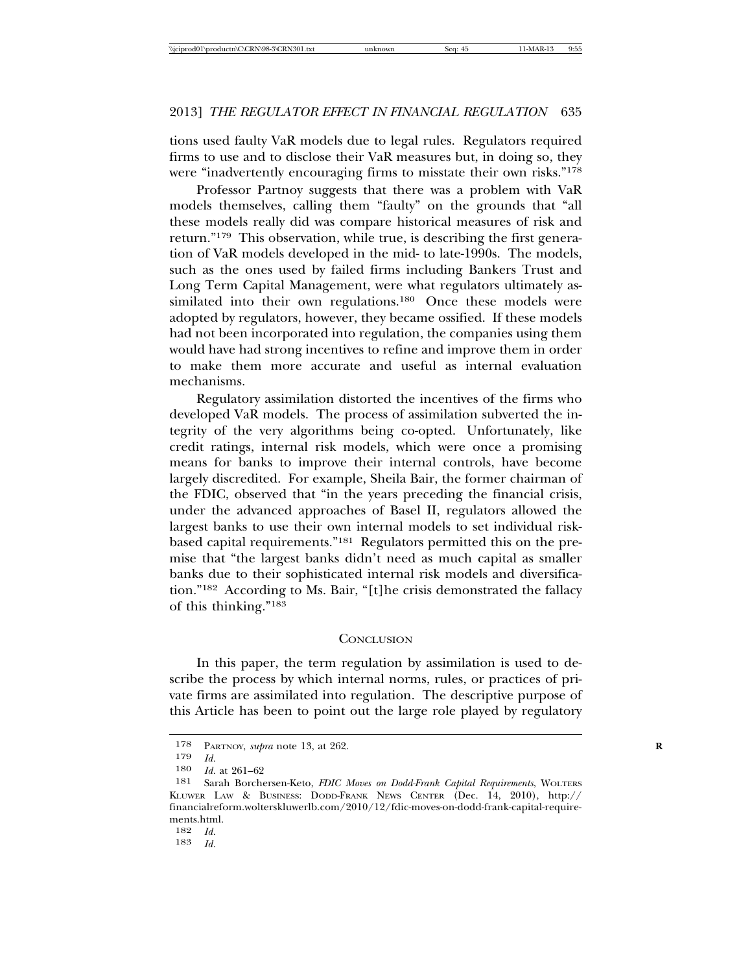tions used faulty VaR models due to legal rules. Regulators required firms to use and to disclose their VaR measures but, in doing so, they were "inadvertently encouraging firms to misstate their own risks."178

Professor Partnoy suggests that there was a problem with VaR models themselves, calling them "faulty" on the grounds that "all these models really did was compare historical measures of risk and return."179 This observation, while true, is describing the first generation of VaR models developed in the mid- to late-1990s. The models, such as the ones used by failed firms including Bankers Trust and Long Term Capital Management, were what regulators ultimately assimilated into their own regulations.<sup>180</sup> Once these models were adopted by regulators, however, they became ossified. If these models had not been incorporated into regulation, the companies using them would have had strong incentives to refine and improve them in order to make them more accurate and useful as internal evaluation mechanisms.

Regulatory assimilation distorted the incentives of the firms who developed VaR models. The process of assimilation subverted the integrity of the very algorithms being co-opted. Unfortunately, like credit ratings, internal risk models, which were once a promising means for banks to improve their internal controls, have become largely discredited. For example, Sheila Bair, the former chairman of the FDIC, observed that "in the years preceding the financial crisis, under the advanced approaches of Basel II, regulators allowed the largest banks to use their own internal models to set individual riskbased capital requirements."181 Regulators permitted this on the premise that "the largest banks didn't need as much capital as smaller banks due to their sophisticated internal risk models and diversification."182 According to Ms. Bair, "[t]he crisis demonstrated the fallacy of this thinking."183

#### **CONCLUSION**

In this paper, the term regulation by assimilation is used to describe the process by which internal norms, rules, or practices of private firms are assimilated into regulation. The descriptive purpose of this Article has been to point out the large role played by regulatory

<sup>178</sup> PARTNOY, *supra* note 13, at 262. **R**

<sup>179</sup> *Id.*

<sup>180</sup> *Id.* at 261–62

<sup>181</sup> Sarah Borchersen-Keto, *FDIC Moves on Dodd-Frank Capital Requirements*, WOLTERS KLUWER LAW & BUSINESS: DODD-FRANK NEWS CENTER (Dec. 14, 2010), http:// financialreform.wolterskluwerlb.com/2010/12/fdic-moves-on-dodd-frank-capital-requirements.html.

<sup>182</sup> *Id.*

<sup>183</sup> *Id.*